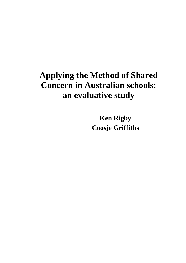# **Applying the Method of Shared Concern in Australian schools: an evaluative study**

**Ken Rigby Coosje Griffiths**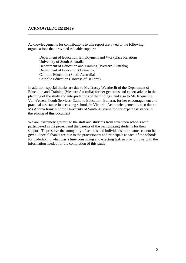# **ACKNOWLEDGEMENTS**

Acknowledgements for contributions to this report are owed to the following organisations that provided valuable support:

Department of Education, Employment and Workplace Relations University of South Australia Department of Education and Training (Western Australia) Department of Education (Tasmania) Catholic Education (South Australia) Catholic Education (Diocese of Ballarat)

In addition, special thanks are due to Ms Tracey Weatherilt of the Department of Education and Training (Western Australia) for her generous and expert advice in the planning of the study and interpretations of the findings, and also to Ms Jacqueline Van Velsen, Youth Services, Catholic Education, Ballarat, for her encouragement and practical assistance in accessing schools in Victoria. Acknowledgement is also due to Ms Andrea Rankin of the University of South Australia for her expert assistance in the editing of this document

We are extremely grateful to the staff and students from seventeen schools who participated in the project and the parents of the participating students for their support. To preserve the anonymity of schools and individuals their names cannot be given. Special thanks are due to the practitioners and principals at each of the schools for undertaking what was a time consuming and exacting task in providing us with the information needed for the completion of this study.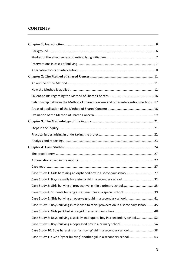# **CONTENTS**

| Relationship between the Method of Shared Concern and other intervention methods 17    |  |
|----------------------------------------------------------------------------------------|--|
|                                                                                        |  |
|                                                                                        |  |
|                                                                                        |  |
|                                                                                        |  |
|                                                                                        |  |
|                                                                                        |  |
|                                                                                        |  |
|                                                                                        |  |
|                                                                                        |  |
|                                                                                        |  |
| Case Study 1: Girls harassing an orphaned boy in a secondary school 27                 |  |
| Case Study 2: Boys sexually harassing a girl in a secondary school  32                 |  |
| Case Study 3: Girls bullying a 'provocative' girl in a primary school  35              |  |
| Case Study 4: Students bullying a staff member in a special school 39                  |  |
| Case Study 5: Girls bullying an overweight girl in a secondary school 41               |  |
| Case Study 6: Boys bullying in response to racial provocation in a secondary school 45 |  |
|                                                                                        |  |
| Case Study 8: Boys bullying a socially inadequate boy in a secondary school 52         |  |
|                                                                                        |  |
| Case Study 10: Boys harassing an 'annoying' girl in a secondary school  58             |  |
| Case Study 11: Girls 'cyber bullying' another girl in a secondary school  63           |  |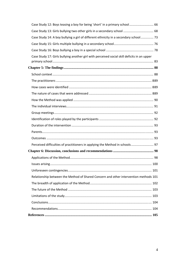| Case Study 12: Boys teasing a boy for being 'short' in a primary school 66                  |
|---------------------------------------------------------------------------------------------|
|                                                                                             |
| Case Study 14: A boy bullying a girl of different ethnicity in a secondary school 73        |
|                                                                                             |
|                                                                                             |
| Case Study 17: Girls bullying another girl with perceived social skill deficits in an upper |
|                                                                                             |
|                                                                                             |
|                                                                                             |
|                                                                                             |
|                                                                                             |
|                                                                                             |
|                                                                                             |
|                                                                                             |
|                                                                                             |
|                                                                                             |
|                                                                                             |
|                                                                                             |
|                                                                                             |
| Perceived difficulties of practitioners in applying the Method in schools 97                |
|                                                                                             |
|                                                                                             |
|                                                                                             |
|                                                                                             |
| Relationship between the Method of Shared Concern and other intervention methods 101        |
|                                                                                             |
|                                                                                             |
|                                                                                             |
|                                                                                             |
|                                                                                             |
|                                                                                             |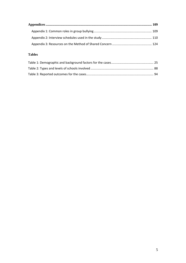# **Tables**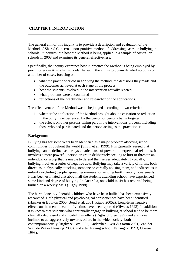# <span id="page-5-0"></span> **CHAPTER 1: INTRODUCTION**

The general aim of this inquiry is to provide a description and evaluation of the Method of Shared Concern, a non-punitive method of addressing cases on bullying in schools. It inquires into how the Method is being applied in a sample of Australian schools in 2008 and examines its general effectiveness.

Specifically, the inquiry examines how in practice the Method is being employed by practitioners in Australian schools. As such, the aim is to obtain detailed accounts of a number of cases, focusing on:

- what the practitioner did in applying the method, the decisions they made and the outcomes achieved at each stage of the process
- how the students involved in the intervention actually reacted
- what problems were encountered
- reflections of the practitioner and researcher on the applications.

The effectiveness of the Method was to be judged according to two criteria:

- 1. whether the application of the Method brought about a cessation or reduction in the bullying experienced by the person or persons being targeted
- 2. the effects on other persons taking part in the interventions process, including those who had participated and the person acting as the practitioner.

### **Background**

Bullying has for some years been identified as a major problem affecting school communities throughout the world (Smith et al. 1999). It is generally agreed that bullying can be defined as the systematic abuse of power in interpersonal relations. It involves a more powerful person or group deliberately seeking to hurt or threaten an individual or group that is unable to defend themselves adequately. Typically, bullying involves a series of negative acts. Bullying may take a variety of forms, both direct, as in physically attacking someone or verbally abusing them, and indirect, as in unfairly excluding people, spreading rumours, or sending hurtful anonymous emails. It has been estimated that about half the students attending school have experienced some kind and degree of bullying. In Australia, one child in six has reported being bullied on a weekly basis (Rigby 1998).

The harm done to vulnerable children who have been bullied has been extensively researched. Both physical and psychological consequences have been identified (Hawker & Boulton 2000; Bond et al. 2001; Rigby 2005a). Long-term negative effects on the mental health of victims have been reported (Olweus 1993). In addition, it is known that students who continually engage in bullying at school tend to be more clinically depressed and suicidal than others (Rigby & Slee 1999) and are more inclined to act aggressively towards others in the wider society, both contemporaneously (Rigby & Cox 1993; Andershed, Kerr & Stattin 2001; Van der Wal, de Wit & Hirasing 2003), and after leaving school (Farrington 1993; Olweus 1993).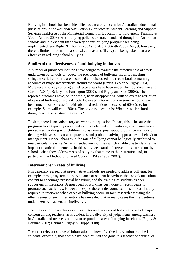<span id="page-6-0"></span>Bullying in schools has been identified as a major concern for Australian educational jurisdictions in the *National Safe Schools Framework* (Student Learning and Support Services Taskforce of the Ministerial Council on Education, Employment, Training & Youth Affairs 2003). Anti-bullying policies are now mandated throughout Australian schools and it is evident that a variety of anti-bullying programs are being implemented (see Rigby & Thomas 2003 and also McGrath 2006). As yet, however, there is limited information about what measures (if any) are being taken that are effective in reducing school bullying.

# **Studies of the effectiveness of anti-bullying initiatives**

A number of published inquiries have sought to evaluate the effectiveness of work undertaken by schools to reduce the prevalence of bullying. Inquiries meeting stringent validity criteria are described and discussed in a recent book containing accounts of major interventions around the world (Smith, Pepler & Rigby 2004). More recent surveys of program effectiveness have been undertaken by Vreeman and Carroll (2007), Baldry and Farrington (2007), and Rigby and Slee (2008). The reported outcomes have, on the whole, been disappointing, with an average reduction of cases of bullying of around 15%. However, interventions in some schools have been much more successful with obtained reductions in excess of 60% (see, for example, Salmivalli et al. 2004). The obvious question is: What are such schools doing to achieve outstanding results?

To date, there is no satisfactory answer to this question. In part, this is because the programs have typically contained multiple elements, for instance, risk management procedures, working with children in classrooms, peer support, punitive methods of dealing with cases, restorative practices and problem-solving approaches to behaviour management. Hence, changes in the rate of bullying cannot be logically attributed to one particular measure. What is needed are inquiries which enable one to identify the impact of particular elements. In this study we examine interventions carried out by schools when they address cases of bullying that come to their attention and, in particular, the Method of Shared Concern (Pikas 1989, 2002).

# **Interventions in cases of bullying**

It is generally agreed that preventative methods are needed to address bullying, for example, through systematic surveillance of student behaviour, the use of curriculum content to encourage prosocial behaviour, and the training of students as peer supporters or mediators. A great deal of work has been done in recent years to promote such activities. However, despite these endeavours, schools are continually required to intervene when cases of bullying occur. In fact, research assessing the effectiveness of such interventions has revealed that in many cases the interventions undertaken by teachers are ineffective.

The question of how schools can best intervene in cases of bullying is one of major concern among teachers, as is evident in the diversity of judgements among teachers in Australia and overseas on how to respond to cases of bullying in schools (Rigby & Bauman 2007; Bauman, Rigby & Hoppa 2008).

The most relevant source of information on how effective interventions can be is students, especially those who have been bullied and gone to a teacher or counsellor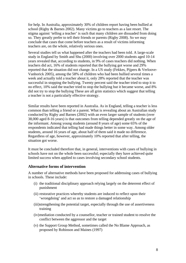<span id="page-7-0"></span>for help. In Australia, approximately 30% of children report having been bullied at school (Rigby & Barnes 2002). Many victims go to teachers as a last resort. The stigma against 'telling a teacher' is such that many children are dissuaded from doing so. They greatly prefer to tell their friends or parents (Rigby 2008). So we may conclude that cases that come before teachers as a result of victims informing teachers are, on the whole, relatively serious ones.

Several studies tell us what happened after the teachers had been told. A large-scale study in England by Smith and Shu (2000) involving over 2000 students aged 10-14 years revealed that, according to students, in 9% of cases teachers did nothing. When teachers did act, 16% of students reported that the bullying got worse and 29% reported that the situation did not change. In a US study (Fekkes, Pijpers & Verloove-Vanhorick 2005), among the 58% of children who had been bullied several times a week and actually told a teacher about it, only 28% reported that the teacher was successful in stopping the bullying. Twenty percent said the teacher tried to stop it to no effect, 10% said the teacher tried to stop the bullying but it became worse, and 8% did not try to stop the bullying These are all grim statistics which suggest that telling a teacher is not a particularly effective strategy.

Similar results have been reported in Australia. As in England, telling a teacher is less common than telling a friend or a parent. What is revealing about an Australian study conducted by Rigby and Barnes (2002) with an even larger sample of students (over 38,000 aged 8-16 years) is that outcomes from telling depended greatly on the age of the informant. Among young students (around 8 years of age) some 65% of the respondents indicated that telling had made things better in some way. Among older students, around 16 years of age, about half of them said it made no difference. Regardless of age, however, approximately 10% reported that after telling, the situation got worse.

It must be concluded therefore that, in general, interventions with cases of bullying in schools have not on the whole been successful; especially they have achieved quite limited success when applied to cases involving secondary school students.

### **Alternative forms of intervention**

A number of alternative methods have been proposed for addressing cases of bullying in schools. These include:

- (i) the traditional disciplinary approach relying largely on the deterrent effect of punishment
- (ii) restorative practices whereby students are induced to reflect upon their 'wrongdoing' and act so as to restore a damaged relationship
- (iii)strengthening the potential target, especially through the use of assertiveness training
- (iv)mediation conducted by a counsellor, teacher or trained student to resolve the conflict between the aggressor and the target
- (v) the Support Group Method, sometimes called the No Blame Approach, as proposed by Robinson and Maines (1997)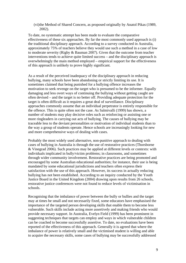(vi)the Method of Shared Concern, as proposed originally by Anatol Pikas (1989, 2002).

To date, no systematic attempt has been made to evaluate the comparative effectiveness of these six approaches. By far the most commonly used approach is (i) the traditional disciplinary approach. According to a survey conducted in Australia, approximately 75% of teachers believe they would use such a method in a case of low to moderate severity (Rigby & Bauman 2007). Given that the outcome from teacher interventions tends to achieve quite limited success – and the disciplinary approach is overwhelmingly the main method employed – empirical support for the effectiveness of this approach is unlikely to prove highly significant.

As a result of the perceived inadequacy of the disciplinary approach in reducing bullying, many schools have been abandoning or strictly limiting its use. It is sometimes claimed that being punished for a bullying offence increases the motivation to seek revenge on the target who is presumed to be the informer. Equally damaging and less overt ways of continuing the bullying without getting caught are often devised – and the target is no better off. Providing adequate protection for the target is often difficult as it requires a great deal of surveillance. Disciplinary approaches commonly assume that an individual perpetrator is entirely responsible for the offence. This is quite often not the case. As Salmivalli (1999) has shown, a number of students may play decisive roles such as reinforcing or assisting one or more ringleaders in carrying out acts of bullying. The causes of bullying may be traceable less to the deviant personalities or motivation of individual students than to the way a group of students operate. Hence schools are increasingly looking for new and more comprehensive ways of dealing with cases.

Probably the most widely used alternative, non-punitive approach to dealing with cases of bullying in Australia is through the use of restorative practices (Thorsborne & Vinegrad 2006). Such practices may be applied at different levels or contexts: with individuals implicated in bully/victim problems; in classrooms, and sometimes through wider community involvement. Restorative practices are being promoted and encouraged by some Australian educational authorities; for instance, their use is being mandated by some educational jurisdictions and teachers often express their satisfaction with the use of this approach. However, its success in actually reducing bullying has not been established. According to an inquiry conducted by the Youth Justice Board in the United Kingdom (2004) drawing upon results from 26 schools, restorative justice conferences were not found to reduce levels of victimisation in schools.

Recognising that the imbalance of power between the bully or bullies and the target may at times be small and not necessarily fixed, some educators have emphasised the importance of the targeted person developing skills that enable them to become less vulnerable. Such skills include acting more assertively and making friends who would provide necessary support. In Australia, Evelyn Field (1999) has been prominent in suggesting techniques that targets can employ and ways in which vulnerable children can be coached to become successfully assertive. To date, no evaluations have been reported of the effectiveness of this approach. Generally it is agreed that where the imbalance of power is relatively small and the victimised student is willing and able to acquire the necessary skills, some cases of bullying may be successfully addressed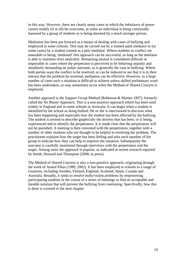in this way. However, there are clearly many cases in which the imbalance of power cannot readily (if at all) be overcome, as when an individual is being continually harassed by a group of students or is being attacked by a much stronger person.

Mediation has been put forward as a means of dealing with cases of bullying and employed in some schools. This may be carried out by a trained adult mediator or (in some cases) by a student trained as a peer mediator. Where students in conflict are amenable to being 'mediated' this approach can be successful, as long as the mediator is able to maintain strict neutrality. Remaining neutral is considered difficult or impossible in cases where the perpetrator is perceived to be behaving unjustly and steadfastly demanding an unfair outcome, as is generally the case in bullying. Where both parties want the conflict to be resolved, or can be induced to see that it is in their interest that the problem be resolved, mediation can be effective. However, in a large number of cases such a situation is difficult to achieve unless skilled preliminary work has been undertaken, as may sometimes occur when the Method of Shared Concern is employed.

Another approach is the Support Group Method (Robinson & Maines 1997), formerly called the No Blame Approach. This is a non-punitive approach which has been used widely in England and in some schools in Australia. It can begin when a student is identified by the school as being bullied. He or she is interviewed to discover what has been happening and especially how the student has been affected by the bullying. The student is invited to describe graphically the distress that has been, or is being, experienced and to identify the perpetrators. It is made clear that the perpetrators will not be punished. A meeting is then convened with the perpetrators, together with a number of other students who are thought to be helpful in resolving the problem. The practitioner explains how the target has been feeling and asks each member of the group to indicate how they can help to improve the situation. Subsequently the outcome is carefully monitored through interviews with the perpetrators and the target. Among users the approach is popular, as indicated in recent research reported by Smith, Howard and Thompson (2008, in press).

The Method of Shared Concern is also a non-punitive approach, originating through the work of Anatol Pikas (1989, 2002). It has been employed in schools in a range of countries, including Sweden, Finland, England, Scotland, Spain, Canada and Australia. Broadly, it seeks to resolve bully/victim problems by empowering participating students in the course of a series of meetings to find an acceptable and durable solution that will prevent the bullying from continuing. Specifically, how this is done is covered in the next chapter.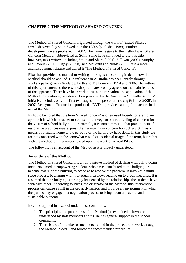<span id="page-10-0"></span>The Method of Shared Concern originated through the work of Anatol Pikas, a Swedish psychologist, in Sweden in the 1980s (published 1989). Further developments were published in 2002. The name he gave to the method was 'Shared Concern Method', abbreviated as SCm. Some have continued to use this title; however, most writers, including Smith and Sharp (1994), Sullivan (2000), Murphy and Lewers (2000), Rigby (2005b), and McGrath and Noble (2006), use a more anglicised nomenclature and called it 'The Method of Shared Concern'.

Pikas has provided no manual or writings in English describing in detail how the Method should be applied. His influence in Australia has been largely through workshops he gave in Adelaide, Perth and Melbourne in 1994 and 2006. The authors of this report attended these workshops and are broadly agreed on the main features of the approach. There have been variations in interpretation and application of the Method. For instance, one description provided by the Australian 'Friendly Schools' initiative includes only the first two stages of the procedure (Erceg  $& Cross 2008$ ). In 2007, Readymade Productions produced a DVD to provide training for teachers in the use of the Method.

It should be noted that the term 'shared concern' is often used loosely to refer to any approach in which a teacher or counsellor conveys to others a feeling of concern for the victim of school bullying. For example, it is sometimes said that practitioners of restorative practices may express their sympathy or concern for such a victim as a means of bringing home to the perpetrator the harm they have done. In this study we are not concerned with the somewhat casual or incidental usage of the term, but rather with the method of intervention based upon the work of Anatol Pikas.

The following is an account of the Method as it is broadly understood.

# **An outline of the Method**

The Method of Shared Concern is a non-punitive method of dealing with bully/victim incidents aimed at empowering students who have contributed to the bullying or become aware of the bullying to act so as to resolve the problem. It involves a multistage process, beginning with individual interviews leading on to group meetings. It is assumed that the bullying is strongly influenced by the relationships the students have with each other. According to Pikas, the originator of the Method, this intervention process can cause a shift in the group dynamics, and provide an environment in which the parties may engage in a negotiation process to bring about a peaceful and sustainable outcome.

It can be applied in a school under these conditions:

- 1. The principles and procedures of the Method (as explained below) are understood by staff members and its use has general support in the school community.
- 2. There is a staff member or members trained in the procedure to work through the Method in detail and follow the recommended procedure.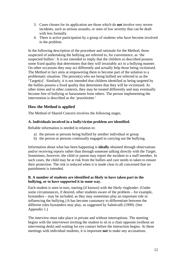- <span id="page-11-0"></span>3. Cases chosen for its application are those which do **not** involve very severe incidents, such as serious assaults, or ones of low severity that can be dealt with less formally.
- 4. There is active participation by a group of students who have become involved in the problem.

In the following description of the procedure and rationale for the Method, those suspected of undertaking the bullying are referred to, for convenience, as 'the suspected bullies'. It is not intended to imply that the children so described possess some fixed quality that determines that they will invariably act in a bullying manner. On other occasions they may act differently and actually help those being victimised. The Method in fact aims at empowering them to become part of the solution to a problematic situation. The person(s) who are being bullied are referred to as the 'Target(s)'. Similarly, it is not intended that children identified as being targeted by the bullies possess a fixed quality that determines that they will be victimised. At other times and in other contexts, they may be treated differently and may eventually become free of bullying or harassment from others. The person implementing the intervention is described as the 'practitioner.'

# **How the Method is applied**

The Method of Shared Concern involves the following stages.

# **A. Individuals involved in a bully/victim problem are identified.**

Reliable information is needed in relation to:

- a) the person or persons being bullied by another individual or group
- b) the person or persons continually engaged in carrying out the bullying.

Information about what has been happening is **ideally** obtained through observations and/or receiving reports rather than through someone talking directly with the Target. Sometimes, however, the child or parent may report the incident to a staff member. In such cases, the child may be at risk from the bullies and care needs to taken to ensure their protection. The risk is reduced when it is made clear to all concerned that no punishment is intended.

# **B. A number of students are identified as likely to have taken part in the bullying, or to have supported it in some way.**

Each student is seen in turn, starting (if known) with the likely ringleader. (Under some circumstances, if desired, other students aware of the problem – for example, bystanders – may be included, as they may sometimes play an important role in influencing the bullying.) It has become customary to differentiate between the different roles bystanders may play, as suggested by Salmivalli (1999). (See Appendix 1.)

The interview must take place in private and without interruptions. The meeting begins with the interviewer inviting the student to sit in a chair opposite (without an intervening desk) and waiting for eye contact before the interaction begins. At these meetings with individual students, it is important **not** to make any accusations.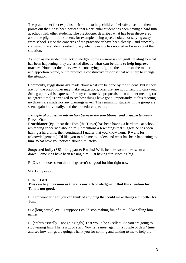The practitioner first explains their role – to help children feel safe at school, then points out that it has been noticed that a particular student has been having a hard time at school with other students. The practitioner describes what has been discovered about the plight of this student, for example, being upset, isolated or staying away from school. Once the concerns of the practitioner have been clearly – and sincerely – conveyed, the student is asked to say what he or she has noticed or knows about the situation.

As soon as the student has acknowledged some awareness (not guilt) relating to what has been happening, they are asked directly **what can be done to help improve matters**. Note that the interviewer is not trying to 'get to the bottom of the matter' and apportion blame, but to produce a constructive response that will help to change the situation.

Commonly, suggestions **are** made about what can be done by the student. But if they are not, the practitioner may make suggestions, ones that are not difficult to carry out. Strong approval is expressed for any constructive proposals; then another meeting (at an agreed time) is arranged to see how things have gone. Importantly, at this meeting no threats are made nor any warnings given. The remaining students in the group are seen, again individually, and the procedure repeated.

# *Example of a possible interaction between the practitioner and a suspected bully*  **PHASE ONE**

**Practitioner (P):** I hear that Tom [the Target] has been having a hard time at school. I am feeling concerned about him. [P mentions a few things that suggest he has been having a hard time, then continues.] I gather that you know Tom. [P waits for acknowledgement.] I'd like you to help me to understand what has been happening to him. What have you noticed about him lately?

**Suspected bully (SB):** [long pause; P waits] Well, he does sometimes seem a bit down. Some kids have been teasing him. Just having fun. Nothing big.

**P:** Oh, so it does seem that things aren't so good for him right now.

**SB:** I suppose so.

# **PHASE TWO**

### **This can begin as soon as there is any acknowledgment that the situation for Tom is not good.**

**P:** I am wondering if you can think of anything that could make things a bit better for Tom.

**SB:** [long pause] Well, I suppose I could stop making fun of him – like calling him names.

**P:** [enthusiastically – not grudgingly] That would be excellent. So you are going to stop teasing him. That's a good start. Now let's meet again in a couple of days' time and see how things are going. Thank you for coming and talking to me to help the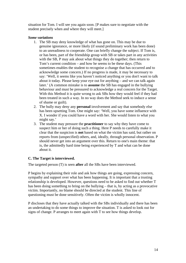situation for Tom. I will see you again soon. [P makes sure to negotiate with the student precisely when and where they will meet.]

### *Some variations*

- 1. The SB may deny knowledge of what has gone on. This may be due to genuine ignorance, or more likely (if sound preliminary work has been done) to an unreadiness to cooperate. One can briefly change the subject. If Tom is, or has been, part of the friendship group with SB or takes part in any activities with the SB, P may ask about what things they do together; then return to Tom's current condition – and how he seems to be these days. (This sometimes enables the student to recognise a change that has occurred and to acknowledge some concern.) If no progress is made, it may be necessary to say: 'Well, it seems like you haven't noticed anything or you don't want to talk about it today. Please keep your eye out for anything – and we can talk again later.' (A common mistake is to **assume** the SB has engaged in the bullying behaviour and must be pressured to acknowledge a real concern for the Target. With this Method it is quite wrong to ask SBs how they would feel if they had been treated in such a way. In no way does the Method seek to induce a sense of shame or guilt).
- 2. The bully may deny any **personal** involvement and say that somebody else has been upsetting Tom. One might say: 'Well, you have some influence with X. I wonder if you could have a word with her. She would listen to what you might say.'
- 3. The student may pressure the **practitioner** to say why they have come to suspect him or her of doing such a thing. Here P needs to carefully make it clear that the suspicion is **not** based on what the victim has said, but rather on reports from (unspecified) others, and, ideally, through personal observation. P should never get into an argument over this. Return to one's main theme: that is, the admittedly hard time being experienced by T and what can be done about it.

# **C. The Target is interviewed.**

The targeted person (T) is seen **after** all the SBs have been interviewed.

P begins by explaining their role and ask how things are going, expressing concern, sympathy and support over what has been happening. It is important that a trusting relationship is developed. However, questions need to be asked to find out whether T has been doing something to bring on the bullying – that is, by acting as a provocative victim. Importantly, no blame should be directed at the student. This line of questioning must be done sensitively. Often the victim is wholly innocent.

P discloses that they have actually talked with the SBs individually and there has been an undertaking to do some things to improve the situation. T is asked to look out for signs of change. P arranges to meet again with T to see how things develop.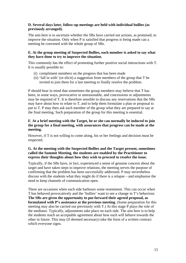### **D. Several days later, follow-up meetings are held with individual bullies (as previously arranged).**

The aim here is to ascertain whether the SBs have carried out actions, as promised, to improve the situation. Only when P is satisfied that progress is being made can a meeting be convened with the whole group of SBs.

# **E. At the group meeting of Suspected Bullies, each member is asked to say what they have done to try to improve the situation.**

This commonly has the effect of promoting further positive social interactions with T. It is usually possible to:

- (i) compliment members on the progress that has been made
- (ii) 'fall in with' (or elicit) a suggestion from members of the group that T be invited to join them for a last meeting to finally resolve the problem.

P should bear in mind that sometimes the group members may believe that T has been, in some ways, provocative or unreasonable, and concessions or adjustments may be required of T. It is therefore sensible to discuss any reservations that the SBs may have about how to relate to T, and to help them formulate a plan or proposal to put to T. P may then ask each member of the group what they are prepared to say at the final meeting. Such preparation of the group for this meeting is essential.

### **F. At a brief meeting with the Target, he or she can normally be induced to join the group for a final meeting, with assurances that progress can be made at the meeting.**

However, if T is not willing to come along, his or her feelings and decision must be respected.

# **G. At the meeting with the Suspected Bullies and the Target present, sometimes called the Summit Meeting, the students are enabled by the Practitioner to express their thoughts about how they wish to proceed to resolve the issue.**

Typically, if the SBs have, in fact, experienced a sense of genuine concern about the target and have taken steps to improve relations, the meeting serves the purpose of confirming that the problem has been successfully addressed. P may nevertheless discuss with the students what they might do if there is a relapse – and emphasise the need to keep channels of communication open.

There are occasions when each side harbours some resentment. This can occur when T has behaved provocatively and the 'bullies' want to see a change in T's behaviour. **The SBs are given the opportunity to put forward their agreed proposal, as formulated with P's assistance at the previous meeting**. (Some preparation for this meeting may also be carried out previously with T.) At this stage P plays the role of the mediator. Typically, adjustments take place on each side. The aim here is to help the students reach an acceptable agreement about how each will behave towards the other in future. This may (if deemed necessary) take the form of a written contract which everyone signs.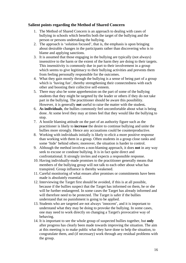# <span id="page-15-0"></span>**Salient points regarding the Method of Shared Concern**

- 1. The Method of Shared Concern is an approach to dealing with cases of bullying in schools which benefits both the target of the bullying and the person or persons undertaking the bullying.
- 2. The approach is 'solution focused', that is, the emphasis is upon bringing about desirable changes in the participants rather than discovering who is to blame and applying sanctions.
- 3. It is assumed that those engaging in the bullying are typically (not always) insensitive to the harm or the extent of the harm they are doing to their targets. This insensitivity is commonly due in part to their involvement in a group which seems to give legitimacy to their bullying activities and prevents them from feeling personally responsible for the outcomes.
- 4. What they gain mostly through the bullying is a sense of being part of a group which is 'having fun', thereby strengthening their connectedness with each other and boosting their collective self-esteem.
- 5. There may also be some apprehension on the part of some of the bullying students that they might be targeted by the leader or others if they do not take part in the bullying. The practitioner should be aware this possibility. However, it is generally **not** useful to raise the matter with the student**.**
- 6. **As individuals**, the bullies commonly feel uncomfortable about what is being done. At some level they may at times feel that they would like the bullying to stop.
- 7. A hostile blaming attitude on the part of an authority figure such as the practitioner is likely to **increase** the desire to continue bullying and unite the bullies more strongly. Hence any accusations could be counterproductive.
- 8. Working with individuals initially is likely to elicit a more positive response than working with them in a group. Often students in a group close ranks and some 'hide' behind others; moreover, the situation is harder to control.
- 9. Although the method involves a non-blaming approach, it does **not** in any way seek to excuse or condone bullying. It is in fact quite direct and confrontational. It strongly invites and expects a responsible response.
- 10. Having individually-made promises to the practitioner generally means that members of the bullying group will not talk to each other about what has transpired. Group influence is thereby weakened.
- 11. Careful monitoring of what ensues after promises or commitments have been made is absolutely essential.
- 12. Interviewing the Target first should be avoided, if this is at all possible, because if the bullies suspect that the Target has informed on them, he or she will be further endangered. In some cases the Target has already informed and will therefore need to be protected. The Target is safer if the bullies understand that no punishment is going to be applied.
- 13. Students who are targeted are not always 'innocent', and it is important to understand what they may be doing to provoke the bullying. In some cases, one may need to work directly on changing a Target's provocative way of behaving.
- 14. It is important to see the whole group of suspected bullies together, but **only**  after progress has clearly been made towards improving the situation. The aim at this meeting is to make public what they have done to help the situation, to congratulate them, and (if necessary) work through any residual problems with the group.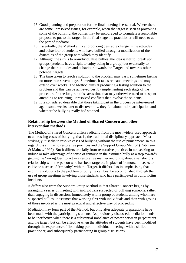- 15. Good planning and preparation for the final meeting is essential. Where there are some unresolved issues, for example, when the target is seen as provoking some of the bullying, the bullies may be encouraged to formulate a reasonable proposal to put to the target. In the final stage the practitioner will need to act the part of mediator.
- 16. Essentially, the Method aims at producing desirable change in the attitudes and behaviour of students who have bullied through a modification of the dynamics of the group with which they identify.
- 17. Although the aim is to re-individualise bullies, the idea is **not** to 'break up' groups (students have a right to enjoy being in a group) but eventually to change their attitudes and behaviour towards the Target and towards other potential targets.
- 18. The time taken to reach a solution to the problem may vary, sometimes lasting no more than several days. Sometimes it takes repeated meetings and may extend over weeks. The Method aims at producing a lasting solution to the problem and this can be achieved best by implementing each stage of the procedure. In the long run this saves time that may otherwise need to be spent attending to recurring, unresolved conflicts that involve the students.
- 19. It is considered desirable that those taking part in the process be interviewed again some weeks later to discover how they felt about their participation and whether the bullying really had stopped.

# **Relationship between the Method of Shared Concern and other intervention methods**

The Method of Shared Concern differs radically from the most widely used approach to addressing cases of bullying, that is, the traditional disciplinary approach. Most strikingly, it seeks to resolve cases of bullying without the use of punishment. In this regard it is similar to restorative practices and the Support Group Method (Robinson & Maines, 1997). But it differs crucially from restorative practices in not seeking to induce or take advantage of a sense of remorse in the assumed bully as a step towards getting the 'wrongdoer' to act in a restorative manner and bring about a satisfactory relationship with the person who has been targeted. In place of 'remorse' it seeks to cultivate a sense of 'empathy' with the Target. It differs also in emphasising that enduring solutions to the problem of bullying can best be accomplished through the use of group meetings involving those students who have participated in bully/victim incidents.

It differs also from the Support Group Method in that Shared Concern begins by arranging a series of meeting with **individuals** suspected of bullying someone, rather than engaging in discussions immediately with a group of students among whom are suspected bullies. It assumes that working first with individuals and then with groups of those involved is the most practical and effective way of proceeding.

Mediation may form part of the Method, but only after adequate preparations have been made with the participating students. As previously discussed, mediation tends to be ineffective when there is a substantial imbalance of power between perpetrators and the target, but can be effective when the attitudes of students have been modified through the experience of first taking part in individual meetings with a skilled practitioner, and subsequently participating in group discussions.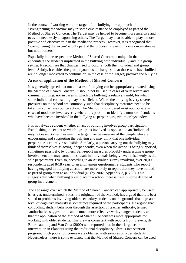In the course of working with the target of the bullying, the approach of 'strengthening the victim' may in some circumstance be employed as part of the Method of Shared Concern. The Target may be helped to become more assertive and to avoid needlessly antagonising others. The Target may also be able to play a more positive and effective role in the mediation process. However, it is recognised that 'strengthening the victim' is only part of the process, relevant in some circumstances but not in others.

Especially in one respect, the Method of Shared Concern is unique in that it encounters the students implicated in the bullying both individually and in a group setting. It recognises that changes need to occur at both the individual and group level. Subtly, it enables the group dynamics to change so that those who have bullied are no longer motivated to continue or (in the case of the Target) provoke the bullying

# **Areas of application of the Method of Shared Concern**

It is generally agreed that not all cases of bullying can be appropriately treated using the Method of Shared Concern. It should not be used in cases of very severe and criminal bullying; nor in cases in which the bullying is relatively mild, for which some individual counselling may be sufficient. Where the bullying is very severe, pressures on the school are commonly such that disciplinary measures need to be taken; in some cases police action. The Method is considered most appropriate in cases of moderate-level severity where it is possible to identify a number of students who have become involved in the bullying as perpetrators, victim or bystanders.

It is not always evident whether an act of bullying involves group participation. Establishing the extent to which 'group' is involved as opposed to an 'individual' may not easy. Sometimes even the target may be unaware of the people who are encouraging and supporting the bullying and may think that one individual perpetrator is entirely responsible. Similarly, a person carrying out the bullying may think of themselves as acting independently, even when the action is being supported, sometimes passively, by others. Self-report measures probably underestimate group involvement and may sometimes result in individuals being viewed mistakenly as the sole perpetrators. Even so, according to an Australian survey involving over 30,000 respondents aged 8-18 years to an anonymous questionnaire, students who report having engaged in bullying at school are more likely to report that they have bullied as part of group than as an individual (Rigby 2002, Appendix 3, p. 283). This suggests that when bullying takes place in a school there is usually some degree of group involvement.

The age range over which the Method of Shared Concern can appropriately be used is, as yet, undetermined. Pikas, the originator of the Method, has argued that it is best suited to problems involving older, secondary students, on the grounds that a greater level of cognitive maturity is sometimes required of the participants. He argued that controlling student behaviour through the assertion of teacher authority, termed 'authoritative suggestion', can be much more effective with younger students, and that the application of the Method of Shared Concern was more appropriate for working with older students. This view is consistent with reports from Stevens, de Bourdeaudhuij and Van Oost (2000) who reported that, in their large-scale intervention in Flanders using the traditional disciplinary Olweus intervention program, much poorer outcomes were obtained with samples of older students. Nevertheless, there is some evidence that the Method of Shared Concern can be used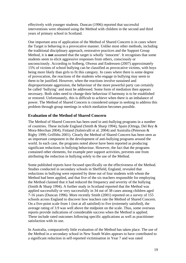effectively with younger students. Duncan (1996) reported that successful interventions were obtained using the Method with children in the second and third years of primary school in Scotland.

One important area of application of the Method of Shared Concern is in cases where the Target is behaving in a provocative manner. Unlike most other methods, including the traditional disciplinary approach, restorative practices and the Support Group Method, it is **not** assumed that the target is wholly 'innocent'. It recognises that some students seem to elicit aggressive responses from others, consciously or unconsciously. According to Solberg, Olweus and Endressen (2007) approximately 15% of victims of school bullying can be classified as provocative victims, with boys being more likely than girls to fit this category. In cases where there is some degree of provocation, the reactions of the students who engage in bullying may seem to them to be justified. However, when the reactions involve sustained and disproportionate aggression, the behaviour of the more powerful party can certainly be called 'bullying' and must be addressed. Some form of mediation then appears necessary. Both sides need to change their behaviour if harmony is to be established or restored. Unfortunately, this is difficult to achieve when there is an imbalance of power. The Method of Shared Concern is considered unique in seeking to address this problem through group meetings in which mediation becomes possible.

# **Evaluation of the Method of Shared Concern**

The Method of Shared Concern has been used in anti-bullying programs in a number of countries. These include England (Smith & Sharp 1994), Spain (Ortega, Del Rey & Mora-Merchan 2004), Finland (Salmivalli et al. 2004) and Australia (Peterson & Rigby 1999; Griffiths 2001). Clearly the Method of Shared Concern has been seen as an important component in the development of anti-bullying programs around the world. In each case, the programs noted above have been reported as producing significant reductions in bullying behaviour. However, the fact that the programs contained other elements, for example peer support activities, prevents one from attributing the reduction in bullying solely to the use of the Method.

Some published reports have focused specifically on the effectiveness of the Method. Studies conducted in secondary schools in Sheffield, England, revealed that reductions in bullying were reported by three out of four students with whom the Method had been applied, and that five of the six teachers responsible for employing the Method claimed that it had reduced the frequency and severity of the bullying (Smith & Sharp 1994). A further study in Scotland reported that the Method was applied successfully or very successfully in 34 out of 38 cases among children aged 7-16 years (Duncan 1996). More recently Smith (2001) reported on a survey of 155 schools across England to discover how teachers rate the Method of Shared Concern. On a five-point scale from 1 (not at all satisfied) to five (extremely satisfied), the average rating of 3.9 was well above the midpoint on the scale. Thus, some overseas reports provide indications of considerable success when the Method is applied. These include rated outcomes following specific applications as well as practitioner satisfaction with its use.

In Australia, comparatively little evaluation of the Method has taken place. The use of the Method in a secondary school in New South Wales appears to have contributed to a significant reduction in self-reported victimisation in Year 7 and was rated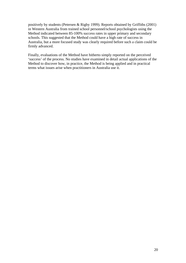positively by students (Petersen & Rigby 1999). Reports obtained by Griffiths (2001) in Western Australia from trained school personnel/school psychologists using the Method indicated between 85-100% success rates in upper primary and secondary schools. This suggested that the Method could have a high rate of success in Australia, but a more focused study was clearly required before such a claim could be firmly advanced.

Finally, evaluations of the Method have hitherto simply reported on the perceived 'success' of the process. No studies have examined in detail actual applications of the Method to discover how, in practice, the Method is being applied and in practical terms what issues arise when practitioners in Australia use it.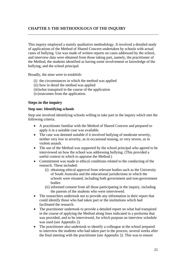# **CHAPTER 3: THE METHODOLOGY OF THE INQUIRY**

This inquiry employed a mainly qualitative methodology. It involved a detailed study of applications of the Method of Shared Concern undertaken by schools with actual cases of bullying. Use was made of written reports on cases addressed by the school, and interview data were obtained from those taking part, namely, the practitioner of the Method, the students identified as having some involvement or knowledge of the bullying, and the school principal.

Broadly, the aims were to establish:

- (i) the circumstances in which the method was applied
- (ii) how in detail the method was applied
- (iii)what transpired in the course of the application
- (iv)outcomes from the application.

### **Steps in the inquiry**

#### **Step one: Identifying schools**

Step one involved identifying schools willing to take part in the inquiry which met the following criteria.

- A practitioner familiar with the Method of Shared Concern and prepared to apply it in a suitable case was available.
- The case was deemed suitable if it involved bullying of moderate severity, neither very low in severity, as in occasional teasing, or very severe, as in violent assault.
- The use of the Method was supported by the school principal who agreed to be interviewed on how the school was addressing bullying. (This provided a useful context in which to appraise the Method.)
- Commitment was made to ethical conditions related to the conducting of the research. These included:
	- (i) obtaining ethical approval from relevant bodies such as the University of South Australia and the educational jurisdictions in which the schools were situated, including both government and non-government bodies
	- (ii) informed consent from all those participating in the inquiry, including the parents of the students who were interviewed.
- The researchers undertook not to provide any information in their report that could identify those who had taken part or the institutions which had facilitated the research.
- The practitioner undertook to provide a detailed report on what had transpired in the course of applying the Method along lines indicated in a proforma that was provided; and to be interviewed, for which purpose an interview schedule was used (see Appendix 2)
- The practitioner also undertook to identify a colleague at the school prepared to interview the students who had taken part in the process, several weeks after the final meeting with the practitioner (see Appendix 2). This was to ensure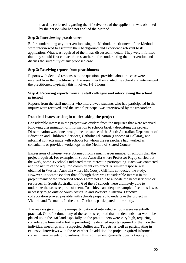that data collected regarding the effectiveness of the application was obtained by the person who had not applied the Method.

# **Step 2: Interviewing practitioners**

Before undertaking any intervention using the Method, practitioners of the Method were interviewed to ascertain their background and experience relevant to its application. What was required of them was discussed in detail. They were informed that they should first contact the researcher before undertaking the intervention and discuss the suitability of any proposed case.

# **Step 3: Receiving reports from practitioners**

Reports with detailed responses to the questions provided about the case were received from the practitioners. The researcher then visited the school and interviewed the practitioner. Typically this involved 1-1.5 hours.

### **Step 4: Receiving reports from the staff colleague and interviewing the school principal**

Reports from the staff member who interviewed students who had participated in the inquiry were received, and the school principal was interviewed by the researcher.

# **Practical issues arising in undertaking the project**

Considerable interest in the project was evident from the inquiries that were received following dissemination of information to schools briefly describing the project. Dissemination was done through the assistance of the South Australian Department of Education and Children's Services, Catholic Education (Diocese of Ballarat), and informal contacts made with schools for whom the researchers had worked as consultants or provided workshops on the Method of Shared Concern.

Expressions of interest were obtained from a much larger number of schools than the project required. For example, in South Australia where Professor Rigby carried out the work, some 35 schools indicated their interest in participating. Each was contacted and the nature of the required commitment explained. A similar response was obtained in Western Australia where Ms Coosje Griffiths conducted the study. However, it became evident that although there was considerable interest in the project many of the interested schools were not able to allocate the necessary time or resources. In South Australia, only 6 of the 35 schools were ultimately able to undertake the tasks required of them. To achieve an adequate sample of schools it was necessary to go outside South Australia and Western Australia. Effective collaboration proved possible with schools prepared to undertake the project in Victoria and Tasmania. In the end 17 schools participated in the study.

The reasons given for the non-participation of interested schools were essentially practical. On reflection, many of the schools reported that the demands that would be placed upon the staff and especially on the practitioners were very high, requiring considerable time and effort in providing the detailed reports required of them on the individual meetings with Suspected Bullies and Targets, as well as participating in extensive interviews with the researcher. In addition the project required informed consent from parents or guardians. This requirement generally does not apply to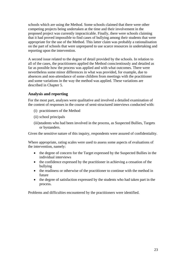schools which are using the Method. Some schools claimed that there were other competing projects being undertaken at the time and their involvement in the proposed project was currently impracticable. Finally, there were schools claiming that it had proved impossible to find cases of bullying among their students that were appropriate for the use of the Method. This latter claim was probably a rationalisation on the part of schools that were unprepared to use scarce resources in undertaking and reporting upon the intervention.

A second issue related to the degree of detail provided by the schools. In relation to all of the cases, the practitioners applied the Method conscientiously and detailed as far as possible how the process was applied and with what outcomes. There were nevertheless some minor differences in what was provided, for example, due to absences and non-attendance of some children from meetings with the practitioner and some variations in the way the method was applied. These variations are described in Chapter 5.

# **Analysis and reporting**

For the most part, analyses were qualitative and involved a detailed examination of the content of responses in the course of semi-structured interviews conducted with:

- (i) practitioners of the Method
- (ii) school principals
- (iii)students who had been involved in the process, as Suspected Bullies, Targets or bystanders.

Given the sensitive nature of this inquiry, respondents were assured of confidentiality.

Where appropriate, rating scales were used to assess some aspects of evaluations of the intervention, namely:

- the degree of concern for the Target expressed by the Suspected Bullies in the individual interviews
- the confidence expressed by the practitioner in achieving a cessation of the bullying
- the readiness or otherwise of the practitioner to continue with the method in future
- the degree of satisfaction expressed by the students who had taken part in the process.

Problems and difficulties encountered by the practitioners were identified.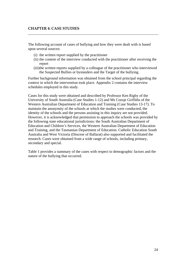# **CHAPTER 4: CASE STUDIES**

The following account of cases of bullying and how they were dealt with is based upon several sources:

- (i) the written report supplied by the practitioner
- (ii) the content of the interview conducted with the practitioner after receiving the report
- (iii)the written reports supplied by a colleague of the practitioner who interviewed the Suspected Bullies or bystanders and the Target of the bullying.

Further background information was obtained from the school principal regarding the context in which the intervention took place. Appendix 2 contains the interview schedules employed in this study.

Cases for this study were obtained and described by Professor Ken Rigby of the University of South Australia (Case Studies 1-12) and Ms Coosje Griffiths of the Western Australian Department of Education and Training (Case Studies 13-17). To maintain the anonymity of the schools at which the studies were conducted, the identity of the schools and the persons assisting in this inquiry are not provided. However, it is acknowledged that permission to approach the schools was provided by the following state educational jurisdictions: the South Australian Department of Education and Children's Services, the Western Australian Department of Education and Training, and the Tasmanian Department of Education. Catholic Education South Australia and West Victoria (Diocese of Ballarat) also supported and facilitated the research. Cases were obtained from a wide range of schools, including primary, secondary and special.

Table 1 provides a summary of the cases with respect to demographic factors and the nature of the bullying that occurred.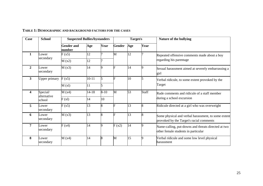| <b>Case</b>    | <b>School</b>                     | <b>Suspected Bullies/bystanders</b> |           |          | Target/s      |     | <b>Nature of the bullying</b> |                                                                                                 |
|----------------|-----------------------------------|-------------------------------------|-----------|----------|---------------|-----|-------------------------------|-------------------------------------------------------------------------------------------------|
|                |                                   | <b>Gender and</b><br>number         | Age       | Year     | <b>Gender</b> | Age | Year                          |                                                                                                 |
| 1              | Lower<br>secondary                | F(x5)                               | 12        | 7        | M             | 12  |                               | Repeated offensive comments made about a boy<br>regarding his parentage                         |
|                |                                   | M(x2)                               | 12        |          |               |     |                               |                                                                                                 |
| $\overline{2}$ | Lower<br>secondary                | M(x3)                               | 14        | 9        |               | 14  |                               | Sexual harassment aimed at severely embarrassing a<br>girl                                      |
| $\overline{3}$ | <b>Upper primary</b>              | F(x5)                               | $10 - 11$ | 5        |               | 10  |                               | Verbal ridicule, to some extent provoked by the<br>Target                                       |
|                |                                   | M(x)                                | 11        | 5        |               |     |                               |                                                                                                 |
| 4              | Special/<br>alternative<br>school | M(x4)                               | $14 - 18$ | $8 - 10$ | M             | 53  | <b>Staff</b>                  | Rude comments and ridicule of a staff member<br>during a school excursion                       |
|                |                                   | F(x)                                | 14        | 10       |               |     |                               |                                                                                                 |
| 5              | Lower<br>secondary                | F(x5)                               | 13        | 8        |               | 13  |                               | Ridicule directed at a girl who was overweight                                                  |
| 6              | Lower<br>secondary                | M(x3)                               | 13        | 8        |               | 13  |                               | Some physical and verbal harassment, to some extent<br>provoked by the Target's racial comments |
| 7              | Lower<br>secondary                | F(x4)                               | 14        | g        | F(x2)         | 14  |                               | Name-calling, put-downs and threats directed at two<br>other female students in particular      |
| 8              | Lower<br>secondary                | M(x4)                               | 14        | 8        | M             | 15  |                               | Verbal ridicule and some low level physical<br>harassment                                       |

#### **TABLE 1: DEMOGRAPHIC AND BACKGROUND FACTORS FOR THE CASES**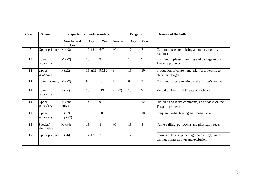| <b>School</b><br>Case |                         | <b>Suspected Bullies/bystanders</b> |           |      | Target/s      |     |      | Nature of the bullying                                                                 |
|-----------------------|-------------------------|-------------------------------------|-----------|------|---------------|-----|------|----------------------------------------------------------------------------------------|
|                       |                         | <b>Gender and</b><br>number         | Age       | Year | <b>Gender</b> | Age | Year |                                                                                        |
| 9                     | <b>Upper primary</b>    | M(x3)                               | $10-12$   | 6/7  | M             | 12  |      | Continual teasing to bring about an emotional<br>response                              |
| 10                    | Lower<br>secondary      | M(x2)                               | 15        | 9    | F             | 15  |      | Constant unpleasant teasing and damage to the<br>Target's property                     |
| 11                    | Upper<br>secondary      | F(x2)                               | 15 & 16   | 9&10 | F             | 15  | 10   | Production of content material for a website to<br>abuse the Target                    |
| 12                    | Lower primary           | M(x2)                               |           | 3    | M             | 8   | R    | Constant ridicule relating to the Target's height                                      |
| 13                    | Lower<br>secondary      | F(x4)                               | 15        | 19   | F(x2)         | 15  | q    | Verbal bullying and threats of violence                                                |
| 14                    | Upper<br>secondary      | M (one<br>only)                     | 14        | Q    | F             | 18  | 12   | Ridicule and racist comments, and attacks on the<br>Target's property                  |
| 15                    | Upper<br>secondary      | F(x2)<br>By $(x2)$                  | 15        | 10   | F             | 15  | 10   | Frequent verbal teasing and mean tricks                                                |
| 16                    | Special/<br>alternative | M(x4)                               | 13        | 8    | M             | 13  |      | Name-calling, put-downs and physical threats                                           |
| 17                    | <b>Upper primary</b>    | F(x6)                               | $12 - 13$ |      | F             | 12  |      | Serious bullying, punching, threatening, name-<br>calling, things thrown and exclusion |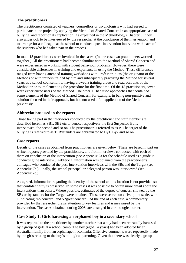# **The practitioners**

The practitioners consisted of teachers, counsellors or psychologists who had agreed to participate in the project by applying the Method of Shared Concern in an appropriate case of bullying, and report on its application. As explained in the Methodology (Chapter 3), they also undertook to be interviewed by the researcher at the conclusion of the intervention, and to arrange for a colleague at the school to conduct a post-intervention interview with each of the students who had taken part in the process.

In total, 18 practitioners were involved in the cases. (In one case two practitioners worked together.) All the practitioners had become familiar with the Method of Shared Concern and were experienced in working with student behaviour problems. However, there were considerable differences in training and experience in using the Method. These differences ranged from having attended training workshops with Professor Pikas (the originator of the Method) or with trainers trained by him and subsequently practising the Method for several years as a school counsellor, to having viewed a training video and read accounts of the Method prior to implementing the procedure for the first time. Of the 18 practitioners, seven were experienced users of the Method. The other 11 had used approaches that contained some elements of the Method of Shared Concern, for example, in being non-punitive and solution-focused in their approach, but had not used a full application of the Method previously.

# **Abbreviations used in the reports**

Those taking part in the interviews conducted by the practitioner and staff member are described herein as SB1, SB2 etc to denote respectively the first Suspected Bully interviewed, the second and so on. The practitioner is referred to as P. The target of the bullying is referred to as T. Bystanders are abbreviated to By1, By2 and so on.

# **Case reports**

Details of the cases as obtained from practitioners are given below. These are based in part on written reports provided by the practitioners, and from interviews conducted with each of them on conclusion of the intervention (see Appendix 2a for the schedule used as a guide in conducting the interview.) Additional information was obtained from the practitioner's colleague who conducted the post-intervention interviews with the SBs and the Target (see Appendix 2b.) Finally, the school principal or delegated person was interviewed (see Appendix 2c.)

As agreed, information regarding the identity of the school and its location is not provided so that confidentiality is preserved. In some cases it was possible to obtain more detail about the interventions than others. Where possible, estimates of the degree of concern showed by the SBs or bystanders for the Target were obtained. These were scored on a five-point scale, with 1 indicating 'no concern' and 5 'great concern'. At the end of each case, a commentary provided by the researcher draws attention to key features and issues raised by the intervention. The cases, obtained during 2008, are arranged in chronological order.

# **Case Study 1: Girls harassing an orphaned boy in a secondary school**

It was reported to the practitioner by another teacher that a boy had been repeatedly harassed by a group of girls at a school camp. The boy (aged 14 years) had been adopted by an Australian family from an orphanage in Romania. Offensive comments were repeatedly made by the girls relating to the boy's biological parenting. Given that there was clearly a group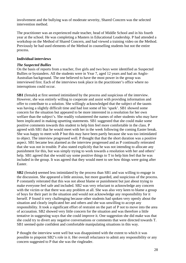involvement and the bullying was of moderate severity, Shared Concern was the selected intervention method.

The practitioner was an experienced male teacher, head of Middle School and in his fourth year at the school. He was completing a Masters in Educational Leadership. P had attended a workshop on the Method of Shared Concern, and had viewed a training video on the Method. Previously he had used elements of the Method in counselling students but not the entire process.

### **Individual interviews**

### *The Suspected Bullies*

On the basis of reports from a teacher, five girls and two boys were identified as Suspected Bullies or bystanders. All the students were in Year 7, aged 12 years and had an Anglo-Australian background. The one believed to have the most power in the group was interviewed first. Each of the interviews took place in the practitioner's office where no interruptions could occur.

**SB1** (female**)** at first seemed intimidated by the process and suspicious of the interview. However, she was entirely willing to cooperate and assist with providing information and offer to contribute to a solution. She willingly acknowledged that the subject of the taunts was having a slightly difficult time and had lost some of his 'spark'. SB1 showed some concern for the situation but appeared to be more interested in a resolution for her own welfare than the subject's. She readily volunteered the names of other students who may have been implicated in making upsetting statements. SB1 suggested that she could make some positive comments towards this student to help him feel more comfortable in the class. P agreed with SB1 that he would meet with her in the week following the coming Easter break. She was happy to meet with P but this may have been partly because she was too intimidated to object. The interview progressed well. P thought that that the short duration was a positive aspect. SB1 became less alarmed as the interview progressed and as P continually reiterated that she was not in trouble. P also stated explicitly that he was not intending to allocate any punishment for this, but was simply trying to work towards a resolution with her and others' help. SB1 agreed that she would say some positive things to T to help him feel that he was included in the group. It was agreed that they would meet to see how things were going after Easter.

**SB2** (female**)** seemed less intimidated by the process than SB1 and was willing to engage in the discussion. She appeared a little anxious, but more guarded, and suspicious of the process. P constantly reiterated that this was not about blame or punishment but just about trying to make everyone feel safe and included. SB2 was very reluctant to acknowledge any concern with the victim or that there was any problem at all. She was also very keen to blame a group of boys for their part in the situation and would not acknowledge any responsibility for it herself. P found it very challenging because other students had spoken very openly about the situation and clearly implicated her and others and she was unwilling to accept any responsibility. It took a significant effort of restraint on the part of P not to move into the area of accusation. SB2 showed very little concern for the situation and was therefore a little tentative in suggesting ways that she could improve it. One suggestion she did make was that she could try to divert any negative conversations or comments that were directed towards T. SB1 seemed quite confident and comfortable manipulating situations in this way.

P thought the interview went well but was disappointed with the extent to which it was possible to pinpoint SB2's role in it. Her overall reluctance to admit any responsibility or any concern suggested to P that she was the ringleader.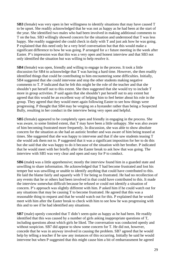**SB3** (female) was very open in her willingness to identify situations that may have caused T to be upset. She readily acknowledged that he was not as happy as he had been at the start of the year. She identified two males who had been involved in making additional comments to T on the bus. SB3 willingly showed concern for the situation and understood that T was less happy. She readily suggested she could check in daily with T and just ask how he was going. P explained that this need only be a very brief conversation but that this would make a significant difference to how he was going. P arranged for a r future meeting in the week after Easter. P's impression was that this was a very open and honest interview and that SB3 not only identified the situation but was willing to help resolve it.

**SB4** (female) was open, friendly and willing to engage in the process. It took a little discussion for SB4 to acknowledge that T was having a hard time. However, she then readily identified things that could be contributing to him encountering some difficulties. Initially, SB4 suggested that she could intervene and stop the other students making negative comments to T. P indicated that he felt this might be the role of the teacher and that she shouldn't put herself out to this extent. She then suggested that she would try to include T more in group activities. P said again that she shouldn't put herself out to any extent but agreed that this would be an excellent way of helping him to feel better about his role in the group. They agreed that they would meet again following Easter to see how things were progressing. P thought that SB4 may be verging on a bystander rather than being a Suspected Bully, resulting in her conduct in the interview being very open and helpful.

**SB5** (female) appeared to be completely open and friendly in engaging in the process. She was aware, to some limited extent, that T may have been a little unhappy. She was also aware of him becoming frustrated more frequently. In discussion, she was able to show absolute concern for the situation as she had an autistic brother and was aware of him being teased at times. She suggested that she was happy to intervene and that if she saw students teasing T she would ask them not to. P suggested that it was a significant imposition for her to do this but she said that she was happy to do it because of the situation with her brother. P indicated that he would meet with her briefly after the Easter break to ask how that was going. The interview with SB5 was very clear and open and easy for P to conduct.

**SB6** (male**)** was a little apprehensive; mostly the interview found him in a guarded state and unwilling to share information. He acknowledged that T had become frustrated and lost his temper but was unwilling or unable to identify anything that could have contributed to this. He laid the blame fairly and squarely with T for being so frustrated. He had no recollection of any events that he or others had been involved in that could have contributed to this. It made the interview somewhat difficult because he refused or could not identify a situation of concern. P's approach was slightly different with him. P asked him if he could watch out for any situations that may be causing T to become frustrated. He agreed that this was a reasonable thing to request and that he would watch out for this. P explained that he would meet with him after the Easter break to check with him to see how he was progressing with this and to see if he had identified any situations.

**SB7** (male) openly conceded that T didn't seem quite as happy as he had been. He readily identified that this was caused by a number of girls asking inappropriate questions of T, including questions about which girls he liked. The conversation was conducted openly and without suspicion. SB7 did appear to show some concern for T. He did not, however, concede that he was in anyway involved in causing the problem. SB7 agreed that he would help by telling a teacher if he saw any instances of this occurring. Initially he said he would intervene but when P suggested that this might cause him a bit of embarrassment he agreed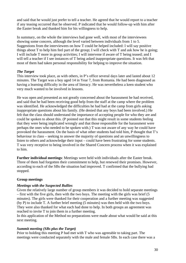and said that he would just prefer to tell a teacher. He agreed that he would report to a teacher if any teasing occurred that he observed. P indicated that he would follow-up with him after the Easter break and thanked him for his willingness to help.

In summary, on the whole the interviews had gone well, with most of the interviewees showing some concern, although the level varied between individuals from 1 to 5. Suggestions from the interviewees on how T could be helped included: I will say positive things about T to help him feel part of the group; I will check with T and ask how he is going; I will include T more in group activities; I will intervene if aware of T being teased; and I will tell a teacher if I see instances of T being asked inappropriate questions. It was felt that most of them had taken personal responsibility for helping to improve the situation.

# *The Target*

This interview took place, as with others, in P's office several days later and lasted about 12 minutes. The Target was a boy aged 14 in Year 7, from Romania. He had been diagnosed as having a learning difficulty in the area of literacy. He was nevertheless a keen student who very much wanted to be involved in lessons.

He was open and presented as not greatly concerned about the harassment he had received, and said that he had been receiving good help from the staff at the camp where the problem was identified. He acknowledged the difficulties he had had at the camp from girls asking inappropriate questions about his family. (He denied that any boys had been involved.) He felt that the class should understand the importance of accepting people for who they are and could be spoken to about this. (P pointed out that this might result in some students feeling that they were being implicated wrongly and that those responsible for the harassment were perhaps the ones who needed to be spoken with.) T was not aware of any way he could have provoked the harassment. On the basis of what other students had told him, P thought that T's behaviour in class – seeking to answer the majority of questions and an unwillingness to listen to others and acknowledge their input – could have been frustrating for some students. T was very receptive to being involved in the Shared Concern process when it was explained to him.

**Further individual meetings**: Meetings were held with individuals after the Easter break. Three of them had forgotten their commitment to help, but renewed their promises. However, according to each of the SBs the situation had improved. T confirmed that the bullying had stopped.

# **Group meetings**

# *Meetings with the Suspected Bullies*

Given the relatively large number of group members it was decided to hold separate meetings – first with the five girls, then with the two boys. The meeting with the girls was brief (5 minutes). The girls were thanked for their cooperation and a further meeting was suggested (by P) to include T. A further brief meeting (5 minutes) was then held with the two boys. They were also thanked for what each had done to help. In both groups an agreement was reached to invite T to join them in a further meeting.

In this application of the Method no preparations were made about what would be said at this next meeting.

### *Summit meeting (SBs plus the Target)*

Prior to holding this meeting P had met with T who was agreeable to taking part. The meetings were conducted separately with the male and female SBs. In each case there was a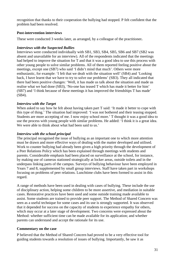recognition that thanks to their cooperation the bullying had stopped. P felt confident that the problem had been resolved.

# **Post-intervention interviews**

These were conducted 3 weeks later, as arranged, by a colleague of the practitioner**.** 

# *Interviews with the Suspected Bullies*

Interviews were conducted individually with SB1, SB3, SB4, SB5, SB6 and SB7 (SB2 was absent and unavailable for an interview). All of the respondents indicated that the meetings had helped to improve the situation for T and that it was a good idea to use this process with other young people to solve similar problems. All of them reported feeling positive about the meetings, except one (SB7) who said 'I didn't mind that much'. Others were more enthusiastic, for example: 'I felt that we dealt with the situation well' (SB4) and 'Looking back, I have learnt that we have to try to solve our problems' (SB3). They all indicated that there had been positive changes: 'Well, it has made us talk about the situation and made us realise what we had done (SB3), 'No-one has teased T which has made it better for him' (SB7) and 'I think because of these meetings it has improved the friendships T has made' (SB4).

# *Interview with the Target*

When asked to say how he felt about having taken part T said: 'It made it better to cope with this type of thing.' The situation had improved: 'I was not bothered and their teasing stopped. Students are more accepting of me. I now enjoy school more.' T thought it was a good idea to use the process with young people with similar problems. He added: 'I think it is a great idea. We were able to think about what had been said to us.'

# *Interview with the school principal*

The principal recognised the issue of bullying as an important one to which more attention must be drawn and more effective ways of dealing with the matter developed and utilised. Work to counter bullying had already been given a high priority through the development of a Peer Relations Policy which has been explained through meetings with students and parents. Considerable emphasis had been placed on surveillance at the school, for instance, by making use of cameras stationed strategically at locker areas, outside toilets and in the underpass linking parts of the campus. Surveys of bullying behaviour have been employed in Years 7 and 8, supplemented by small group interviews. Staff have taken part in workshops focusing on problems of peer relations. Lunchtime clubs have been formed to assist in this regard.

A range of methods have been used in dealing with cases of bullying. These include the use of disciplinary action, helping some children to be more assertive, and mediation in suitable cases. Restorative practices have been used and some outside training made available to assist. Some students are trained to provide peer support. The Method of Shared Concern was seen as a useful technique for some cases and its use is strongly supported. It was observed that it depended for success on the capacity of students to experience empathy for others, which may occur at a later stage of development. Two concerns were expressed about the Method: whether sufficient time can be made available for its application; and whether parents can understand and accept the rationale for its use.

# **Commentary on the case**

P believed that the Method of Shared Concern had proved to be a very effective tool for guiding students towards a resolution of issues of bullying. Importantly, he saw it as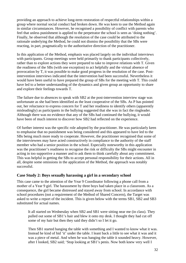providing an approach to achieve long-term restoration of respectful relationships within a group where normal social conduct had broken down. He was keen to use the Method again in similar circumstances. However, he recognised a possibility of conflict with parents who feel that unless punishment is applied to the perpetrator the school is seen as 'doing nothing'. Finally, he observed that although the resolution of the case could be attributed to the rationale underlying the Method, he could not dismiss the possibility that the SBs were reacting, in part, pragmatically to the authoritative direction of the practitioner.

In this application of the Method, emphasis was placed largely on the individual interviews with participants. Group meetings were held primarily to thank participants collectively, rather than to explore actions they were prepared to take to improve relations with T. Given the readiness of the SBs (with one exception) to act helpfully and the virtual absence of provocation by T, it was possible to make good progress in the resolution of the case. Postintervention interviews indicated that the intervention had been successful. Nevertheless it would have been useful to have prepared the group of SBs for the meeting with T. This could have led to a better understanding of the dynamics and given group an opportunity to share and explore their feelings towards T.

The failure due to absences to speak with SB2 at the post-intervention interview stage was unfortunate as she had been identified as the least cooperative of the SBs. As P has pointed out, her reluctance to express concern for T and her readiness to identify others (apparently misleadingly) as participants in the bullying suggested that she was in fact the ringleader. Although there was no evidence that any of the SBs had continued the bullying, it would have been of much interest to discover how SB2 had reflected on the experience.

Of further interest was the specific role adopted by the practitioner. He was particularly keen to emphasise that no punishment was being considered and this appeared to have led to the SBs being much more ready to cooperate. However, the practitioner recognised that some of the interviewees may have acted constructively in compliance to the authority of the staff member who had a senior position in the school. Especially noteworthy in this application was the practitioner's readiness to recognise the risk or difficulty the SBs might encounter in acting in too supportive a manner and to ask them to think carefully about any commitment. This was helpful in getting the SBs to accept personal responsibility for their actions. All in all, despite some omissions in the application of the Method, the approach was notably successful.

# **Case Study 2: Boys sexually harassing a girl in a secondary school**

This case came to the attention of the Year 9 Coordinator following a phone call from a mother of a Year 9 girl. The harassment by three boys had taken place in a classroom. As a consequence, the girl became distressed and stayed away from school. In accordance with school procedures (not a requirement of the Method of Shared Concern), the Target was asked to write a report of the incident. This is given below with the terms SB1, SB2 and SB3 substituted for actual names.

It all started on Wednesday when SB2 and SB1 were sitting near me (in class). They pulled out some of SB1's hair and blew it onto my desk. I thought they had cut off some of my hair but then they said they didn't so I let it go.

Then SB1 started banging the table with something and I wanted to know what it was. Instead he kind of hid 'it' under the table. I leant back a little to see what it was and it was a piece of metal. And when he was banging the table it sounded heavy. However, after I looked, SB2 said; 'Stop looking at SB1's penis. Now both knew very well I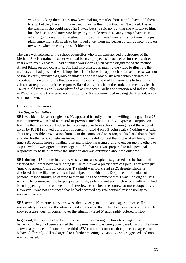was not looking there. They now keep making remarks about it and I have told them to stop but they haven't. I have tried ignoring them, but that hasn't worked. I asked the teacher if she could move SB1 away but she said no, but that she will talk to him, but she hasn't. And now SB3 keeps saying rude remarks. Many people have seen what is going on and just laughed. I must admit it was funny at first but now it is just plain annoying. SB1 needs to be moved away from me because I can't concentrate on my work when he is saying stuff like that.

The case was referred to the school counsellor who is an experienced practitioner of the Method. She is a trained teacher who had been employed as a counsellor for the last three years with over 50 cases. P had attended workshops given by the originator of the method, Anatol Pikas, on two occasions. She had also assisted in making the video to illustrate the method, and had provided workshops herself. P chose this approach because the case was not of low severity, involved a group of students and was obviously well within her area of expertise. It is worth noting that a common response to sexual harassment is to treat it as a crime that requires a punitive response. Based on reports from the student, three boys (each 14 years old from Year 9) were identified as Suspected Bullies and interviewed individually in P's office where there were no interruptions. As recommended in using the Method, notes were not taken.

# **Individual interviews**

# *The Suspected Bullies*

**SB1** was identified as a ringleader. He appeared friendly, open and willing to engage in a 25 minute interview. He had no record of previous misbehaviour. SB1 expressed surprise on learning that the incident had led to T staying away from school. Having heard the account given by P, SB1 showed quite a lot of concern (rated 4 on a 5-point scale). Nothing was said about any possible provocation from T. In the course of discussion, he disclosed that he had an older brother who sometimes teased him and he did not feel that it was at all funny. Over time SB1 became more empathic, offering to stop harassing T and to encourage the others to stop as well. It was agreed to meet again. P felt that SB1 was prepared to take personal responsibility to help improve the situation and was optimistic about the outcome.

**SB2**, during a 15-minute interview, was by contrast suspicious, guarded and hesitant, and asserted that 'other boys were doing it'. He felt it was a pretty harmless joke. They were just 'mucking around'. His concern over T's plight was low (rated as 2), despite which he disclosed that he liked her and she had helped him with stuff. Despite earlier denials of personal responsibility, he offered to stop making the comment that T was 'looking at SB's willy'. The commitment to help appeared weak, as he did not see much wrong with what had been happening. In the course of the interview he had become somewhat more cooperative. However, P was not convinced that he had accepted any real personal responsibility to improve matters.

**SB3**, over a 10-minute interview, was friendly, easy to talk to and eager to please. He immediately understood the situation and appreciated that T had been distressed about it. He showed a great deal of concern over the situation (rated 5) and readily offered to stop.

In general, the meetings had been successful in motivating the boys to change their behaviour. They had been assured that no punishment was being considered. Two of the three showed a good deal of concern; the third (SB2) minimal concern, though he had agreed to behave differently. All had agreed to a further meeting. No apology was suggested and none was requested.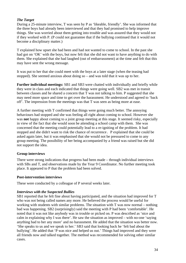# *The Target*

During a 25-minute interview, T was seen by P as 'likeable, friendly'. She was informed that the three boys had already been interviewed and that they had promised to help improve things. She was worried about them getting into trouble and was assured that they would not if they worked with P. (P could not guarantee that if the bullying continued that it would not become a disciplinary matter.)

T explained how upset she had been and had not wanted to come to school. In the past she had got on 'OK' with the boys, but now felt that she did not want to have anything to do with them. She explained that she had laughed (out of embarrassment) at the time and felt that this may have sent the wrong message.

It was put to her that she could meet with the boys at a later stage (when the teasing had stopped). She seemed anxious about doing so – and was told that it was up to her.

**Further individual meetings:** SB1 and SB3 were chatted with individually and briefly while they were in class and each indicated that things were going well. SB2 was met in transit between classes and he shared a concern that T was not talking to him. P suggested that she may need more space and time to get over the harassment. He understood and agreed to 'back off'. The impression from the meetings was that T was seen as being more at ease.

A further meeting with T confirmed that things were going much better. The annoying behaviours had stopped and she was feeling all right about coming to school. However she was **not** happy about coming to a joint group meeting at this stage. It seemed risky, especially in view of the fact that she would soon be attending a school camp with them. She was concerned that the meeting could potentially lead to a re-igniting of the problem. It had stopped and she didn't want to risk the chance of recurrence. P explained that she could be asked again later, but it was emphasised that she would not be pressured to come to any group meeting. The possibility of her being accompanied by a friend was raised but she did not support the idea.

# **Group interviews**

There were strong indications that progress had been made – through individual interviews with SBs and T, and observations made by the Year 9 Coordinator. No further meeting took place. It appeared to P that the problem had been solved.

# **Post-intervention interviews**

These were conducted by a colleague of P several weeks later.

# *Interviews with the Suspected Bullies*

SB1 reported that he felt fine about having participated, and the situation had improved for T who was not being called names any more. He believed the process would be useful for working with students with similar problems. The situation with T was now normal – nothing bad was happening. SB2 (surprisingly) said the meeting with P had been 'comfortable'. He noted that it was not like anybody was in trouble or picked on. P was described as 'nice and calm in explaining why I was there'. He saw the situation as improved – with no-one 'saying anything bad to her any more' and no harassment. He added that the situation was better now. 'She speaks to us and we speak to her.' SB3 said that looking back he 'felt bad about the bullying'. He added that 'P was nice and helped us out.' Things had improved and they were all friends now and talked together. The method was recommended for solving other similar cases.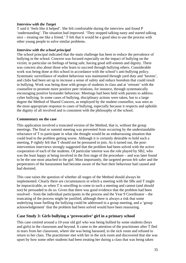### *Interview with the Target*

T said it 'feels like it helped'. She felt comfortable during the interview and found P 'understanding'. The situation had improved. 'They stopped talking nasty and started talking nice – treating me like a friend.' T felt that it would be a good idea to use the process with other young people to solve similar problems.

### *Interview with the school principal*

The school principal indicated that the main challenge has been to reduce the prevalence of bullying in the school. Concern was focused especially on the impact of bullying on the victim; in particular on feelings of being safe, having good self-esteem and dignity. There was concern also about those who learn to succeed through bullying others. Considerable work was being done at this school in accordance with the school's anti-bullying policy. Systematic surveillance of student behaviour was maintained through yard duty and 'havens', and clubs had been set up to increase a sense of safety and reduce boredom that could result in bullying. Work was being done with groups of students in class and at 'retreats' with the counsellor to promote more positive peer relations, for instance, through systematically encouraging positive bystander behaviour. Meetings had been held with parents to address cyber bullying. In some cases of bullying, disciplinary actions were taken, but to a large degree the Method of Shared Concern, as employed by the student counsellor, was seen as the most appropriate response to cases of bullying, especially because it respects and upholds the dignity of all involved and is consistent with the philosophy of the school.

# **Commentary on the case**

This application involved a truncated version of the Method, that is, without the group meetings. The final or summit meeting was prevented from occurring by the understandable reluctance of T to participate in what she thought would be an embarrassing situation that could lead to the problem getting worse. Although it is certainly desirable to hold such a meeting, P rightly felt that T should not be pressured to join. As it turned out, the postintervention interviews strongly suggested that the problem had been solved with the active cooperation of each of the students. Of particular interest was the role played by SB2, who was the least happy at being involved in the first stage of the procedure – and was later found to be the one most attached to the girl. Most importantly, the targeted person felt safer and the perpetrators of the harassment had become aware of the hurt their behaviour had caused and had desisted.

This case raises the question of whether all stages of the Method should always be implemented. Clearly there are circumstances in which a meeting with the SBs and T might be impracticable, as when T is unwilling to come to such a meeting and cannot (and should not) be persuaded to do so. Given that there was good evidence that the problem had been resolved – from the individual participants in the process and the Year 9 Coordinator – the truncating of the process might be justified, although there is always a risk that some underlying issue fuelling the bullying could be addressed in a group meeting, and a 'group acknowledgement' that the problem had been solved would have been reassuring.

# **Case Study 3: Girls bullying a 'provocative' girl in a primary school**

This case centred around a 10-year old girl who was being bullied by some students (boys and girls) in the classroom and beyond. It came to the attention of the practitioner after T fled in tears from her classroom, where she was being harassed, to the sick room and refused to return to her class. The practitioner met with her in the sick room and discovered that she was upset by how some other students had been treating her during a class that was being taken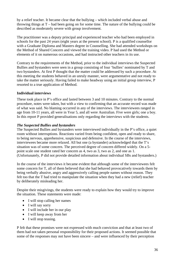by a relief teacher. It became clear that the bullying – which included verbal abuse and throwing things at T – had been going on for some time. The nature of the bullying could be described as moderately severe with group involvement.

The practitioner was a deputy principal and experienced teacher who had been employed in schools for the past 24 years (eight years at the present school). P is a qualified counsellor with a Graduate Diploma and Masters degree in Counselling. She had attended workshops on the Method of Shared Concern and viewed the training video. P had used the Method or elements of it on numerous occasions, and had instructed other teachers in its use.

Contrary to the requirements of the Method, prior to the individual interviews the Suspected Bullies and bystanders were seen in a group consisting of four 'bullies' nominated by T and two bystanders. At first P thought that the matter could be addressed by such a procedure. At this meeting the students behaved in an unruly manner, were argumentative and not ready to take the matter seriously. Having failed to make headway using an initial group interview, P resorted to a true application of Method.

# **Individual interviews**

These took place in P's office and lasted between 3 and 10 minutes. Contrary to the normal procedure, notes were taken, but with a view to confirming that an accurate record was made of what was said. No blaming occurred in any of the interviews. The interviewees ranged in age from 10-11 years, all were in Year 5, and all were Australian. Five were girls; one a boy. In this report P provided generalisations only regarding the interviews with the students.

### *The Suspected Bullies and bystanders*

The Suspected Bullies and bystanders were interviewed individually in the P's office, a quiet room without interruptions. Reactions varied from being confident, open and ready to share, to being nervous, apprehensive, suspicious and defensive. In the course of the interviews, interviewees became more relaxed. All but one (a bystander) acknowledged that the T's situation was of some concern. The perceived degree of concern differed widely. On a 5 point scale one student rated her concern as 4, two as 3, two as 2, and one as 1. (Unfortunately, P did not provide detailed information about individual SBs and bystanders.)

In the course of the interviews it became evident that although some of the interviewees felt some concern for T, all of them believed that she had behaved provocatively towards them by being verbally abusive, angry and aggressively calling people names without reason. They felt too that the T had tried to manipulate the situation when they had a new (relief) teacher by deliberately misleading her.

Despite their misgivings, the students were ready to explain how they would try to improve the situation. These statements were made:

- I will stop calling her names
- I will say sorry
- I will include her in our play
- I will keep away from her
- I will stop teasing.

P felt that these promises were not expressed with much conviction and that at least two of them had not taken personal responsibility for their proposed actions. It seemed possible that some of the responses may not have been sincere – and were influenced by their perception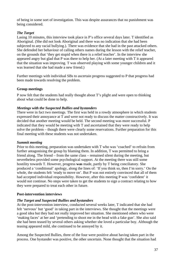of being in some sort of investigation. This was despite assurances that no punishment was being considered.

# *The Target*

Lasing 10 minutes, this interview took place in P's office several days later. T identified as Aboriginal. (She did not look Aboriginal and there was no indication that she had been subjected to any racial bullying.). There was evidence that she had in the past attacked others. She defended her behaviour of calling others names during the lesson with the relief teacher, on the grounds that 'they get stupid when there is a relief teacher'. In the interview she appeared angry but glad that P was there to help her. (At a later meeting with T it appeared that the situation was improving. T was observed playing with some younger children and it was learned that she had made a new friend.)

Further meetings with individual SBs to ascertain progress suggested to P that progress had been made towards resolving the problem.

# **Group meetings**

P now felt that the students had really thought about T's plight and were open to thinking about what could be done to help.

# *Meetings with the Suspected Bullies and bystanders*

There were in fact two meetings. The first was held in a rowdy atmosphere in which students expressed their annoyance at T and were not ready to discuss the matter constructively. It was decided that another meeting would be held. The second meeting was more successful. P indicated that they would be meeting with T and ascertained that they were ready to help solve the problem – though there were clearly some reservations. Further preparation for this final meeting with these students was not undertaken.

# *Summit meeting*

Prior to this meeting, preparation was undertaken with T who was 'coached' to refrain from further antagonising the group by blaming them. In addition, T was permitted to bring a friend along. The friend – from the same class – remained silent during the meeting, but nevertheless provided some psychological support. At the meeting there was still some hostility towards T. However, progress **was** made, partly by T being conciliatory. She produced a 'conditional' apology, along the lines of: 'If you think so, then I'm sorry.' On the whole, the students felt 'ready to move on'. But P was not entirely convinced that all of them had accepted individual responsibility. However, after this meeting P was 'confident' it would not continue. No steps were taken to get the students to sign a contract relating to how they were prepared to treat each other in future.

# **Post-intervention interviews**

# *The Target and Suspected Bullies and bystanders*

At the post-intervention interview, conducted several weeks later, T indicated that she had felt 'nervous' but 'good' in taking part in the interviews. She thought that the meetings were a good idea but they had not really improved her situation. She mentioned others who were 'making faces' at her and 'pretending to shoot me in the head with a fake gun'. She also said she had been teased by several others asking whether she loved a particular boy. Although the teasing appeared mild, she continued to be annoyed by it.

Among the Suspected Bullies, three of the four were positive about having taken part in the process. One bystander was positive, the other uncertain. None thought that the situation had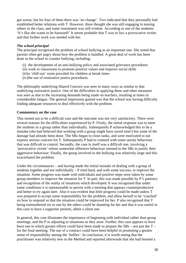got worse, but for four of them there was 'no change'. Two indicated that they personally had established better relations with T. However, three thought she was still engaging in teasing others in the class, and some resentment was still evident. According to one of the students: 'It's like she wants to be harassed!' It seems probable that T was in fact a provocative victim and that further work was needed with her.

### *The school principal*

The principal recognised the problem of school bullying as an important one. She noted that parents often get angry about how the problem is handled. A great deal of work has been done in the school to counter bullying, including:

- (i) the development of an anti-bullying policy and associated grievance procedures
- (ii) work in classrooms to promote positive values and improve social skills
- (iii)a 'chill-out' room provided for children at break times
- (iv)the use of restorative justice procedures.

The philosophy underlying Shared Concern was seen in many ways as similar to that underlying restorative justice. One of the difficulties in applying these and other measures was seen as due to the increasing demands being made on teachers, resulting at times in considerable fatigue. The general impression gained was that the school was having difficulty finding adequate resources to deal effectively with the problem.

### **Commentary on the case**

This turned out to be a difficult case and the outcome was not very satisfactory. There were several reasons for the difficulties experienced by P. Firstly, the initial response was to meet the students in a group rather than individually. Subsequently P acknowledged this to be a mistake (she had believed that working with a group might have saved time!) but some of the damage had already been done. The SBs began to close ranks, and were motivated to not express serious concern for T. Subsequently P had to contend with some unruly behaviour that was difficult to control. Secondly, the case in itself was a difficult one, involving a 'provocative victim' whose somewhat offensive behaviour seemed to the SBs to justify their aggressive behaviour. Finally, the group involved in the bullying was relatively large and this exacerbated the problem.

Under the circumstances – and having made the initial mistake of dealing with a group of students together and not individually – P tried hard, and with some success, to improve the situation. Some progress was made with individuals and positive steps were taken by some group members to improve the situation for T. In part, this was made possible by P's patience and recognition of the reality of situations which developed. It was recognised that under some conditions it is unreasonable to persist with a meeting that appears counterproductive and better to try again later. Also it was evident that little progress could be made unless T was prepared to accept some responsibility for the problem, and allow herself to be 'coached' on how to respond so that the situation could be improved for her. P also recognised that T being outnumbered six to one by the others could be daunting for her and that it was useful in this case to have a supporter present, albeit a silent one.

In general, this case illustrates the importance of beginning with individual rather than group meetings, and the P in adjusting to situations as they arise. Further, this case appears to have been one in which greater efforts could have been made to prepare the SBs – not just the T – for the final meeting. The use of a contract could have been helpful in promoting a greater sense of responsibility among the 'bullies'. In conclusion, it is worth noting that the practitioner was relatively new to the Method and reported afterwards that she had learned a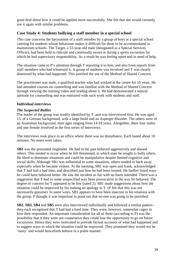good deal about how it could be applied more successfully. She felt that she would certainly use it again with similar problems.

# **Case Study 4: Students bullying a staff member in a special school**

This case concerns the harassment of a staff member by a group of boys at a special school catering for students whose behaviour makes it difficult for them to be accommodated in mainstream schools. The Target, a 53-year-old male (designated as a Special Services Officer), had been held to ridicule and continually sworn at during a sports excursion for which he had supervisory responsibility. As a result he was feeling upset and in need of help.

The situation came to P's attention through T reporting it to him, and also from reports from staff members who had witnessed it. A group of students was involved and T was clearly distressed by what had happened. This justified the use of the Method of Shared Concern.

The practitioner was male, a qualified teacher who had worked at the centre for 10 years. He had attended courses on counselling and was familiar with the Method of Shared Concern through viewing the training video and reading about it. He had demonstrated a natural aptitude for counselling and was entrusted with such work with students and staff.

### **Individual interviews**

### *The Suspected Bullies*

The leader of the group was readily identified by T, and was interviewed first. He was aged 15, of a German background, with a large build and an Asperger disorder. The others were of an Australian background, their ages ranging from 14-18 years. Altogether, there four males and one female involved in the first series of interviews.

The interviews took place in an office where there was no disturbance. Each lasted about 10 minutes. No notes were taken.

**SB1** was the presumed ringleader. He had in the past behaved aggressively and abused others. This tended to occur when he felt threatened, in which state he sought to bully others. He liked to dominate situations and could be manipulative despite limited cognitive and social skills. Although SB1 was influential in some situations, others tended to back away especially when he became violent. At the meeting, SB1 was open and frank, acknowledged that T had had a bad time, and described just how he had been treated. He further listed ways he could have behaved better. He saw the incident as fun with no harm intended. There was a suggestion that T had in some unspecified way been provocative in the way he behaved. The degree of concern for T appeared to be low (rated 2). SB1 made suggestions about how the situation could be improved by his making an apology to T. (P felt that this was not necessarily genuine). In some ways, SB1 appears to have been insecure in his relations with the group. P thought it was important to point out that no-one was going to be punished.

**SB2**, **SB3**, **SB4** and **SB5** were also interviewed individually and followed a similar pattern – they each recognised that T had had a hard time. They were, however, somewhat cagey in how they responded. An important consideration for all of them (according to P) was the possibility that if they were not cooperative they could lose the opportunity to go on future excursions. Hence they were motivated to provide factual accounts of what had happened and to suggest ways in which the situation could be improved. They promised they would not be 'nasty' and would henceforth behave in a polite manner.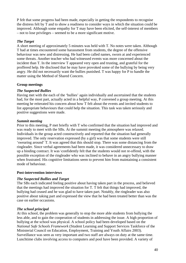P felt that some progress had been made, especially in getting the respondents to recognise the distress felt by T and to show a readiness to consider ways in which the situation could be improved. Although some empathy for T may have been elicited, the self-interest of members – not to lose privileges – seemed to be a more significant motive.

## *The Target*

A short meeting of approximately 5 minutes was held with T. No notes were taken. Although T had at times encountered some harassment from students, the degree of the offensive behaviour was new and distressing. He had been called names, sworn at and experienced some threats. Another teacher who had witnessed events was more concerned about the incident than T. In the interview T appeared very open and trusting, and grateful for the proffered help. He disclosed that he may have provoked some of the bullying by being very angry. He did not necessarily want the bullies punished. T was happy for P to handle the matter using the Method of Shared Concern.

## **Group meetings**

## *The Suspected Bullies*

Having met with the each of the 'bullies' again individually and ascertained that the students had, for the most part, actually acted in a helpful way, P convened a group meeting. At this meeting he reiterated his concern about how T felt about the events and invited students to list appropriate behaviours that could help the situation. This task was taken seriously and positive suggestions were made.

## *Summit meeting*

Prior to this meeting, P met briefly with T who confirmed that the situation had improved and was ready to meet with the SBs. At the summit meeting the atmosphere was relaxed. Individuals in the group acted constructively and reported that the situation had generally improved. The only reservation expressed (by a girl) was that some students were still 'swearing around' T. It was agreed that this should stop. There was some distancing from the ringleader. Since verbal agreements had been made, it was considered unnecessary to draw up a binding contract. It was \confidently felt that the students would not re-offend, with the possible exception of the ringleader who was inclined to behave in an angry bullying manner when frustrated. His cognitive limitations seem to prevent him from maintaining a consistent mode of behaviour.

### **Post-intervention interviews**

# *The Suspected Bullies and Target*

The SBs each indicated feeling positive about having taken part in the process, and believed that the meetings had improved the situation for T. T felt that things had improved, the bullying had ceased and he was glad to have taken part. Notably, the ringleader was also positive about taking part and expressed the view that he had been treated better than was the case on earlier occasions.

### *The school principal*

At this school, the problem was generally to stop the more able students from bullying the less able, and to gain the cooperation of students in addressing the issue. A high proportion of bullying at the school was physical. A school policy had been developed based on the *National Safe Schools Framework* (Student Learning and Support Services Taskforce of the Ministerial Council on Education, Employment, Training and Youth Affairs 2003). Surveillance was seen as very important and two staff are always on duty at the same time. Lunchtime clubs involving access to computers and pool have been provided. A variety of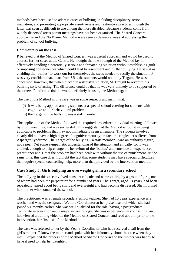methods have been used to address cases of bullying, including disciplinary action, mediation, and promoting appropriate assertiveness and restorative practices, though the latter was seen as difficult to use among the more disabled. Because students come from widely dispersed areas parent meetings have not been organised. The Shared Concern approach – and the No Blame Method – were seen as desirable ways of addressing the problem of school bullying.

## **Commentary on the case**

P believed that the Method of Shared Concern was a useful approach and would be used to address further cases at the Centre. He thought that the strength of the Method lay in effectively handling a potentially serious and threatening situation without establishing guilt or imposing consequences which could lead to resentment and further bullying. He saw it as enabling the 'bullies' to work out for themselves the steps needed to rectify the situation. P was very confident that, apart from SB1, the students would not bully T again. He was concerned, however, that when placed in a stressful situation, SB1 might to revert to his bullying style of acting. The difference could be that he was very unlikely to be supported by the others. P indicated that he would definitely be using the Method again.

The use of the Method in this case was in some respects unusual in that:

- (i) it was being applied among students at a special school catering for students with cognitive and/or behavioural problems
- (ii) the Target of the bullying was a staff member.

The application of the Method followed the required procedure: individual meetings followed by group meetings, and was successful. This suggests that the Method is robust in being applicable to problems that may not immediately seem amenable. The students involved clearly did not have a high degree of cognitive maturity; in fact, the ringleader suffered from Asperger Syndrome. The Target of the bullying – a staff member – was an authority figure, not a peer. Yet some sympathetic understanding of the situation and empathy for T was elicited, enough to help change the behaviour of the 'bullies' and convince an experienced practitioner and T that the problem had been dealt with without the use of punishment. At the same time, this case does highlight the fact that some students may have special difficulties that require special counselling help, more than that provided by the intervention method.

# **Case Study 5: Girls bullying an overweight girl in a secondary school**

The bullying in this case involved constant ridicule and name-calling by a group of girls, one of whom had been the perpetrator for a number of years. The Target, aged 13 years, had been repeatedly teased about being short and overweight and had become distressed, She informed her mother who contacted the school.

The practitioner was a female secondary school teacher. She had 10 years experience as a teacher and was the designated Welfare Coordinator at her present school which she had joined six months earlier. She was well qualified for the role, having a postgraduate certificate in education and a major in psychology. She was experienced in counselling, and had viewed a training video on the Method of Shared Concern and read about it prior to the intervention, her first use of the Method.

The case was referred to her by the Year 8 Coordinator who had received a call from the girl's mother. P knew the mother and spoke with her informally about the case when they met. P explained the process of the Method of Shared Concern and the mother was happy to have it used to help her daughter.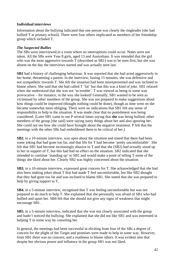## **Individual interviews**

Information about the bullying indicated that one person was clearly the ringleader (she had bullied T at primary school). There were four others implicated as members of her friendship group which included T.

## *The Suspected Bullies*

The SBs were interviewed in a room where no interruptions could occur. Notes were not taken. All the SBs were Year 8 girls, aged 13 and Australians. It was intended that the girl who was the most aggressive towards T (described as SB1) was to be seen first, but she was absent on the day the interviews started and was actually seen last.

**SB1** had a history of challenging behaviour. It was reported that she had acted aggressively in her home, threatening a parent. In the interview, lasting 15 minutes, she was defensive and not sympathetic towards T. She felt the situation had been misrepresented and was inclined to blame others. She said that she had called T 'fat' but that this was a kind of joke. SB1 relaxed when she understood that she was not 'in trouble'. T was viewed as being in some way provocative – for instance, in the way she looked! Generally, SB1 wanted to be seen as victimised by other members of the group. She was not prepared to make suggestions about how things could be improved (thought nothing could be done), though as time went on she became somewhat more obliging. There were no indications that SB1 felt any sense of responsibility to help in the situation. It was made clear that no punishment was being considered. (Later SB1 came to see P several times saying that **she** was being bullied; other members of the group [she said] were saying nasty things about her and also ignoring her. She could not see how she could have brought about the negative treatment. P felt that the meetings with the other SBs had emboldened them to be critical of her.)

**SB2**, in a 10-minute interview, was open about the situation and stated that there had been some joking that had gone too far, and that life for T had become 'pretty uncomfortable'. She felt that SB1 had become increasingly abusive to T and that she (SB2) had actually stood up to her in support of T, but this had had no effect on the situation. SB2 indicated that she intended to continue 'standing up' to SB1 and would make a point of telling T some of the things she liked about her. Clearly SB2 was highly concerned about the situation.

**SB3**, in a 10-minute interview, expressed great concern for T. She acknowledged that she had also been making jokes about T that had made T feel uncomfortable, but like SB2 thought that they had gone too far and was inclined to blame SB1. She stated that she was prepared to help by giving support to T.

**SB4**, in a 5-minute interview, recognised that T was feeling uncomfortable but was not prepared to do much to help T. She explained that she personally was afraid of SB1 who had bullied and upset her. SB4 felt that she should not give any signs of weakness that might encourage SB1.

**SB5**, in a 5-minute interview, indicated that she was not closely associated with the group and hadn't noticed the bullying. She explained that she did not like SB1 and was interested in helping T in some way by consoling her.

In general, the meetings had been successful in eliciting from four of the SBs a degree of concern for the plight of the Target and promises were made to help in some way. However, from SB1 there was no concern, and a readiness to blame others. It was evident also that despite her obvious power and influence in the group SB1 was not liked.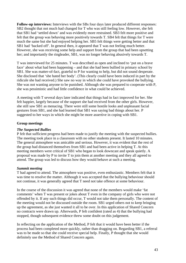**Follow-up interviews:** Interviews with the SBs four days later produced different responses: SB2 thought that not much had changed for T who was still feeling low. However, she felt that SB1 had 'settled down' and was evidently more restrained. SB3 felt more positive and felt that the group was behaving more positively towards T. SB4 felt that things for T were much the same but she had enjoyed helping her. SB5 felt things were getting better and that SB1 had 'backed off'. In general then, it appeared that T was not feeling much better. However, she was receiving some help and support from the group that had been upsetting her; and importantly the ringleader, SB1, was no longer behaving abusively towards T.

T was interviewed for 25 minutes. T was described as open and inclined to 'put on a brave face' about what had been happening – and that she had been bullied in primary school by SB1. She was matter-of-fact, grateful to P for wanting to help, but did not sound desperate. She disclosed that 'she hated her body'. (This clearly could have been induced in part by the ridicule she had received.) She saw no way in which she could have provoked the bullying. She was not wanting anyone to be punished. Although she was prepared to cooperate with P, she was pessimistic and had little confidence in what could be achieved.

A meeting with T several days later indicated that things had in fact improved for her. She felt happier, largely because of the support she had received from the other girls. However, she still saw SB1 as menacing. There were still some hostile looks and unpleasant facial gestures from SB1, and she had learned that SB1 was saying bad things about her. P suggested to her ways in which she might be more assertive in coping with SB1.

### **Group meetings**

### *The Suspected Bullies*

P felt that sufficient progress had been made to justify the meeting with the suspected bullies. The meeting took place in a classroom with no other students present. It lasted 10 minutes. The general atmosphere was amicable and serious. However, it was evident that the rest of the group had distanced themselves from SB1 and had been active in helping T. At this meeting members were critical of SB1 who began to look downcast and speak quietly. A proposal was made by P to invite T to join them at another meeting and they all agreed to attend. The group was led to discuss how they would behave at such a meeting.

#### *Summit meeting*

T had agreed to attend. The atmosphere was positive, even enthusiastic. Members felt that it was time to resolve the matter. Although it was accepted that the bullying behaviour should not continue, it was generally agreed that T need not take offence at some behaviour.

In the course of the discussion it was agreed that none of the members would make 'fat comments' when T was present or jokes about T even in the company of girls who were not offended by it. If any such things did occur, T would not take them personally. The content of the meeting would not be discussed outside the room. SB1 urged others not to keep bringing up the agreement, as she just wanted it all to be over. In this application of Shared Concern no contracts were drawn up. Afterwards, P felt confident (rated as 4) that the bullying had stopped, though subsequent evidence threw some doubt on this judgement.

In reflecting on the application of the Method, P felt that it would have been better if the process had been completed more quickly, rather than dragging on. Regarding SB1, a referral was to be made so that she could receive special help. Finally, P thought that she would definitely use the Method of Shared Concern again.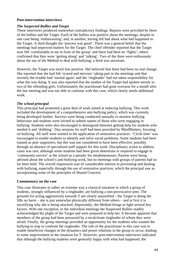#### **Post-intervention interviews**

### *The Suspected Bullies and Target*

These interviews produced somewhat contradictory findings. Reports were provided by three of the bullies and the Target. Each of the bullies was positive about the meetings, despite in one case being 'embarrassing' and, in another, having felt bad about what had happened to the Target. A third thought the 'process was good'. There was a general belief that the meetings had improved matters for the Target. The chief offender reported that the Target now felt 'comfortable to eat in front of the group' and there had been no 'fights'; others confirmed that they were 'getting along' and 'talking'. Two of the three were enthusiastic about the use of the Method to deal with bullying; a third was uncertain.

However, the Target was much less positive. She believed that there had been no real change. She reported that she had felt 'scared and nervous' taking part in the meetings and that recently the trouble had 'started again' and the 'ringleader' had not taken responsibility for what she was doing. It was also reported that the mother of the Target had spoken sternly to two of the offending girls. Unfortunately the practitioner had gone overseas for a month after the last meeting and was not able to continue with this case, which clearly needs additional work.

### *The school principal*

This principal had promoted a great deal of work aimed at reducing bullying. This work included the development of a comprehensive anti-bullying policy, which was currently being developed further. Surveys were being conducted annually to monitor bullying behaviour and students were invited to submit names of those who were engaging in bullying. Students were also encouraged to distinguish between getting help for students who needed it and 'dobbing'. Day sessions for staff had been provided by MindMatters, focusing on bullying. All staff were trained in the application of restorative practices. 'Circle time' was encouraged to enable students to identify and solve social problems. Some students had been trained as peer supporters, but this was not considered to have been effective, possibly through an absence of specialised staff support for this work. Disciplinary action to address cases was rare, although some students had been given detentions or required to engage in 'community service' at the school as a penalty for misdemeanours. Parents were being advised about the school's anti-bullying work, but no meetings with groups of parents had so far been held. The overall impression was of considerable interest in preventing and dealing with bullying, especially through the use of restorative practices, which the principal saw as incorporating some of the principles of Shared Concern.

#### **Commentary on the case**

This case illustrates in rather an extreme way a classical situation in which a group of students, strongly influenced by a ringleader, are bullying a non-provocative peer. The grounds for acting aggressively towards T are clearly unjustified – the Target is doing the SBs no harm – she is just somewhat physically different from others – and at first it is mystifying why she is being attacked. Importantly, the Method brings to light several key factors. With one exception, in the individual meetings the Suspected Bullies readily acknowledged the plight of the Target and were prepared to help her. It became apparent that members of the group had been pressured by a recalcitrant ringleader of whom they were afraid. Finally, the group meetings provided an opportunity for the students who wanted the bullying to stop to confront the ringleader. The role of the practitioner in this case was to enable beneficent changes in the dynamics and power relations in the group to occur, leading to some improvement in the situation for T. However, post-intervention interviews indicated that although the bullying students were generally happy with what had happened, the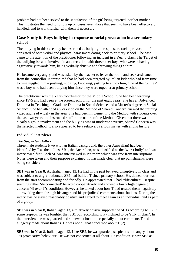problem had not been solved to the satisfaction of the girl being targeted, nor her mother. This illustrates the need to follow up on cases, even those that seem to have been effectively handled, and to work further with them if necessary.

# **Case Study 6: Boys bullying in response to racial provocation in a secondary school**

The bullying in this case may be described as bullying in response to racial provocation. It consisted of both verbal and physical harassment dating back to primary school. The case came to the attention of the practitioner following an incident in a Year 8 class. The Target of the bullying became involved in an altercation with three other boys who were behaving aggressively towards him, being verbally abusive and throwing things at him.

He became very angry and was asked by the teacher to leave the room and seek assistance from the counsellor. It transpired that he had been targeted by Italian kids who had from time to time niggled him – pushing, nudging, knocking, jostling to annoy him, One of the 'bullies' was a boy who had been bullying him since they were together at primary school.

The practitioner was the Year Coordinator for the Middle School. She had been teaching since 1975 and had been at the present school for the past eight years. She has an Advanced Diploma in Teaching, a Graduate Diploma in Social Science and a Master's degree in Social Science. She had attended a workshop on the Method of Shared Concern, viewed the training video and read widely in the area, She had been implementing the Method with students over the last two years and instructed staff in the nature of the Method. Given that there was clearly a group involvement and the bullying was of moderate severity, Shared Concern was the selected method. It also appeared to be a relatively serious matter with a long history.

### **Individual interviews**

### *The Suspected Bullies*

Three male students (two with an Italian background, the other Australian) had been identified by T as the bullies. SB1, the Australian, was identified as the 'worst bully' and was interviewed first. Each SB was interviewed in P's room which was free from interruptions. Notes were taken and their purpose explained. It was made clear that no punishments were being considered.

**SB1** was in Year 8, Australian, aged 13. He had in the past behaved disruptively in class and was subject to angry outbursts. SB1 had bullied T since primary school. His demeanour was from the start accommodating and friendly. He appreciated that T had 'difficulties'. Despite seeming rather 'disconnected' he acted cooperatively and showed a fairly high degree of concern (4) over T's condition. However, he talked about how T had treated them negatively – provoking them through his anger and his prejudiced comments about Italians. During the interviews he stayed reasonably positive and agreed to meet again as an individual and as part of a group.

**SB2** was in Year 8, Italian, aged 13, a relatively passive supporter of SB1 (according to T). In some respects he was brighter that SB1 but (according to P) inclined to be 'silly in class'. In the interview, he was guarded and somewhat hostile – especially about comments T had allegedly made about Italians. He was not all that concerned about T (2).

**SB3** was in Year 8, Italian, aged 13. Like SB2, he was guarded, suspicious and angry about T's provocative behaviour. He was not concerned at all about T's condition. P saw SB3 as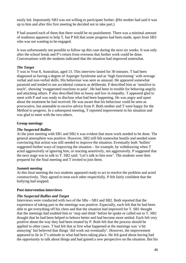easily led. Importantly SB3 was not willing to participate further. **(**His mother had said it was up to him and after this first meeting he decided not to take part.)

P had assured each of them that there would be no punishment. There was a minimal amount of readiness apparent to help T, but P felt that some progress had been made, apart from SB3 who was not wanting to be engaged.

It was unfortunately not possible to follow up this case during the next six weeks. It was only after the school break and P's return from overseas that further work could be done. Conversations with the students indicated that the situation had improved somewhat.

## *The Target*

T was in Year 8, Australian, aged 13. This interview lasted for 30 minutes. T had been diagnosed as having a degree of Asperger Syndrome and as 'high functioning' with average verbal and non-verbal skills. His behaviour was seen as unusual. He appeared somewhat paranoid and tended to see accidental contacts as deliberate. P described him as 'sensitive to touch', showing 'exaggerated reactions to pain'. He had been in trouble for behaving angrily and attacking others. P also described him as bossy and low in empathy. T appeared glad to meet with P and was ready to disclose what had been happening. He was angry and upset about the treatment he had received. He was aware that his behaviour could be seen as provocative, but amenable to receive advice from P. Both mother and T were happy for the Method to progress. In a subsequent meeting, T reported improvement in his situation and was glad to meet with the two others.

### **Group meetings**

### *The Suspected Bullies*

At the joint meeting with SB1 and SB2 it was evident that more work needed to be done. The general atmosphere was positive. However, SB2 still felt somewhat hostile and needed some convincing that action was still needed to improve the situation. Eventually both 'bullies' suggested further ways of improving the situation – for example, by withdrawing when T acted aggressively or ignoring him, or reacting assertively, not aggressively. P suggested that the next stage was to talk to T. SB2 said: 'Let's talk to him now'. The students were then prepared for the final meeting and T invited to join them.

### *Summit meeting*

At this final meeting the two students appeared ready to act to resolve the problem and acted constructively. They agreed to treat each other respectfully. P felt fairly confident that the bullying had stopped.

### **Post-intervention interviews**

### *The Suspected Bullies and Target*

Interviews were conducted with two of the SBs – SB1 and SB2. Both reported that the experience of taking part in the meetings was positive. Especially, each felt that he had been able to get everything off his chest and that the situation had improved for T. SB1 thought that the meetings had enabled him to 'stop and think' before he spoke or called out to T. SB2 thought that he had been helped to behave better and had become more settled. Each felt very positive about the way they had been treated by P. Both felt that the process should be applied to other cases. T had felt that at first what happened at the meetings was 'a bit annoying' but believed that things 'did work out eventually'. However, the improvement appeared to lie in T's attitude to what had been taking place. He felt good about having had the opportunity to talk about things and had gained a new perspective on the situation. But his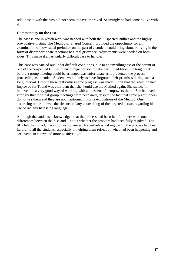relationship with the SBs did not seem to have improved. Seemingly he had come to live with it.

### **Commentary on the case**

The case is one in which work was needed with both the Suspected Bullies and the highly provocative victim. The Method of Shared Concern provided the opportunity for an examination of how racial prejudice on the part of a student could bring about bullying in the form of disproportionate reactions to a real grievance. Adjustments were needed on both sides. This made it a particularly difficult case to handle.

This case was carried out under difficult conditions, due to an unwillingness of the parent of one of the Suspected Bullies to encourage her son to take part. In addition, the long break before a group meeting could be arranged was unfortunate as it prevented the process proceeding as intended. Students were likely to have forgotten their promises during such a long interval. Despite these difficulties some progress was made. P felt that the situation had improved for T. and was confident that she would use the Method again. She stated: 'I believe it is a very good way of working with adolescents. It empowers them.' She believed strongly that the final group meetings were necessary, despite the fact that some practitioners do not use them and they are not mentioned in some expositions of the Method. One surprising omission was the absence of any counselling of the targeted person regarding his use of racially harassing language.

Although the students acknowledged that the process had been helpful, there were notable differences between the SBs and T about whether the problem had been fully resolved. The SBs felt that it had; T was not so convinced. Nevertheless, taking part in the process had been helpful to all the students, especially in helping them reflect on what had been happening and see events in a new and more positive light.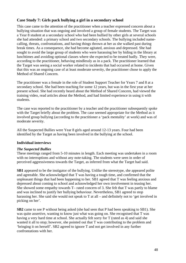# **Case Study 7: Girls pack bullying a girl in a secondary school**

This case came to the attention of the practitioner when a teacher expressed concern about a bullying situation that was ongoing and involved a group of female students. The Target was a Year 8 student at a secondary school who had been bullied by other girls at several schools she had attended: a primary school and two secondary schools. The bullying included namecalling, threats, confrontations, and having things thrown at her as she walked past during break times. As a consequence, she had become agitated, anxious and depressed. She had sought to avoid the large group of students who were harassing her by hiding in the library at lunchtimes and avoiding optional classes where she expected to be treated badly. They were, according to the practitioner, behaving mindlessly as in a pack. The practitioner learned that the Target was seeing a social worker related to incidents that had occurred at home. Given that this was an ongoing case of at least moderate severity, the practitioner chose to apply the Method of Shared Concern.

The practitioner was a female in the role of Student Support Teacher for Years 7 and 8 at a secondary school. She had been teaching for some 12 years, but was in the first year at her present school. She had recently heard about the Method of Shared Concern, had viewed the training video, read articles about the Method, and had limited experience in using it with students.

The case was reported to the practitioner by a teacher and the practitioner subsequently spoke with the Target briefly about the problem. The case seemed appropriate for the Method as it involved group bullying (according to the practitioner a 'pack mentality' at work) and was of moderate severity.

All the Suspected Bullies were Year 8 girls aged around 12-13 years. Four had been identified by the Target as having been involved in the bullying at the school.

# **Individual interviews**

### *The Suspected Bullies*

These meetings ranged from 5-10 minutes in length. Each meeting was undertaken in a room with no interruptions and without any note-taking. The students were seen in order of perceived aggressiveness towards the Target, as inferred from what the Target had said.

**SB1** appeared to be the instigator of the bullying. Unlike the stereotype, she appeared polite and agreeable. She acknowledged that T was having a tough time, and confirmed that the unpleasant things that had been happening to her. SB1 agreed that T was feeling anxious and depressed about coming to school and acknowledged her own involvement in teasing her. She showed some empathy towards T– rated concern of 3. She felt that T was partly to blame and was inclined to justify her bullying behaviour. Nevertheless, SB1 agreed to stop harassing her. She said she would not speak to T at all – and definitely not to 'get involved in picking on her'.

**SB2** came to see P without being asked (she had seen that P had been speaking to SB1). She was quite assertive, wanting to know just what was going on. She recognised that T was having a very hard time at school. She actually felt sorry for T (rated as 4) and said she wanted it all to stop; however, she pointed out that T was contributing to the problem and 'bringing it on herself'. SB2 agreed to ignore T and not get involved in any further confrontations with her.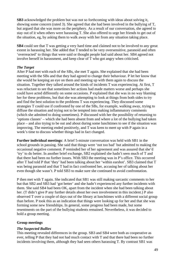**SB3** acknowledged the problem but was not so forthcoming with ideas about solving it, showing some concern (rated 3). She agreed that she had been involved in the bullying of T, but argued that she was more on the periphery. As a result of our conversation, she agreed to stay out of it when others were harassing T. She also offered to urge her friends to get out of the situation, eg, by asking them to walk away with her from any situation taking place.

**SB4** could see that T was getting a very hard time and claimed not to be involved to any great extent in harassing her. She added that T tended to be very oversensitive, paranoid and often 'overreacted' to things that were said or thought people had said about her. SB4 agreed not involve herself in harassment, and keep clear of T who got angry when criticised.

## *The Target*

After P had met with each of the SBs, she met T again. She explained that she had been meeting with the SBs and that they had agreed to change their behaviour. P let her know that she would be keeping an eye on them and meeting up with them again to discuss the situation. Together they talked around the kinds of incidents T was experiencing. At first, T was reluctant to see that sometimes her actions had made matters worse and perhaps she could have acted differently on some occasions. P explained that she was in no way blaming her for these problems, but that she was attempting to look at things from both sides to try and find the best solution to the problems T was experiencing. They discussed some strategies T could use if confronted by one of the SBs, for example, walking away, trying to diffuse the situation and trying not to be tempted into making inflammatory comments (which she admitted to doing sometimes). P discussed with her the possibility of returning to 'options classes' – which she had been absent from and where a lot of the bullying had taken place – and also trying to be out and about during some lunchtimes to see if the situation was improving. The meeting ended positively, and T was keen to meet up with P again in a week's time to discuss whether things had in fact changed.

**Further individual meetings**: A brief 5-minute conversation was held with SB1 in the school grounds in passing. She said that things were 'not too bad' but admitted to making the occasional negative comment. P reminded her of her agreement and was assured that she'd 'try' to do better. In another brief exchange, SB2 explained she hadn't seen much of T and that there had been no further issues. With SB3 the meeting was in P's office. This occurred after T had told P that 'they' had been talking about her 'within earshot'. SB3 claimed that T was being paranoid and that T had in fact confronted her, accusing her of talking about her even though she wasn't. P told SB3 to make sure she continued to avoid confrontation.

P then met with T again. She indicated that SB1 was still making sarcastic comments to her but that SB2 and SB3 had 'got better' and she hadn't experienced any further incidents with them. She said SB4 had been OK, apart from the incident when she had been talking about her. (T didn't give P any further details about her own involvement in this incident.) P also observed T over a couple of days out of the library at lunchtimes with a different social group than before. P took this as an indication that things were looking up for her and that she was forming some new friendships. In general, some progress had been made, but some resentments on the part of the bullying students remained. Nevertheless, it was decided to hold a group meeting.

### **Group meetings**

### *The Suspected Bullies*

This meeting revealed differences in the group. SB3 and SB4 were both as cooperative as ever, telling P that they had not had much contact with T and that there had been no further incidents involving them, although they had seen others harassing T. By contrast SB1 was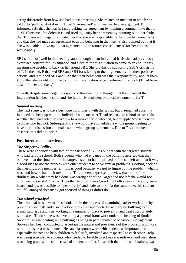acting differently from how she had in past meetings. She related an incident in which she told T to 'pull her skirt down', T had 'overreacted' and they had had an argument. P informed SB1 that she was in fact breaking her agreement by making a comment like that to T. SB1 became a bit defensive, and tried to justify her comment by pointing out other faults that T possessed. P again reminded her that she was responsible for her own behaviour only and that she had made an agreement to avoid behaving in that way. P also pointed out that if she was unable to live up to that agreement in the future 'consequences' for her actions would apply.

SB2 started off well in the meeting, and although on an individual basis she had previously expressed concern for T's situation and a desire for this situation to come to an end, in this meeting she decided to back up her friend SB1. She did this by supporting SB1's criticisms of T. In the end, P thanked SB3 and SB4 for sticking to their agreements and their positive actions, and reminded SB1 and SB2 that their behaviour was their responsibility, and let them know that she would continue to monitor the situation once T returned to school. (T had been absent for several days.)

Overall, despite some negative aspects of this meeting, P thought that this phase of the intervention had been useful and she felt fairly confident of a positive outcome for T.

### *Summit meeting*

The next stage was to have been one involving T with the group, but T remained absent. P intended to check up with the individual students after T had returned to school to ascertain whether they had acted positively – to reinforce those who had, but to apply 'consequences' to those who had not. Subsequently, she would have scheduled a whole group meeting to have a final discussion and make some whole group agreements. Due to T's continued absence, this did not occur.

#### **Post-intervention interviews**

#### *The Suspected Bullies*

These were conducted with two of the Suspected Bullies but not with the targeted student who had left the school. Both students who had engaged in the bullying asserted that they believed that the situation for the targeted student had improved before she left and that it was a good idea to use the process with other students to solve similar problems. Looking back on the meetings, one member felt 'it was good because 'we got to figure out the problem, what it was, and how to handle it next time.' This student expressed the view that both of the 'bullies' knew what they had done was wrong and if the Target had not left she would not continue to 'say stuff' to her. The other felt that it was 'good that both sides of the story were heard' and it was possible to 'speak freely' and 'safe to talk'. At the same time, this student still felt annoyed 'because I got accused of things I didn't do'.

#### *The school principal*

The principal was new to the school, and in the process of examining earlier work done by previous principals and also developing his own approach. He recognised bullying as a significant issue and was working in a number of ways to prevent it and deal appropriately with cases. To do so he was developing a general framework under the heading of Student Support. He saw dealing with bullying as being in part a matter of behaviour management. Surveys had been conducted to ascertain the nature and prevalence of the problem, and more work in this area was planned. He saw classroom work with students as important and especially the need to help children to feel safe, involved and respectful to each other. Help was being provided to students who needed to be able to act more assertively, and mediation was being practised in some cases of student conflict. It was felt that more staff training was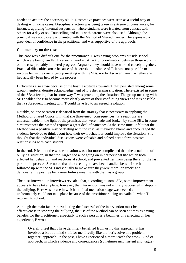needed to acquire the necessary skills. Restorative practices were seen as a useful way of dealing with some cases. Disciplinary action was being taken in extreme circumstances, for instance, applying 'internal suspension' where students were isolated from contact with others for a day or so. Counselling and talks with parents were also used. Although the principal was not closely acquainted with the Method of Shared Concern, he expressed a great deal of confidence in the practitioner and was supportive of the approach.

### **Commentary on the case**

This case was a difficult one for the practitioner. T was having problems outside school which were being handled by a social worker. A lack of coordination between those working on the case probably hindered progress. Arguably they should have worked closely together. Practical difficulties arose because of the erratic attendance of T. It was not possible to involve her in the crucial group meeting with the SBs, nor to discover from T whether she had actually been helped by the process.

Difficulties also arose because of the hostile attitudes towards T that persisted among some group members, despite acknowledgement of T's distressing situation. There existed in some of the SBs a feeling that in some way T was provoking the situation. The group meeting with SBs enabled the P to become more clearly aware of their conflicting views and it is possible that a subsequent meeting with T could have led to an agreed resolution.

Notably, on one occasion P departed from the strategy that is necessary in applying the Method of Shared Concern, in that she threatened 'consequences'. P's reactions are understandable in the light of the promises that were made and broken by some SBs. In some circumstances the Method requires a great deal of patience! At the same time, P felt that the Method was a positive way of dealing with the case, as it avoided blame and encouraged the students involved to think about how their own behaviour could improve the situation. She thought that the individual discussions were valuable and helped her to form positive relationships with each student.

In the end, P felt that the whole situation was a lot more complicated than the usual kind of bullying situation, in that the Target had a lot going on in her personal life which both affected her behaviour and reactions at school, and prevented her from being there for the last part of the process. She noted that the case might have been handled better if she had followed up with the SBs individually to make sure they were more 'on track' and demonstrating positive behaviour **before** meeting with them as a group.

The post-intervention interviews revealed that, according to some SBs, some improvement appears to have taken place; however, the intervention was not entirely successful in stopping the bullying. Here was a case in which the final mediation stage was needed and unfortunately could not take place because of the practitioner being unavailable when T returned to school.

Although the main factor in evaluating the 'success' of the intervention must be its effectiveness in stopping the bullying, the use of the Method can be seen at times as having benefits for the practitioner, especially if such a person is a beginner. In reflecting on her experience, P wrote:

Overall, I feel that I have definitely benefited from using this approach, it has involved a bit of a mind shift for me, I really like the 'let's solve this problem together' approach. In the past, I have experienced a more 'catch the crook' kind of approach, in which evidence and consequences (sometimes inconsistent and vague)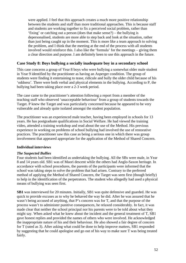were applied. I feel that this approach creates a much more positive relationship between the students and staff than more traditional approaches. This is because staff and students are working together to fix a perceived social problem, rather than 'fixing' or catching out a person (does that make sense?) – the bullying is depersonalised, students are more able to step back and look at the situation, rather than just being caught up in the moment. This is more like a team approach to solving the problem, and I think that the meeting at the end of the process with all students involved would reinforce this. I also like the 'formula' for the meetings – giving them a clear direction and purpose. I am definitely keen to use this approach in the future.

## **Case Study 8: Boys bullying a socially inadequate boy in a secondary school**

This case concerns a group of Year 8 boys who were bullying a somewhat older male student in Year 9 identified by the practitioner as having an Asperger condition. The group of students were finding it entertaining to tease, ridicule and bully the older child because of his 'oddness'. There were both verbal and physical elements in the bullying. According to P, the bullying had been taking place over a 2-3 week period.

The case came to the practitioner's attention following a report from a member of the teaching staff who observed 'unacceptable behaviour' from a group of students towards the Target. P knew the Target and was particularly concerned because he appeared to be very vulnerable and already quite isolated amongst the student population.

The practitioner was an experienced male teacher, having been employed in schools for 13 years. He has postgraduate qualifications in Social Welfare. He had viewed the training video, attended a training workshop and read about the use of the Method. His previous experience in working on problems of school bullying had involved the use of restorative practices. The practitioner saw this case as being a serious one in which there was group involvement that appeared appropriate for the application of the Method of Shared Concern.

### **Individual interviews**

### *The Suspected Bullies*

Four students had been identified as undertaking the bullying. All the SBs were male, in Year 8 and 14 years old. SB1 was of Maori descent while the others had Anglo-Saxon heritage. In accordance with school procedures, the parents of the participants were informed that the school was taking steps to solve the problem that had arisen. Contrary to the preferred method of applying the Method of Shared Concern, the Target was seen first (though briefly) to help in the identification of the perpetrators. The student who allegedly had used a physical means of bullying was seen first.

**SB1** was interviewed for 20 minutes. Initially, SB1 was quite defensive and guarded. He was quick to provide excuses as to why he behaved the way he did. After he was assured that he wasn't being accused of anything, that P's concern was for T, and that the purpose of the process wasn't to administer punitive consequences, he relaxed considerably. In fact, it was made clear that neither the school principal nor his parents were to be told about what they might say. When asked what he knew about the incident and the general treatment of T, SB1 gave honest replies and provided the names of others who were involved. He acknowledged the inappropriate nature of his and their behaviour. He also showed a fair degree of concern for T (rated as 3). After asking what could be done to help improve matters, SB1 responded by suggesting that he could apologise and go out of his way to make sure T was being treated fairly.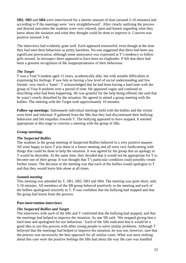**SB2**, **SB3** and **SB4** were interviewed for a shorter amount of time (around 5-10 minutes) and according to P the meetings were 'very straightforward'. After clearly outlining the process and desired outcomes the students were very relaxed, open and honest regarding what they knew about the situation and what they thought could be done to improve it. Concern was positive (around 3-4).

The interviews had evidently gone well. Each appeared remorseful, even though at the time they had seen their behaviour as pretty harmless. No-one suggested that there had been any significant provocation, although some annoyance was expressed at T's tendency to follow girls around. In retrospect there appeared to have been no ringleader. P felt that there had been a genuine recognition of the inappropriateness of their behaviour.

## *The Target*

T was a Year 9 student aged 15 years, academically able, but with notable difficulties in expressing his feelings. P saw him as having a low level of social understanding and few friends: very much a 'loner'. T acknowledged that he had been having a hard time with the group of Year 8 students over a period of time. He appeared vague and confused in describing what had been happening. He was grateful for the help being offered, but said that he wasn't overly disturbed by the situation. He agreed to attend a group meeting with the bullies. The meeting with the Target took approximately 10 minutes.

**Follow-up meetings:** Subsequent individual meetings held with the bullies and the victim were brief and informal. P gathered from the SBs that they had discontinued their bullying behaviour and felt empathic towards T. The bullying appeared to have stopped. It seemed appropriate at this stage to convene a meeting with the group of SBs.

### **Group meetings**

### *The Suspected Bullies*

The students in the group meeting of Suspected Bullies behaved in a very positive manner. All were happy to have T join them in a future meeting and all were very forthcoming with things that could be done to help the situation. It was agreed by the group that an apology to T would be desirable. At the same time, they decided that it would not be appropriate for T to become one of their group. It was thought that T's particular condition could possibly create further issues. The decision at the meeting was that each of the bullies would apologise to T and that they would leave him alone at all times.

#### *Summit meeting*

This meeting was attended by T, SB1, SB2, SB3 and SB4. The meeting was quite short, only 5-10 minutes. All members of the SB group behaved positively in the meeting and each of the bullies apologised sincerely to T. P was confident that the bullying had stopped and that the group had learnt from the process.

#### **Post-intervention interviews**

### *The Suspected Bullies and Target*

The interviews with each of the SBs and T confirmed that the bullying had stopped, and that the meetings had helped to improve the situation. As one SB said: 'We stopped giving him a hard time and apologised for our behaviour.' Each of the SBs indicated that it would be a good idea to use this process with other young people to solve similar problems. Although T believed that the meetings had helped to improve his situation, he was not, however, sure that the process was necessarily the best approach for all similar cases. What was most striking about this case were the positive feelings the SBs had about the way the case was handled.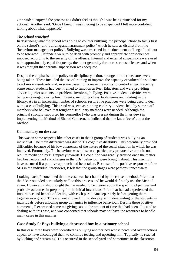One said: 'I enjoyed the process as I didn't feel as though I was being punished for my actions.' Another said: 'Once I knew I wasn't going to be suspended I felt more confident talking about what happened.'

## *The school principal*

In describing what the school was doing to counter bullying, the principal chose to focus first on the school's 'anti-bullying and harassment policy' which he saw as distinct from the 'behaviour management policy'. Bullying was described in the document as 'illegal' and 'not to be tolerated'. Offenders were to be dealt with promptly and appropriate consequences imposed according to the severity of the offence. Internal and external suspensions were used with approximately equal frequency; the latter generally for more serious offences and when it was thought that parental supervision was adequate.

Despite the emphasis in the policy on disciplinary action, a range of other measures were being taken. These included the use of training to improve the capacity of vulnerable students to act more assertively and, in some cases, to increase the ability to control anger. Recently, some senior students had been trained to function as Peer Educators and were providing advice to junior students on problems involving bullying. Positive student activities were being encouraged during lunch breaks, including chess, table tennis and reading in the library. As in an increasing number of schools, restorative practices were being used to deal with cases of bullying. This trend was seen as running contrary to views held by some staff members who believed that tougher disciplinary methods were needed. Although the principal strongly supported his counsellor (who was present during the interview) in implementing the Method of Shared Concern, he indicated that he knew 'zero' about the Method.

### **Commentary on the case**

This was in some respects like other cases in that a group of students was bullying an individual. The main difference was due to T's cognitive disability. This potentially provided difficulties because of his low awareness of the nature of the social situation in which he was involved. Fortunately, T's behaviour was not seen as particularly provocative and did not require mediation by P. Empathy towards T's condition was readily aroused once the matter had been explained and changes in the SBs' behaviour were brought about. This may not have occurred if a punitive approach had been taken. Because of the positive responses of the SBs in the individual interviews, P felt that the group stages were perhaps unnecessary.

Looking back, P concluded that the case was best handled by the chosen method. P felt that the SBs responded particularly well to this process and he would definitely use the Method again. However, P also thought that he needed to be clearer about the specific objectives and probable outcomes in preparing for the initial interviews. P felt that he had experienced the importance and benefit of dealing with each participant separately before getting them together as a group. This element allowed him to develop an understanding of the students as individuals before allowing group dynamics to influence behaviour. Despite these positive comments, P expressed some misgivings about the amount of time that had been allocated to dealing with this case, and was concerned that schools may not have the resources to handle many cases in this manner.

# **Case Study 9: Boys bullying a depressed boy in a primary school**

In this case three boys were identified as bullying another boy whose perceived overreactions appear to have encouraged them to continue teasing and upsetting him. Typically he reacted by kicking and screaming. This occurred in the school yard and sometimes in the classroom.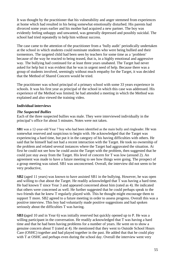It was thought by the practitioner that his vulnerability and anger stemmed from experiences at home which had resulted in his being somewhat emotionally disturbed. His parents had divorced some years earlier and his mother had acquired a new partner. The boy was evidently feeling unhappy and unwanted, was generally depressed and possibly suicidal. The school had tried repeatedly to help him without success.

The case came to the attention of the practitioner from a 'bully audit' periodically undertaken at the school in which students could nominate students who were being bullied and their tormentors. The targeted child had been seen by teachers for some time as a 'problem' because of the way he reacted to being teased, that is, in a highly emotional and aggressive way. The bullying had continued for at least three years unabated. The Target had never asked for help but it was evident that he was in urgent need of help. Because there was a group of students involved, seemingly without much empathy for the Target, it was decided that the Method of Shared Concern would be tried.

The practitioner was school principal of a primary school with some 33 years experience in schools. It was his first year as principal of the school in which this case was addressed. His experience of the Method was limited; he had attended a meeting in which the Method was explained and also viewed the training video.

### **Individual interviews**

### *The Suspected Bullies*

Each of the three suspected bullies was male. They were interviewed individually in the principal's office for about 5 minutes. Notes were not taken.

**SB1** was a 12-year-old Year 7 boy who had been identified as the main bully and ringleader. He was somewhat reserved and suspicious to begin with. He acknowledged that the Target was experiencing a hard time, but put it in the category of his having difficulties with others. He said that he himself had not had a recent interaction with the Target. He took no ownership of the problem and related several instances where the Target had aggravated the situation. At first he could not see how he could assist the Target with the problem, then suggested that he could just stay away from the Target. His level of concern for T was low (around 2). An agreement was made to have a future meeting to see how things were going. The prospect of a group meeting was raised. SB1 was unconcerned. Overall, the interview did not seem to be very productive,

**SB2** (aged 11 years) was known to have assisted SB1 in the bullying. However, he was open and willing to chat about the Target. He readily acknowledged that T was having a hard time. He had known T since Year 3 and appeared concerned about him (rated as 4). He indicated that others were concerned as well. He further suggested that he could perhaps speak to the two friends that he knew T regularly played with. This he thought might encourage them to support T more. SB2 agreed to a future meeting in order to assess progress. Overall this was a positive interview. This boy had voluntarily made positive suggestions and had spoken seriously about the difficulties T was having.

**SB3 (**aged 10 and in Year 6) was initially reserved but quickly opened up to P. He was a willing participant in the conversation. He readily acknowledged that T was having a hard time and that he had been having problems for a number of years. He went on to show a genuine concern about T (rated at 4). He mentioned that they went to Outside School Hours Care (OSHC) together and had played together in the past. He added that that he could play with T at OSHC and perhaps even during the school day. Overall the interview went very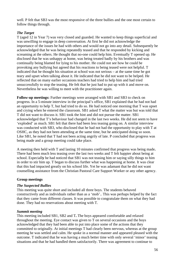well. P felt that SB3 was the most responsive of the three bullies and the one most certain to follow things through.

## *The Target*

T (aged 12 in Year 7) was very closed and guarded. He wanted to keep things superficial and was unwilling to engage in deep conversation. At first he did not acknowledge the importance of the issues he had with others and would not go into any detail. Subsequently he acknowledged that he was being repeatedly teased and that he responded by kicking and screaming at the others. He thought that no-one could help him. Eventually T opened up. He disclosed that he was unhappy at home, was being treated badly by his brothers and was continually being blamed for lying to his mother. He could not see how he could be provoking any bullying but agreed that his reactions to being teased were not helpful. T indicated that he thought his situation at school was not serious – at the same time he got teary and upset when talking about it. He indicated that he did not want to be helped. He reflected that on many earlier occasions teachers had tried to help him and had tried unsuccessfully to stop the teasing. He felt that he just had to put up with it and move on. Nevertheless he was willing to meet with the practitioner again.

**Follow-up meetings:** Further meetings were arranged with SB1 and SB3 to check on progress. In a 5-minute interview in the principal's office, SB1 explained that he had not had an opportunity to help T, but had tried to do so. He had noticed one morning that T was upset and crying when he entered the classroom. SB1 asked T what the matter was but was told that T did not want to discuss it. SB1 took the hint and did not pursue the matter. SB1 acknowledged that T's behaviour had changed in the last two weeks. He did not seem to have 'exploded' as much. SB1 felt that there had been less teasing going on. A similar interview was conducted with SB3, who disclosed that he had not had the opportunity to play with T at OSHC, as they had not been attending at the same time, but he anticipated doing so soon. Like SB1, he noted that T had not been acting angrily of late. P concluded that progress was being made and a group meeting could take place.

A meeting then held with T and lasting 10 minutes confirmed that progress was being made**.**  There had been much less teasing over the last two weeks and T felt happier about being at school. Especiall**y** he had noticed that SB1 was not teasing him or saying silly things to him in order to stir him up. T began to discuss further what was happening at home. It was clear that this had impacted greatly on his school life. Yet he was adamant that he did not want counselling assistance from the Christian Pastoral Care Support Worker or any other agency.

### **Group meetings**

### *The Suspected Bullies*

This meeting was quite short and included all three boys. The students behaved constructively and as individuals rather than as a 'mob'.. This was perhaps helped by the fact that they came from different classes. It was possible to congratulate them on what they had done. They had no reservations about meeting with T.

### *Summit meeting*

This meeting included SB1, SB2 and T**.** The boys appeared comfortable and relaxed throughout the meeting. Eye contact was given to T on several occasions and the boys acknowledged that they had been able to put into place some of the actions that they committed to originally. At initial meetings T had clearly been nervous, whereas at the group meeting he was settled and calm. He spoke in a normal manner and appeared pleased with the outcome. T indicated that he was having a much better time with only several 'minor' teasing situations and that he had handled them satisfactorily. There was agreement to continue to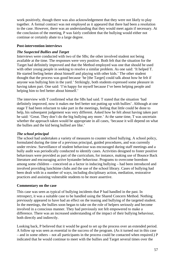work positively, though there was also acknowledgement that they were not likely to play together. A formal contract was not employed as it appeared that there had been a resolution to the case. However, there was an understanding that they would meet again if necessary. At the conclusion of the meeting, P was fairly confident that the bullying would either not continue or certainly abate to a large degree.

### **Post-intervention interviews**

### *The Suspected Bullies and Target*

Interviews were conducted with two of the SBs; the other involved student not being available at the time. The responses were very positive. Both felt that the situation for the Target had definitely improved and that the Method employed was one that should be used with other young people in seeking to resolve a similar problem. As one said: 'It helped T. He started feeling better about himself and playing with other kids.' The other student thought that the process was good because 'he [the Target] could talk about how he felt if anyone was bullying him in the yard.' Strikingly, both students expressed some pleasure in having taken part. One said: 'I'm happy for myself because I've been helping people and helping him to feel better about himself.'

The interview with T confirmed what the SBs had said. T stated that the situation 'had definitely improved, now it makes me feel better not putting up with bullies'. Although at one stage T had been reluctant to take part in the meetings, feeling that little could be done to help, his subsequent judgement was very different. Asked how he felt about having taken part he said: 'Great. They don't do the big bullying any more.' At the same time, T was uncertain whether the approach taken would be appropriate in all cases, 'because it will depend on what the bullies and the kid being bullied are like.'

### *The school principal*

The school had undertaken a variety of measures to counter school bullying. A school policy, formulated during the time of a previous principal, guided procedures, and was currently under review. Surveillance of student behaviour was encouraged during staff meetings and a bully audit was periodically conducted to identify cases. Activities designed to foster positive behaviours were provided as part of the curriculum, for instance, making use of Bounce Back literature and encouraging active bystander behaviour. Programs to overcome boredom among some children – conceived as a factor in inducing bullying – had been introduced and involved providing lunchtime clubs and the use of the school library. Cases of bullying had been dealt with in a number of ways, including disciplinary action, mediation, restorative practices and assisting vulnerable students to be more assertive.

### **Commentary on the case**

This case was seen as typical of bullying incidents that P had handled in the past. In retrospect, it was a suitable case to be handled using the Shared Concern Method. Nothing previously appeared to have had an effect on the teasing and bullying of the targeted student. In the meetings, the bullies soon began to take on the role of helpers seriously and become involved in a conscious manner. They had previously not felt empowered to make a difference. There was an increased understanding of the impact of their bullying behaviour, both directly and indirectly.

Looking back, P believed that it would be good to set up the process over an extended period. A follow up was seen as essential to the success of the program. (As it turned out in this case – and in some others – not all participants in the process could be contacted when required.) P indicated that he would continue to meet with the bullies and Target several times over the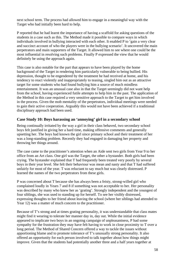next school term. The process had allowed him to engage in a meaningful way with the Target who had initially been hard to help.

P reported that he had learnt the importance of having a scaffold for asking questions of the students in a case such as this. The Method made it possible to compare ways in which individuals involved in bullying interacted with each other. It enabled P to 'gain a very clear and succinct account of who the players were in the bullying scenario'. It uncovered the main perpetrators and main supporters of the Target. It allowed him to see where one could be the most influential in resolving such problems. Finally P expressed the view that he would definitely be using the approach again.

This case is also notable for the part that appears to have been played by the home background of the Target in rendering him particularly vulnerable to being bullied. His depression, thought to be engendered by the treatment he had received at home, and his tendency to react violently and inappropriately to teasing, singled him out as an attractive target for some students who had found bullying him a source of much mindless entertainment. It was an unusual case also in that the Target seemingly did not want help from the school, having experienced futile attempts to help him in the past. The application of the Method in this case required a very sensitive approach to the Target to get him involved in the process. Given the mob mentality of the perpetrators, individual meetings were needed to gain their active cooperation. Arguably this would not have been achieved if a traditional disciplinary approach had been used.

## **Case Study 10: Boys harassing an 'annoying' girl in a secondary school**

Being continually irritated by the way a girl in their class behaved, two secondary school boys felt justified in giving her a hard time, making offensive comments and generally upsetting her. The boys had known the girl since primary school and their treatment of her was a long-standing problem. Recently they had engaged in damaging her property and throwing her things around.

The case came to the practitioner's attention when an Aide sent two girls from Year 9 to her office from an Art class. One girl was the Target, the other a bystander. Both girls had been crying. The bystander explained that T had frequently been treated very poorly by several boys in their year level. She felt their behaviour was mean and nasty and that T had suffered unfairly for most of the year. T was reluctant to say much but was clearly distressed. P learned the names of the two perpetrators from these girls.

P was concerned about T because she has always been a feisty, strong-willed girl who complained loudly in Years 7 and 8 if something was not acceptable to her. Her personality was described by many who knew her as 'grating'. Strongly independent and the youngest of four siblings, she was used to standing up for herself. To see her visibly distressed, expressing thoughts to her friend about leaving the school (where her siblings had attended to Year 12) was a matter of much concern to the practitioner.

Because of T's strong and at times grating personality, it was understandable that class mates might find it wearing to tolerate her manner day in, day out. While the initial evidence appeared to implicate two boys in an ongoing campaign of unpleasantness, P had some sympathy for the frustration they may have felt having to work in close proximity to T over a long period. The Method of Shared Concern offered a way to tackle the issues without apportioning blame and to promote tolerance of T's unusually strong personality. It also offered an opportunity for each person involved to talk together about how things might improve. Given that the students had potentially another three and a half years together at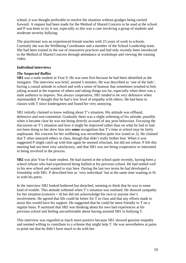school, it was thought preferable to resolve the situation without grudges being carried forward. A request had been made for the Method of Shared Concern to be used at the school and P was keen to try it out, especially as this was a case involving a group of students and moderate severity bullying.

The practitioner was an experienced female teacher with 23 years of work in schools. Currently she was the Wellbeing Coordinator and a member of the School Leadership team. She had been trained in the use of restorative practices and had only recently been introduced to the Method of Shared Concern through attendance at workshops and viewing the training video.

### **Individual interviews**

### *The Suspected Bullies*

**SB1** was a male student in Year 9. He was seen first because he had been identified as the instigator. The interview was brief, around 5 minutes. He was described as 'one of the lads', having a casual attitude to school and with a sense of humour that sometimes resulted in him joking around at the expense of others and taking things too far, especially when there was a male audience to impress. Not always cooperative, SB1 tended to be very defensive when reprimanded. P thought that he had a low level of empathy with others. He had been in classes with T since kindergarten and found her very annoying.

SB1 initially claimed to know nothing about T's situation. His attitude was offhand, defensive and non-committal. Gradually there was a slight softening of his attitude, possibly when it became clear he was not being directly accused of any poor behaviour. Focusing the discussion on T's situation and how it might be improved rather than on what he had or had not been doing to her drew him into **some** recognition that T's time at school may be fairly unpleasant. His concern for her wellbeing was nevertheless quite low (rated as 2). He claimed that T often annoyed others in class, though that didn't really bother him. When it was suggested P might catch up with him again he seemed reluctant, but did not refuse. P felt this meeting had not been very satisfactory, and that SB1 was not being cooperative or interested in being involved in the process.

**SB2** was also Year 9 male student. He had started at the school quite recently, having been a school refuser who had experienced being bullied at his previous school. He had settled well in his new school and wanted to stay here. During the last two terms he had developed a friendship with SB1. P described him as 'very individual' but at the same time wanting to fit in with his peers.

In the interview SB2 looked bothered but detached, seeming to think that he was in some kind of trouble. This attitude softened when T's situation was outlined. He showed sympathy for her situation (concern  $= 4$ ) but did not acknowledge his own or anyone else's involvement. He agreed that life could be better for T in class and that any efforts made to assist this would have his support. He suggested that he could be more friendly to T on a regular basis. P surmised that SB2 was thinking about his own bad experiences at his previous school and feeling uncomfortable about having assisted SB1 in bullying T.

This interview was regarded as much more positive because SB1 showed genuine empathy and seemed willing to contribute to a scheme that might help T. He was nevertheless at pains to point out that he didn't have much to do with her.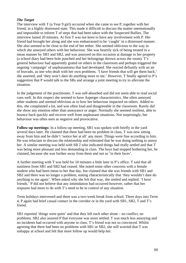### *The Target*

The interview with T (a Year 9 girl) occurred when she came to see P, together with her friend, in a highly distressed state. This made it difficult to discuss the matter unemotionally and impossible to inform T of steps that had been taken with the Suspected Bullies. The interview lasted 20 minutes. At first T was not keen to have any involvement with P. Her friend had brought her along and she was embarrassed to be 'caught' in a distressed manner. She also seemed to be close to the end of her tether. She seemed oblivious to the way in which she annoyed others with her behaviour. She was heartily sick of being treated in a mean manner by SB1 and SB2, and was annoyed on this occasion at damage to her property (a school diary had been hole punched and her belongings thrown across the room). T's general behaviour had apparently grated on others in the classroom and perhaps triggered the ongoing 'campaign' of unpleasantness that had developed. She reacted defiantly with an air of bravado, as one who dealt with her own problems. 'I have friends that will get them back,' she asserted, and 'they won't dare do anything more to me.' However, T finally agreed to P's suggestion that P would talk to the SBs and arrange a joint meeting to try to alleviate the situation.

In the judgement of the practitioner, T was self-absorbed and did not seem able to read social cues well. In this respect she seemed to have Asperger characteristics. She often annoyed other students and seemed oblivious as to how her behaviour impacted on others. Added to this, she complained a lot, and was often loud and disagreeable in the classroom. Rarely did she show any emotion other than annoyance or anger. Normally she seemed resilient, able to bounce back quickly and recover well from unpleasant situations. Not surprisingly, her behaviour was often seen as negative and provocative.

**Follow-up meetings:** In a follow-up meeting, SB1 was spoken with briefly in the yard several days later. He claimed that there had been no problem in class, T was now sitting away from him and he didn't 'notice her at all' any more. Things were fine according to him. He was reluctant to discuss the relationship and reiterated that he was doing nothing to annoy her. A similar meeting was held with SB 2 who indicated things had really settled and that T was being more pleasant and less demanding in class. The boys had stopped bothering her, he claimed, because she was further away from them and not so 'in their faces'.

A further meeting with T was held for 10 minutes a little later in P's office. T said that all nastiness from SB1 and SB2 had ceased. She noted some other concerns with a female student who had been mean to her that day, but claimed that she was friends with SB1 and SB2 and there was no longer a problem, stating characteristically that 'they wouldn't dare do anything to me again'. When asked why she felt that way, she smiled and replied: 'I have friends.' P did not believe that any intimidation had occurred however, rather that her response had more to do with T's need to be in control of any situation.

Term holidays intervened and there was a two-week break from school. Three days into Term 4, P again had brief casual contact in the corridor or in the yard with SB1, SB2, T and T's friend.

SB1 reported 'things were quiet' and that they left each other alone – no conflict, no problems. SB2 also assured P that everyone was more settled. T was much less annoying and no incidents had occurred with anyone in class. T's friend was not so convinced. Whilst agreeing that there had been no problems with SB1 or SB2, she still worried that T was unhappy at school and felt that more follow up would help her.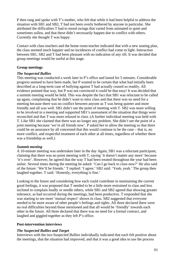P then rang and spoke with T's mother, who felt that while it had been helpful to address the situation with SB1 and SB2, T had not been overly bothered by anyone in particular. She attributed the difficulties T had to mood swings that varied from animated to quiet and sometimes sullen, and that these didn't necessarily happen due to conflict with others. Currently she thought T was happy.

Contact with class teachers and the home room teacher indicated that with a new seating plan, the class seemed much happier and no incidences of conflict had come to light. Interaction between SB1, SB2 and T had been pleasant with no indication of any rift. It was decided that group meetings would be useful at this stage.

### **Group meetings**

### *The Suspected Bullies*

This meeting was conducted a week later in P's office and lasted for 5 minutes. Considerable progress seemed to have been made, but P wanted to be certain that what had initially been described as a long-term case of bullying against T had actually ceased so readily. All evidence pointed that way, but P was not convinced it could be that easy! It was decided that a summit meeting would be held. This was despite the fact that SB1 was reluctant to be called up again, complaining that he didn't want to miss class and that there was no need for a meeting because there was no conflict between anyone as T was being quieter and more friendly and all was well. SB1 didn't see the point of meeting with T. SB2 was more willing to be involved in a meeting and supported SB1's assessment of the situation that things were reconciled and that T was more relaxed in class. (A further individual meeting was held with T. Like SB1 she claimed that there was no longer any problem. She didn't see the point of a joint meeting because 'we're all friends now'. P asked her to allow the meeting so that there could be an assurance by all concerned that this would continue to be the case – that is, no more conflict, and respectful treatment of each other at all times, regardless of whether there was a friendship as well.)

### *Summit meeting*

A 10-minute meeting was undertaken later in the day Again, SB1 was a reluctant participant, claiming that there was no point meeting with T, saying 'it doesn't matter any more' because 'it's over'. However, he agreed that the way T had been treated throughout the year had been unfair. Several times during the meeting he asked: 'Can I go back to class now?' He also said of the future: 'We'll be friends.' T replied: 'I agree.' SB2 said: 'Yeah, yeah.' The group then laughed together. T said: 'Honestly, everything is fine.'

Looking to the future and considering how each could contribute in maintaining the current good feelings, it was proposed that T needed to be a little more restrained in class and less inclined to complain loudly or needle others, while SB1 and SB2 agreed that showing greater tolerance, as had occurred during the meetings, had been productive. T responded that she was starting to see more 'mutual respect' shown in class. SB2 suggested that everyone needed to be more aware of other people's feelings and rights. All three declared there were no real difficulties beyond those mentioned and that all would be 'friendly' towards each other in the future. All three declared that there was no need for a formal contract, and laughed and giggled together as they left P's office.

### **Post-intervention interviews**

### *The Suspected Bullies and Target*

Interviews with the two Suspected Bullies individually indicated that each felt positive about the meetings, that the situation had improved, and that it was a good idea to use the process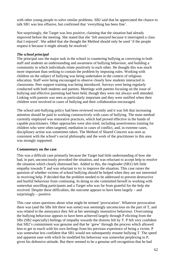with other young people to solve similar problems. SB2 said that he appreciated the chance to talk SB1 was less effusive, but confirmed that 'everything has been fine'.

Not surprisingly, the Target was less positive, claiming that the situation had already improved before the meeting. She stated that she 'felt annoyed because it interrupted a class that I enjoyed'. She added that she thought the Method should only be used 'if the people request it because it might already be resolved.'

### *The school principal*

The principal saw the major task in the school in countering bullying as conveying to both staff and students an understanding and awareness of bullying behaviour, and building a community in which individuals relate positively to each other. He thought this was much more important than seeking to contain the problem by imposing rules. Working with children on the subject of bullying was being undertaken in the context of religious education. Staff were being encouraged to observe closely how students interacted in classrooms. Peer support training was being introduced. Surveys were being regularly conducted with both students and parents. Meetings with parents focusing on the issue of bullying and effective parenting had been held, though they were not always well attended. Linking with parents was seen as particularly important and they were notified when their children were involved in cases of bullying and their collaboration encouraged.

The school anti-bullying policy had been reviewed recently and it was felt that increasing attention should be paid to working constructively with cases of bullying. The main method currently employed was restorative practices, which had proved effective in the hands of capable practitioners. Other approaches were also tried, including assertiveness training for children who were often targeted, mediation in cases of conflict, and, in extreme cases, disciplinary action was sometimes taken. The Method of Shared Concern was seen as consistent with the school's social philosophy and the work of the practitioner in this area was strongly supported.

### **Commentary on the case**

This was a difficult case primarily because the Target had little understanding of how she had, in part, unconsciously provoked the situation, and was reluctant to accept help to resolve the situation which clearly distressed her. Added to this, the ringleader (SB1) felt little empathy towards T and was reluctant to try to improve the situation. This case raises the question of whether victims of school bullying should be helped when they are not interested in receiving help. P decided that the problem needed to be addressed to prevent destructive and hurtful behaviour from continuing. In doing so she committed herself to working with somewhat unwilling participants and a Target who was far from grateful for the help she received. Despite these difficulties, the outcome appears to have been largely – and surprisingly – positive.

This case raises questions about what might be termed 'provocation'. Whatever provocation there was (and the SBs felt there was some) was seemingly unconscious on the part of T, and was related to the annoyance they felt at her seemingly insensitive behaviour. Overcoming the bullying behaviour appears to have been achieved largely through P eliciting from the SBs (SB2 especially) feelings of empathy towards the distress felt by T. P felt very confident that SB2's commitment was genuine and that he 'grew' through the process which allowed him to get in touch with his own feelings from his previous experience of being a victim. P was somewhat less confident that SB1 would not subsequently resume bullying T. The speed and apparent ease with which he modified his behaviour was somewhat perplexing to P, given his defensive attitude. But there seemed to be a genuine self-recognition that he had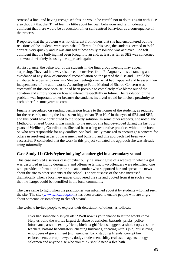'crossed a line' and having recognised this, he would be careful not to do this again with T. P also thought that that T had learnt a little about her own behaviour and felt moderately confident that there would be a reduction of her self-centred behaviour as a consequence of the process.

P reported that the problem was not different from others that she had encountered but the reactions of the students were somewhat different. In this case, the students seemed to 'self correct' very quickly and P was amazed at how easily resolution was achieved. She felt confident that the bullying had been brought to an end, at least as far as SB2 was concerned, and would definitely be using the approach again.

At first glance, the behaviour of the students in the final group meeting may appear surprising. They had in a way distanced themselves from P. Arguably this distancing and avoidance of any show of emotional reconciliation on the part of the SBs and T could be attributed to a desire to deny any 'deeper' feelings over what had happened and to assert their independence of the adult world. According to P, the Method of Shared Concern was successful in this case because it had been possible to completely take blame out of the equation and simply focus on how to interact respectfully in future. The resolution of the problem was important to her because the students involved would be in close proximity to each other for some years to come.

Finally P speculated on sending permission letters to the homes of the students, as required for the research, making the issue seem bigger than 'Ben Hur' in the eyes of SB1 and SB2, and this could have contributed to the speedy solution. In some other respects, she noted, the Method of Shared Concern was similar to the method she had developed during the last four years of Wellbeing Coordination. She had been using restorative practices without the focus on who was responsible for any conflict. She had usually managed to encourage a concern for others in resolving issues of harassment and bullying and this approach had been very successful. P concluded that the work in this project validated the approach she was already using informally.

# **Case Study 11: Girls 'cyber bullying' another girl in a secondary school**

This case involved a serious case of cyber bullying, making use of a website in which a girl was described in highly derogatory and offensive terms. Two offenders were identified, one who provided information for the site and another who supported her and spread the news about the site to other students at the school. The seriousness of the case increased dramatically when a local newspaper discovered the site and quoted from it in such a way that the Target could be identified in the local community.

The case came to light when the practitioner was informed about it by students who had seen the site. The site (www.whozadog.com) has been created to enable people who are angry about someone or something to 'let off steam'.

The website invited people to express their detestation of others, as follows:

Ever had someone piss you off?? Well now is your chance to let the world know. Help us build the worlds largest database of assholes, bastards, pricks, police informants, asshole ex boyfriend, bitch ex girlfriends, laggers, asshole cops, asshole teachers, bastard headmasters, cheating husbands, cheating wife's [sic] bullshitting employees of government [sic] agencies, back stabbing friends, corrupt law enforcement, corrupt lawyers, dodgy tradesmen, shifty real estate agents, dodgy salesmen and anyone else who you think should need a flea bath.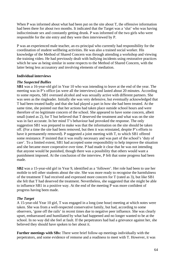When P was informed about what had been put on the site about T, the offensive information had been there for about two months. It indicated that the Target was a 'slut' who was having indiscriminate sex and constantly getting drunk. P was informed of the two girls who were responsible for the site entry and they were then interviewed by P.

P was an experienced male teacher, an ex-principal who currently had responsibility for the coordination of student wellbeing activities. He was also a trained social worker. His knowledge of the Method of Shared Concern was through attending a workshop and viewing the training video. He had previously dealt with bullying incidents using restorative practices which he saw as being similar in some respects to the Method of Shared Concern, with the latter being less accusatory and involving elements of mediation.

### **Individual interviews**

### *The Suspected Bullies*

**SB1** was a 16-year-old girl in Year 10 who was intending to leave at the end of the year. The meeting was in P's office (as were all the interviews) and lasted about 20 minutes. According to some reports, SB1 overused alcohol and was sexually active with different partners. She was seen as the ringleader. Initially she was very defensive, but eventually acknowledged that T had been treated badly and that she had played a part in how she had been treated. At the same time, she pointed out that her actions had taken place outside school hours and were therefore of no legitimate concern of the school. She appeared to have some concern, albeit small (rated as 2), for T but believed that T deserved the treatment and what was on the site was in fact accurate. In her mind T's behaviour had provoked the response. The only suggestion SB1 was prepared to make was that the information on the site should be taken off. (For a time the site had been removed, but then it was reinstated, despite P's efforts to have it permanently removed). P suggested a joint meeting with T, to which SB1 offered some resistance. P insisted that it was really necessary and was part of the school's 'duty of care'. To a limited extent, SB1 had accepted some responsibility to help improve the situation and she became more cooperative over time. P had made it clear that he was not intending that anyone would be punished, though there was a possibility that others would want a punishment imposed. At the conclusion of the interview, P felt that some progress had been made.

**SB2** was a 15-year-old girl in Year 9, identified as a 'follower'. Her role had been to use her mobile to tell other students about the site. She was more ready to recognise the harmfulness of the treatment T had received and expressed more concern for T (rated as 3), but like SB1 she felt that T had deserved the treatment. Nevertheless, she suggested that she might be able to influence SB1 in a positive way. At the end of the meeting P was more confident of progress having been made.

#### *The Target*

A 15-year-old Year 10 girl, T was engaged in a long (one hour) meeting at which notes were taken. She was from a well-respected conservative family, but had, according to some observers, 'gone off the rails' in recent times due to negative peer influence. She was clearly upset, embarrassed and humiliated by what had happened and no longer wanted to be at the school. In no way did she feel at fault. If the perpetrators had had a grievance against her, she believed they should have spoken to her about it.

**Further meetings with SBs:** There were brief follow-up meetings individually with the perpetrators, and some evidence of remorse and a readiness to meet with T. However, it was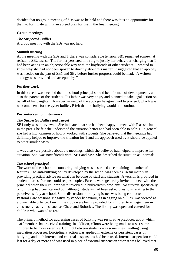decided that no group meeting of SBs was to be held and there was thus no opportunity for them to formulate with P an agreed plan for use in the final meeting.

## **Group meetings**

### *The Suspected Bullies*

A group meeting with the SBs was not held.

## *Summit meeting*

At the meeting with the SBs and T there was considerable tension. SB1 remained somewhat resistant, SB2 less so. The former persisted in trying to justify her behaviour, charging that T had been acting in an objectionable way with the boyfriends of other students. T wanted to know why she had not been spoken to directly about this matter. P suggested that an apology was needed on the part of SB1 and SB2 before further progress could be made. A written apology was provided and accepted by T.

# **Further work**

In this case it was decided that the school principal should be informed of developments, and also the parents of the students. T's father was very angry and planned to take legal action on behalf of his daughter. However, in view of the apology he agreed not to proceed, which was welcome news for the cyber bullies. P felt that the bullying would not continue.

### **Post-intervention interviews**

## *The Suspected Bullies and Target*

SB1 only was interviewed. She indicated that she had been happy to meet with P as she had in the past. She felt she understood the situation better and had been able to help T. In general she had a high opinion of how P worked with students. She believed that the meetings had definitely helped to improve the situation for T and the approach used by P should be applied to other similar cases.

T was also very positive about the meetings, which she believed had helped to improve her situation. She 'was now friends with' SB1 and SB2. She described the situation as 'normal'.

# *The school principal*

The work of the school in countering bullying was described as containing a number of features. The anti-bullying policy developed by the school was seen as useful mainly in providing practical advice on what can be done by staff and students. A version is provided in student diaries. Parents could request copies. Parents were generally invited to meet with the principal when their children were involved in bully/victim problems. No surveys specifically on bullying had been carried out, although students had been asked questions relating to their perceived safety at school. Some discussion of bullying issues was being conducted in Pastoral Care sessions. Negative bystander behaviour, as in egging on bullies, was viewed as a punishable offence. Lunchtime clubs were being provided for children to engage them in constructive activities, such as Chess and Robotics. The library was open and catered for children who wanted to read.

The primary method for addressing cases of bullying was restorative practices, about which staff members had received training. In addition, efforts were being made to assist some children to be more assertive. Conflict between students was sometimes handling using mediation processes. Disciplinary action was applied in extreme or persistent cases of bullying, and both internal and external suspensions had been used. Internal suspension could last for a day or more and was used in place of external suspension when it was believed that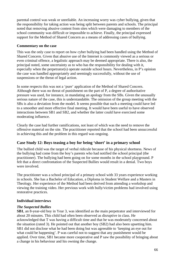parental control was weak or unreliable. An increasing worry was cyber bullying, given that the responsibility for taking action was being split between parents and schools. The principal noted that removing abusive content from sites which were damaging to members of the school community was difficult or impossible to achieve. Finally, the principal expressed support for the Method of Shared Concern as a means of addressing cases of bullying.

### **Commentary on the case**

This was the only case to report on how cyber bullying had been handled using the Method of Shared Concern. Given that abusive use of the Internet is commonly viewed as a serious or even criminal offence, a legalistic approach may be deemed appropriate. There is also, the principal noted, some uncertainty as to who has the responsibility for dealing with it, especially when the perpetrator(s) operate outside school hours. Nevertheless, in P's opinion the case was handled appropriately and seemingly successfully, without the use of suspensions or the threat of legal action.

In some respects this was not a 'pure' application of the Method of Shared Concern. Although there was no threat of punishment on the part of P, a degree of authoritative pressure was used, for instance, in mandating an apology from the SBs. Given the unusually serious nature of the case, this is understandable. The omission of the group meeting with the SBs is also a deviation from the model. It seems possible that such a meeting could have led to a smoother and more effective final meeting. It would have been useful to have observed interactions between SB1 and SB2, and whether the latter could have exercised some moderating influence.

Clearly the case had further ramifications, not least of which was the need to remove the offensive material on the site. The practitioner reported that the school had been unsuccessful in achieving this and the problem in this regard was ongoing.

# **Case Study 12: Boys teasing a boy for being 'short' in a primary school**

The bullied child was the target of verbal ridicule because of his physical shortness. News of the bullying had come from the boy's parents who had notified the school principal (the practitioner). The bullying had been going on for some months in the school playground. P felt that a direct confrontation of the Suspected Bullies would result in a denial. Two boys were involved.

The practitioner was a school principal of a primary school with 33 years experience working in schools. She has a Bachelor of Education, a Diploma in Student Welfare and a Masters in Theology. Her experience of the Method had been derived from attending a workshop and viewing the training video. Her previous work with bully/victim problems had involved using restorative practices.

#### **Individual interviews**

#### *The Suspected Bullies*

**SB1**, an 8-year-old boy in Year 3, was identified as the main perpetrator and interviewed for about 20 minutes. This child had often been observed as disruptive in class. He acknowledged that T was having a difficult time and that he was moderately concerned about the situation (rated 3). He pointed out that another boy (SB2) had also been upsetting him. SB1 did not disclose what he had been doing but was agreeable to 'keeping an eye out for what could be happening'. P was careful not to suggest that any punishment would be applied. Over time, SB1 became more cooperative and P saw the possibility of bringing about a change in his behaviour and his owning the change.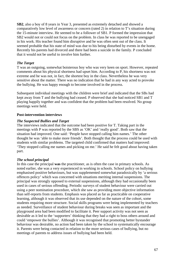**SB2**, also a boy of 8 years in Year 3, presented as extremely detached and showed a comparatively low level of awareness or concern (rated 2) in relation to T's situation during the 15-minute interview. He seemed to be a follower of SB1. P formed the impression that SB2 would not or could not focus on the problem. In class he was reported to be unengaged in his work. His teacher found him disruptive and he was often sent out of the class. It seemed probable that his state of mind was due to his being disturbed by events in the home. Recently his parents had divorced and there had been a suicide in the family. P concluded that it would not be useful to involve him further.

### *The Target*

T was an outgoing, somewhat boisterous boy who was very keen on sport. However, repeated comments about his physical shortness had upset him. According to P, his shortness was not extreme and he was not, in fact, the shortest boy in the class. Nevertheless he was very sensitive about the matter. There was no indication that he had in any way acted to provoke the bullying. He was happy enough to become involved in the process.

Subsequent individual meetings with the children were brief and indicated that the SBs had kept away from T and the bullying had ceased. P observed that she had noticed SB1 and T playing happily together and was confident that the problem had been resolved. No group meetings were held.

### **Post-intervention interviews**

#### *The Suspected Bullies and Target*

The interviews indicated that the outcome had been positive for T. Taking part in the meetings with P was reported by the SBS as 'OK' and 'really good'. Both saw that the situation had improved. One said: 'People have stopped calling him names.' The other thought he was 'able to make more friends'. Both thought that the process could be used with students with similar problems. The targeted child confirmed that matters had improved: 'They stopped calling me names and picking on me.' He said he felt good about having taken part.

### *The school principal*

In this case the principal **was** the practitioner, as is often the case in primary schools. As noted earlier, she was a very experienced in working in schools. School policy on bullying emphasised positive behaviours, but was supplemented somewhat paradoxically by 'a serious offences policy' which was concerned with situations meriting internal suspensions. The principal was strongly opposed to external suspensions, although they had occasionally been used in cases of serious offending. Periodic surveys of student behaviour were carried out using a peer nomination procedure, which she saw as providing more objective information than self-reports from students. Emphasis was placed as far as practicable on cooperative learning, although it was observed that its use depended on the nature of the cohort, some students requiring more structure. Social skills programs were being implemented by teachers as needed. Surveillance of student behaviour during breaks was seen as important and the playground area had been modified to facilitate it. Peer support activity was not seen as desirable as it led to the 'supporters' thinking that they had a right to boss others around and could 'empower the bullies'. Although it was recognised that promoting better bystander behaviour was desirable, no action had been taken by the school to systematically encourage it. Parents were being contacted in relation to the more serious cases of bullying, but no meetings of parents to address issues of bullying had been held.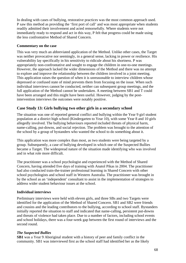In dealing with cases of bullying, restorative practices was the most common approach used. P saw this method as providing the 'first port of call' and was most appropriate when students readily admitted their involvement and acted remorsefully. Where students were not immediately ready to respond and act in this way, P felt that progress could be made using the less confrontative Method of Shared Concern.

### **Commentary on the case**

This was very much an abbreviated application of the Method. Unlike other cases, the Target was neither provocative nor seemingly, in a general sense, lacking in power or resilience. His vulnerability lay specifically in his sensitivity to ridicule about his shortness. P was appropriately non-confrontative and sought to engage the children in one-to-one meetings. However, the approach lacked the wider dimensions of the Method and there was no attempt to explore and improve the relationship between the children involved in a joint meeting. This application raises the question of when it is unreasonable to interview children whose depressed or confused state of mind prevents them from focusing on the issue. When such individual interviews cannot be conducted, neither can subsequent group meetings, and the full application of the Method cannot be undertaken. A meeting between SB1 and T could have been arranged and this might have been useful. However, judging by the postintervention interviews the outcomes were notably positive.

### **Case Study 13: Girls bullying two other girls in a secondary school**

The situation was one of reported general conflict and bullying within the Year 9 girl student population at a district high school (Kindergarten to Year 10), with some Year 8 and 10 girls allegedly involved. The bullying behaviours reported included threats of physical harm, name-calling, put-downs, and social rejection. The problem was brought to the attention of the school by a group of bystanders who wanted the school to do something about it.

This application was more complex than most, as two students were being targeted by a group. Subsequently, a case of bullying developed in which one of the Suspected Bullies became a Target. The widespread nature of the situation made identifying who was involved and in what role more difficult.

The practitioner was a school psychologist and experienced with the Method of Shared Concern, having attended five days of training with Anatol Pikas in 2004. The practitioner had also conducted train-the-trainer professional learning in Shared Concern with other school psychologists and school staff in Western Australia. The practitioner was brought in by the school as an 'independent' consultant to assist in the implementation of strategies to address wider student behaviour issues at the school.

### **Individual interviews**

Preliminary interviews were held with eleven girls, and three SBs and two Targets were identified for the application of the Method of Shared Concern. SB1 and SB2 were friends and cousins and the leading contributors to the bullying, according to school staff. Bystanders initially reported the situation to staff and indicated that name-calling, persistent put-downs and threats of violence had taken place. Due to a number of factors, including school events and school holidays, there was a four-week gap between the first round of interviews and the second round.

#### *The Suspected Bullies*

**SB1** was a Year 9 Aboriginal student with a history of peer and family conflict in the community. SB1 was interviewed first as the school staff had identified her as the likely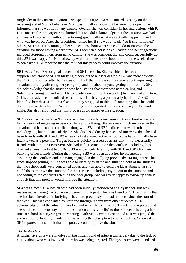ringleader in the current situation. Two specific Targets were identified as being on the receiving end of SB1's behaviour. SB1 was initially anxious but became more open when informed that she was not in any trouble. Overall she was confident in her interactions with P. Her concern for the Targets was limited, but she did acknowledge that the situation was bad and needed improving, without mentioning specifically what was actually happening and who was involved. After the practitioner asked her if she was a 'leader' or if she 'followed' others, SB1 was forthcoming in her suggestions about what she could do to improve the situation for those having a hard time. SB1 identified herself as a 'leader' and her suggestions included stopping others from name-calling. She was confident that she could successfully do this. SB1 was happy for P to follow up with her in the new school term in three weeks time. When asked, SB1 reported that she felt that this process could improve the situation.

**SB2** was a Year 9 Aboriginal student and SB1's cousin. She was identified as a supporter/assistant of SB1 in bullying others, but to a lesser degree. SB2 was more anxious than SB1, but settled after being reassured by P that these meetings were about improving the situation currently affecting her year group and not about anyone getting into trouble. SB2 did acknowledge that the situation was bad, stating that there was name-calling and 'bitchiness' going on, and was able to identify one of the Targets (T1) by name and situation. (T1 had already been identified by school staff as having a particularly hard time.) SB2 identified herself as a 'follower' and initially struggled to think of something that she could do to improve the situation. With prompting, she suggested that she could say 'hello' and smile. She also responded that this process could improve the situation.

**SB3** was a Caucasian Year 9 student who had recently come from another school where she had a history of engaging in peer conflicts and bullying. She was very much involved in the situation and had created conflict – along with SB1 and SB2 – directed towards others, including T1, but not particularly T2. She disclosed during her second interview that she had been friends with SB1 and SB2 when she first arrived at this school. (She had originally been interviewed as a potential Target, but was quickly reassessed as an 'ally' – not necessarily friends with – the first two SBs). She had in fact joined in on the conflicts, including those directed against the first two SBs. SB3 was particularly angry with SB1 and SB2 for their bullying of her friends. During the meeting SB3 was open about her involvement in sustaining the conflicts and in having engaged in the bullying previously, stating that she had since stopped joining in. She was able to identify by name and situation both of the students that the school staff were concerned about, and was able to generate ideas about what she could do to improve the situation for the Targets, including staying out of the situation and not adding to the conflicts affecting the peer group. She was very happy to follow up with P and felt that this process would improve the situation. .

**SB4** was a Year 9 Caucasian who had been initially interviewed as a bystander, but was reassessed as having had some involvement in the past. This was based on SB4 admitting that she had been involved in bullying behaviours previously but had not been since the start of the year. This was confirmed by staff and through reports from other students. SB4 acknowledged that the situation was bad and was able to name the Targets. She reported that she would continue to stay out of the situation and say 'hello' to those students having a hard time at school in her year group. Meetings with SB4 were not continued as it was judged that she was not sufficiently involved to warrant further disruption to her schooling. When asked, SB4 reported that she felt that this process could improve the situation.

#### *The bystanders*

A further five girls were involved in the initial round of interviews, largely due to the lack of clarity about who was involved and who was being targeted. The bystanders were identified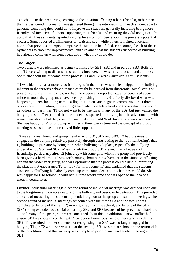as such due to their reporting centring on the situation affecting others (friends), rather than themselves. Good information was gathered through the interviews, with each student able to generate something they could do to improve the situation, generally including being more friendly and inclusive of others, supporting their friends, and ensuring they did not get caught up with it. These students reported varying levels of confidence about the process's potential success. Some reported a willingness to 'wait and see', while others remained uncertain, noting that previous attempts to improve the situation had failed. P encouraged each of these bystanders to 'look for improvements' and explained that the students suspected of bullying had already come up with some ideas about what they could do.

### *The Targets*

Two Targets were identified as being victimised by SB1, SB2 and in part by SB3. Both T1 and T2 were willing to discuss the situation; however, T1 was more reluctant and a lot less optimistic about the outcome of the process. T1 and T2 were Caucasian Year 9 students.

**T1** was identified as a more 'classical' target, in that there was no clear trigger to the bullying inherent in the target's behaviour such as might be derived from differential social status or previous or current friendships; nor had there been any reported actual or perceived social misdemeanour the group may have been 'punishing' her for. She freely disclosed what was happening to her, including name-calling, put-downs and negative comments, direct threats of violence, intimidation, threats to 'get her' when she left school and threats that they would get others to 'bash' her. T1 did not want to be friends with any of the SBs, but just wanted the bullying to stop. P explained that the students suspected of bullying had already come up with some ideas about what they could do, and that she should 'look for signs of improvement'. She was happy for P to follow up with her in three weeks time and the concept of a group meeting was also raised but received little support.

**T2** was a former friend and group member with SB1, SB2 and SB3. T2 had previously engaged in the bullying relatively passively through contributing to the 'out-numbering', that is, building up pressure by being there when bullying took place, especially the bullying undertaken by SB1 and SB2. When T2 left the group SB1 viewed it as a betrayal of friendship, particularly after T2 joined up with some girls whom the group had previously been giving a hard time. T2 was forthcoming about her involvement in the situation affecting her and the wider year group, and was optimistic that the process could assist in improving the situation. P encouraged T2 to 'look for improvements' and explained that the students suspected of bullying had already come up with some ideas about what they could do. She was happy for P to follow up with her in three weeks time and was open to the idea of a group meeting later.

**Further individual meetings:** A second round of individual meetings was decided upon due to the long-term and complex nature of the bullying and peer conflict situation. This provided a means of measuring the students' potential to go on to the group and summit meetings. The second round of individual meetings scheduled with the three SBs and the two Ts was complicated by one of the Ts (T2) moving away from the school, and by one of the SBs (SB1) being excluded as a social outcast by SB2 and SB3 because of her previous behaviour. T1 and many of the peer group were concerned about this. In addition, a new conflict had arisen. SB1 was now in conflict with SB2 over a former boyfriend of hers who was dating SB2. This resulted in other students not recognising that SB1 was no longer engaged in bullying T1 (or T2 while she was still at the school). SB1 was not at school on the return visit of the practitioner, and this write-up was completed prior to any rescheduled meeting with SB1.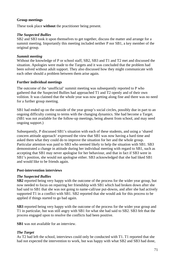### **Group meetings**

These took place **without** the practitioner being present.

### *The Suspected Bullies*

SB2 and SB3 took it upon themselves to get together, discuss the matter and arrange for a summit meeting. Importantly this meeting included neither P nor SB1, a key member of the original group.

### *Summit meeting*

Without the knowledge of P or school staff, SB2, SB3 and T1 and T2 met and discussed the situation. Apologies were made to the Targets and it was concluded that the problem had been solved without adult support. They also discussed how they might communicate with each other should a problem between them arise again.

### **Further individual meetings**

The outcome of the 'unofficial' summit meeting was subsequently reported to P who gathered that the Suspected Bullies had approached T1 and T2 openly and of their own volition. It was claimed that the whole year was now getting along fine and there was no need for a further group meeting.

SB1 had ended up on the outside of the year group's social circles, possibly due in part to an ongoing difficulty coming to terms with the changing dynamics. She had become a Target. (SB1 was not available for the follow-up meetings, being absent from school, and may need ongoing support.)

Subsequently, P discussed SB1's situation with each of these students, and using a 'shared concern attitude approach' expressed the view that SB1 was now having a hard time and asked them what they could do to improve the situation for her and the whole group. Particular attention was paid to SB3 who seemed likely to help the situation with SB1. SB3 demonstrated a change in attitude during her individual meeting with regard to SB1, such as accepting that SB1 may never apologise for her behaviour, and that in fact if SB3 were in SB1's position, she would not apologise either. SB3 acknowledged that she had liked SB1 and would like to be friends again.

### **Post-intervention interviews**

### *The Suspected Bullies*

**SB2** reported being very happy with the outcome of the process for the wider year group, but now needed to focus on repairing her friendship with SB1 which had broken down after she had said to SB1 that she was not going to name-call/use put-downs, and after she had actively supported T1 in a conflict with SB1. SB2 reported that she would ask for this process to be applied if things started to go bad again.

**SB3** reported being very happy with the outcome of the process for the wider year group and T1 in particular, but was still angry with SB1 for what she had said to SB2. SB3 felt that the process engaged upon to resolve the conflicts had been positive.

**SB1** was not available for an interview.

### *The Target*

As T2 had left the school, interviews could only be conducted with T1. T1 reported that she had not expected the intervention to work, but was happy with what SB2 and SB3 had done,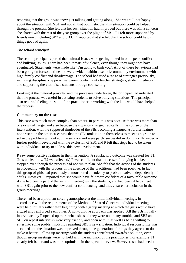reporting that the group was 'now just talking and getting along'. She was still not happy about the situation with SB1 and not all that optimistic that this situation could be helped through the process. She felt that her own situation had improved but there was still a concern she shared with the rest of the year group over the plight of SB1. T1 felt more supported by friends now, including SB2 and SB3. T1 reported that she felt that the school could help if things got bad again.

# *The school principal*

The school principal reported that cultural issues were getting mixed into the peer conflict and bullying issues. There had been threats of violence, even though they might not have eventuated. Statements were made like 'I'm going to bash you'. A lot of these behaviours had been going on for some time and were evident within a school/community environment with high family conflict and disadvantage. The school had used a range of strategies previously, including disciplinary approaches, parent contact, duty teacher strategies, student mediation, and supporting the victimised students through counselling.

Looking at the material provided and the processes undertaken, the principal had indicated that the process was useful in assisting students to solve bullying situations. The principal also reported feeling the skill of the practitioner in working with the kids would have helped the process.

# **Commentary on the case**

This case was much more complex than others. In part, this was because there was more than one original Target and also because the situation changed radically in the course of the intervention, with the supposed ringleader of the SBs becoming a Target. A further feature not present in the other cases was that the SBs took it upon themselves to meet as a group to solve the problem without adult assistance and were partly successful in doing so. However, a further problem developed with the exclusion of SB1 and P felt that steps had to be taken with individuals to try to address this new development.

P saw some positive features in the intervention. A satisfactory outcome was created for T1. (It is unclear how T2 was affected.) P was confident that this case of bullying had been stopped even though the process had not run to plan. She felt that the actions of the students in proceeding with the process in the absence of the practitioner had been positive. In fact, this group of girls had previously demonstrated a tendency to problem-solve independently of adults. However, P reported that she would have felt more confident of a favourable outcome if she had been a part of the summit meeting with the students, and had been able to meet with SB1 again prior to the new conflict commencing, and thus ensure her inclusion in the group meetings.

There had been a problem-solving atmosphere at the initial individual meetings. In accordance with the requirements of the Method of Shared Concern, individual meetings were held initially rather than beginning with a group meeting at which the girls would have argued and reinforced each other. A non-punitive approach was applied. All the SBs initially interviewed by P opened up more when she said they were not in any trouble, and SB2 and SB3 on repeat interviews were very friendly and open with P, as well as being willing to enter into some problem solving regarding SB1's new situation. Individual responsibility was accepted and the situation was improved through the generation of things they agreed to do to make it better. Follow-up meetings with the students contributed towards a solution, even though group meetings were not held with the inclusion of the practitioner. For example T1 clearly felt better and was more optimistic in the repeat interview. However, she had needed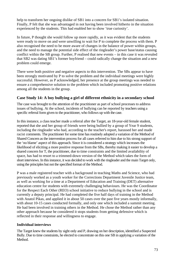help to transform her ongoing dislike of SB1 into a concern for SB1's isolated situation. Finally, P felt that she was advantaged in not having been involved hitherto in the situation experienced by the students. This had enabled her to show 'true curiosity'.

In future, P thought she would follow up more rapidly, as it was evident that the students were ready to move on and were unwilling to wait for P to complete the process with them. P also recognised the need to be more aware of changes in the balance of power within groups, and the need to manage the potential side effect of the ringleader's power base/status causing conflict within the SB group. Further, P realised that new events – in this case it was revealed that SB2 was dating SB1's former boyfriend – could radically change the situation and a new problem could emerge.

There were both positive and negative aspects to this intervention. The SBs appear to have been strongly motivated by P to solve the problem and the individual meetings were highly successful. However, as P acknowledged, her presence at the group meetings was needed to ensure a comprehensive solution to the problem which included promoting positive relations among all the students in the group.

# **Case Study 14: A boy bullying a girl of different ethnicity in a secondary school**

The case was brought to the attention of the practitioner as part of school processes to address issues of bullying. At the school, incidents of bullying can be reported by teachers using a specific referral form given to the practitioner, who follows up with the case.

In this instance, a class teacher made a referral after the Target, an 18-year-old female student, reported that she and her group of friends were being bullied by a group of Year 9 students, including the ringleader who had, according to the teacher's report, harassed her and made racist comments. The practitioner for some time has routinely adopted a variation of the Method of Shared Concern as the intervention process for all cases referred to him due to his strong support of the 'no blame' aspect of this approach. Since it is considered a strategy which increases the likelihood of eliciting a more positive response from the SBs, thereby making it easier to develop a shared concern for T, the practitioner, due to time constraints and the limited availability of space, has had to resort to a trimmed-down version of the Method which takes the form of short interviews. In this instance, it was decided to work with the ringleader and the main Target only, using the principles but not the specified format of the Method.

P was a male registered teacher with a background in teaching Maths and Science, who had previously worked as a youth worker for the Corrections Department Juvenile Justice team, as well as working for a time at a Department of Education and Training (DET) alternative education centre for students with extremely challenging behaviours. He was the Coordinator for the Respect Each Other (REO) school initiative to reduce bullying in the school and is currently a deputy principal. He had completed the five half days of training in the Method with Anatol Pikas, and applied it in about 50 cases over the past five years mostly informally, with about 10-15 cases conducted formally, and only one which included a summit meeting. He had been involved in training others in the Method. He chose the Method rather than any other approach because he considered it stops students from getting defensive which is reflected in their response and willingness to engage.

### **Individual interviews**

The Target knew the students by sight only and P, drawing on her description, identified a Suspected Bully. Due to time constraints, he elected to concentrate on this one SB in applying a variation of the Method.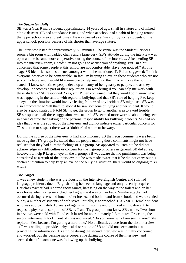#### *The Suspected Bully*

SB was a Year 9 male student, approximately 14 years of age, small in stature and of mixed ethnic descent. SB had attendance issues, and when at school had a habit of hanging around the upper school area at break times. He was treated as a 'mascot' by some students of the upper school, possibly because of his shorter than average stature.

The interview lasted for approximately 2-3 minutes. The venue was the Student Services room, a big room with padded chairs and a large desk. SB's attitude during the interview was open and he became more cooperative during the course of the interview. After settling SB into the interview room, P said: 'I'm not going to accuse you of anything. But I'm a bit concerned that some people at this school are not comfortable. Have you noticed?' At this stage SB identified some students, amongst whom he mentioned T. P then suggested: 'I think everyone deserves to be comfortable. In fact I'm keeping an eye on these students who are not so comfortable, and I would like someone to help me to do this.' To reinforce the point, P stated: 'I know sometimes people develop a history of being nasty to people, and as they develop, it becomes a part of their reputation. I'm wondering if you can help me work with these students.' SB responded: 'Yes, sir.' P then confirmed that they would both know what was happening in the school with regard to bullying, and that SB's role of helping P to keep an eye on the situation would involve letting P know of any incident SB might see. SB was also empowered to 'tell them to stop' if he saw someone bullying another student. It would also be a good strategy, P told SB, to get the group to go to another area to avoid trouble. SB's response to all these suggestions was neutral. SB seemed more worried about being seen in a week's time than taking on the personal responsibility for bullying incidents. SB had no idea that T was the subject of the interview and did not indicate either particular concern for T's situation or suspect there was a 'dobber' of whom to be wary.

During the course of the interview, P had also informed SB that racist comments were being made against T's group. He stated that the people making those comments might not have realised that they had hurt the feelings of T's group. SB appeared to listen but he did not acknowledge any difficulties or concern for the T group or others in general. SB did agree, however, to help P keep an eye on the T group. SB was aware that no punishment was being considered as a result of the interview, but he was made aware that if he did not carry out his declared intention to help keep an eye on the bullying situation, there would be ongoing talks with P.

### *The Target*

T was a new student who was previously in the Intensive English Centre, and still had language problems, due to English being her second language and only recently acquired. Her class teacher had reported racist taunts, harassing on the way to the toilets and on her way home when someone kicked her bag while it was on her back. Similar attacks had occurred during recess and lunch, toilet breaks, and both to and from school, and were carried out by a number of students of both sexes. Initially, P approached T, a Year 11 female student who was approximately 18 years of age, small in stature and of mixed ethnic descent, to request a physical description of SB, as T and T's group did not know SB's name. Two short interviews were held with T and each lasted for approximately 2-3 minutes. Preceding the second interview, P took T out of class and asked: 'Do you know why I am seeing you?' She replied: 'Yes, because I'm getting a hard time.' No difficulties arose from the first interview, as T was willing to provide a physical description of SB and did not seem anxious about providing the information. T's attitude during the second interview was initially concerned and worried, but she became more cooperative during the course of the interview, and seemed thankful someone was following up the bullying.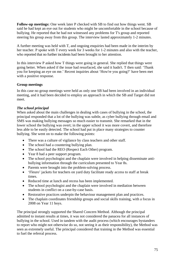**Follow-up meetings:** One week later P checked with SB to find out how things went. SB said he had kept an eye out for students who might be uncomfortable in the school because of bullying. He reported that he had not witnessed any problems for T's group and reported steering his group away from this group. The interview lasted approximately 1-2 minutes.

A further meeting was held with T, and ongoing enquiries had been made in the interim by her teacher. P spoke with T every week for 3 weeks for 1-2 minutes and also with the teacher, who reported that no further incidents had been brought to her attention.

In this interview P asked how T things were going in general. She replied that things were going better. When asked if the issue had resurfaced, she said it hadn't. T then said: 'Thank you for keeping an eye on me.' Recent inquiries about 'How're you going?' have been met with a positive response.

### **Group meetings**

In this case no group meetings were held as only one SB had been involved in an individual meeting, and it had been decided to employ an approach in which the SB and Target did not meet.

## *The school principal*

When asked about the main challenges in dealing with cases of bullying in the school, the principal responded that a lot of the bullying was subtle, as cyber bullying through email and SMS was making bullying messages so much easier to transmit. She remarked that in the lower school the bullying was overt; in the upper school it was more covert, and therefore less able to be easily detected. The school had put in place many strategies to counter bullying. She went on to make the following points:

- There was a culture of vigilance by class teachers and other staff.
- The school had a countering bullying plan.
- The school had the REO (Respect Each Other) program.
- Year 8 had a peer support program.
- The school psychologist and the chaplain were involved in helping disseminate antibullying information through the curriculum presented to Year 8s.
- Parents were brought into the problem-solving process.
- 'Fleuro' jackets for teachers on yard duty facilitate ready access to staff at break times.
- Reduced time at lunch and recess has been implemented.
- The school psychologist and the chaplain were involved in mediation between students in conflict on a case-by-case basis.
- Restorative practices underpin the behaviour management plan and practices.
- The chaplain coordinates friendship groups and social skills training, with a focus in 2008 on Year 11 boys.

The principal strongly supported the Shared Concern Method. Although the principal admitted to instant results at times, it was not considered the panacea for all instances of bullying in the school. Used in tandem with the audit process (which encourages bystanders to report who might not otherwise do so, not seeing it as their responsibility), the Method was seen as extremely useful. The principal considered that training in the Method was essential to fuel the referral process.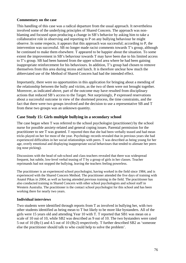#### **Commentary on the case**

This handling of this case was a radical departure from the usual approach. It nevertheless involved some of the underlying principles of Shared Concern. The approach was nonblaming and focused upon producing a change in SB's behavior by asking him to take a collaborative role in observing and reporting to P on any bullying behaviour he might observe. In some respects, it appears that this approach was successful; according to P, the intervention was successful. SB no longer made racist comments towards T's group, although he continued to make them elsewhere. T appeared to be happier about the situation. To some extent the improvement in SB's behaviour towards T may have been due to his limited access to T's group. SB had been banned from the upper school area where he had been gaining inappropriate reinforcement for his behaviours. In addition, T's group had chosen to remove themselves from this area during recess and lunch. It is therefore unclear how much the abbreviated use of the Method of Shared Concern had had the intended effect.

Importantly, there were no opportunities in this application for bringing about a mending of the relationship between the bully and victim, as the two of them were not brought together. Moreover, as indicated above, part of the outcome may have resulted from disciplinary actions that reduced SB's access to the Target. Not surprisingly, P expressed reservations about a successful outcome in view of the shortened process, the time constraints, and the fact that there were two groups involved and the decision to use a representative SB and T from these two groups was an unknown quantity.

# **Case Study 15: Girls multiple bullying in a secondary school**

The case began when T was referred to the school psychologist (practitioner) by the school nurse for possible anxiety-related and general coping issues. Parental permission for the practitioner to see T was granted. T reported then that she had been verbally teased and had mean tricks played on her for most of the year. Psychology records revealed that in previous years she had experienced difficulties in her social relationships with peers. T was described as being young for her age, overly emotional and displaying inappropriate social behaviours that tended to alienate her peers (eg nose picking).

Discussions with the head of sub-school and class teachers revealed that there was widespread frequent, but subtle, low-level verbal teasing of T by a group of girls in her classes. Teacher reprimands had not stopped the bullying, leaving the teachers feeling powerless.

The practitioner is an experienced school psychologist, having worked in the field since 1984, and is experienced with the Shared Concern Method. The practitioner attended the five days of training with Anatol Pikas in 2004, as well as having attended previous training in the field. The practitioner has also conducted training in Shared Concern with other school psychologists and school staff in Western Australia. The practitioner is the contact school psychologist for this school and has been working there for nearly two years.

### **Individual interviews**

Two students were identified through reports from T as involved in bullying her, with two other students identified as being mean to T but likely to be more like bystanders. All of the girls were 15 years old and attending Year 10 with T. T reported that SB1 was mean on a scale of 10 out of 10, while SB2 was described as 9 out of 10. The two bystanders were rated 5 out of 10 (By1) and 4.5 out of 10 (By2) respectively. T further described SB2 as 'someone else the practitioner should talk to who could help to solve the problem'.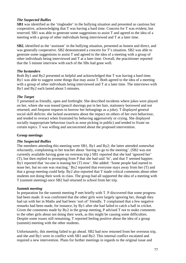#### *The Suspected Bullies*

**SB1** was identified as the 'ringleader' in the bullying situation and presented as cautious but cooperative, acknowledging that T was having a hard time. Concern for T was evident, but reserved. SB1 was able to generate some suggestions to assist T and agreed to the idea of a meeting with a group of other individuals being interviewed and T at a later time.

**SB2**, identified as the 'assistant' in the bullying situation, presented as honest and direct, and was generally cooperative. SB2 demonstrated a concern for T's situation. SB2 was able to generate some suggestions to assist T and agreed to the idea of a meeting with a group of other individuals being interviewed and T at a later time. Overall, the practitioner reported that the 5 minute interview with each of the SBs had gone well.

#### *The bystanders*

Both By1 and By2 presented as helpful and acknowledged that T was having a hard time. By1 was able to suggest some things that may assist T. Both agreed to the idea of a meeting with a group of other individuals being interviewed and T at a later time. The interviews with By1 and By2 each lasted about 5 minutes.

#### *The Target*

T presented as friendly, open and forthright. She described incidents where jokes were played on her, where she was teased (pencil shavings put in her hair, stationery borrowed and not returned, and frequent requests to borrow her belongings as a joke). T displayed general social skill deficits: she lacked awareness about the impact on others of her own behaviour, and tended to overact when frustrated by behaving aggressively or crying. She displayed socially inappropriate behaviour (such as nose picking in public) and tended to fixate on certain topics. T was willing and unconcerned about the proposed intervention.

#### **Group meetings**

### *The Suspected Bullies*

The members attending this meeting were SB1, By1 and By2; the latter attended somewhat reluctantly, complaining to her teacher about 'having to go to the meeting'. (SB2 was not currently available having gone on overseas trip.) SB1 reported that she had 'ignored her' (T), but then replied to prompting from P that she had said 'hi', and that T seemed happier. By1 reported that 'no-one is teasing her [T] now'. She added: 'Some people had started to tease her, but no one was reacting.' By2 reported that everyone stays away from her (T) and that a group meeting could help. By2 also reported that T made critical comments about other students not doing their work in class. The group had all supported the idea of a meeting with T (summit meeting) once SB2 had returned to school from her trip.

#### *Summit meeting*

In preparation for the summit meeting P met briefly with T. P discovered that some progress had been made. It was confirmed that the other girls were largely ignoring her, though they had sat with her in Maths and had been 'sort of' friendly. T complained that a few negative remarks had been made, for instance, by By1 after she had failed to catch a ball in cricket. Given the comments made by By2 in the group meeting, P advised T not to make comments to the other girls about not doing their work, as this might be causing some difficulties. Despite some issues still remaining, T reported feeling positive about the idea of a group (summit) meeting with the other students.

Unfortunately, this meeting failed to go ahead. SB2 had now returned from her overseas trip, and she and By1 were in conflict with SB1 and By2. This internal conflict escalated and required a new intervention. Plans for further meetings in regards to the original issue and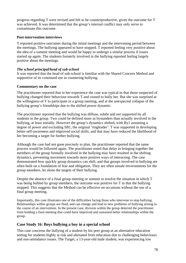progress regarding T were revised and felt to be counterproductive, given the outcome for T was achieved. It was determined that the group's internal conflict may only serve to contaminate this outcome.

#### **Post-intervention interviews**

T reported positive outcomes during the initial meetings and the intervening period between the meetings. The bullying appeared to have stopped. T reported feeling very positive about the idea of a summit meeting and would be happy to undergo a similar process if issues started up again. The students formerly involved in the bullying reported feeling largely positive about the meetings.

## *The school principal/head of sub-school*

It was reported that the head of sub-school is familiar with the Shared Concern Method and supportive of its continued use in countering bullying.

### **Commentary on the case**

The practitioner reported that in her experience the case was typical in that those suspected of bullying changed their behaviour towards T and ceased to bully her. But she was surprised at the willingness of T to participate in a group meeting, and at the unexpected collapse of the bullying group's friendships due to the shifted power dynamic.

The practitioner reported that the bullying was diffuse, subtle and not supported by all students in the group. Two could be defined more as bystanders than actually involved in the bullying, at least initially. However the group's dynamics shifted, with By1 assuming a degree of power and excluding SB1, the original 'ringleader'. T was supported in developing better self-awareness and improved social skills, and that may have reduced the likelihood of her becoming a target for further bullying.

Although the case had not gone precisely to plan, the practitioner reported that the same process would be followed again. The practitioner noted that delay in bringing together the members of the group formally involved in the bullying may have resulted in the shifting dynamics, preventing movement towards more positive ways of interacting. The case demonstrated how quickly group dynamics can shift, and that groups involved in bullying are often built on a foundation of fear and obligation. They are often unsafe environments for the group members, let alone the targets of their bullying.

Despite the absence of a final group meeting or summit to resolve the situation in which T was being bullied by group members, the outcome was positive for T in that the bullying stopped. This suggests that the Method can be effective on occasions without the use of a final group meeting.

Importantly, this case illustrates one of the difficulties facing those who intervene to stop bullying. Relationships within groups are fluid, and can change and lead to new problems of bullying arising in the course of an intervention. In the present case, division within the group deterred the practitioner from holding a final meeting that could have improved and sustained better relationships within the group.

# **Case Study 16: Boys bullying a boy in a special school**

This case concerns the bullying of a student by his peer group at an alternative education setting for students highly at risk and alienated from education due to challenging behaviours and non-attendance issues. The Target, a 13-year-old male student, was experiencing low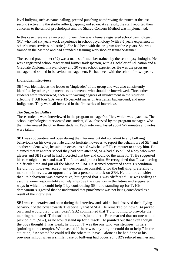level bullying such as name-calling, pretend punching withdrawing the punch at the last second (activating the startle reflex), tripping and so on. As a result, the staff reported their concerns to the school psychologist and the Shared Concern Method was implemented.

In this case there were two practitioners. One was a female registered school psychologist (P1) who had six years work experience in school psychology (with 8½ years experience in other human services industries). She had been with the program for three years. She was trained in the Method and had attended a training workshop on train-the-trainer.

The second practitioner (P2) was a male staff member trained by the school psychologist. He was a registered school teacher and former tradesperson, with a Bachelor of Education and a Graduate Diploma in Psychology and 20 years school experience. He was the program manager and skilled in behaviour management. He had been with the school for two years.

## **Individual interviews**

SB4 was identified as the leader or 'ringleader' of the group and was also consistently identified by other group members as someone who should be interviewed. Three other students were interviewed, each with varying degrees of involvement in the situation affecting T. All four SBs were 13-year-old males of Australian background, and non-Indigenous. They were all involved in the first series of interviews.

## *The Suspected Bullies*

These students were interviewed in the program manager's office, which was spacious. The school psychologist interviewed one student, SB4, observed by the program manager, who then interviewed the other three students. Each interview lasted about 5-7 minutes and notes were taken.

**SB1** was cooperative and open during the interview but did not admit to any bullying behaviours on his own part. He did not hesitate, however, to report the behaviours of SB4 and another student, who, he said, on occasions had switched off T's computer to annoy him. He claimed that in another school they had both attended, SB4 had also bullied a boy who wore glasses and SB1 stated he had protected that boy and could do the same for T. He suggested his role might be to stand near T in future and protect him. He recognised that T was having a difficult time and put all the blame on SB4. He seemed concerned about T's condition. He did not, however, accept any personal responsibility for the bullying, preferring to make the interview an opportunity for a personal attack on SB4. He did not consider that T's behaviour was provocative, but agreed that T was 'different'. He was willing to assume some responsibility to help improve the situation in the future and suggested ways in which he could help T by confronting SB4 and standing up for T. His demeanour suggested that he understood that punishment was not being considered as a result of the interviews.

**SB2** was cooperative and open during the interview and said he had observed the bullying behaviour of the boys towards T, especially that of SB4. He remarked on how SB4 picked on T and would play 'cruel jokes'. SB2 commented that T did nothing to provoke the taunting but stated 'T doesn't talk a lot, he's just quiet'. He remarked that no-one would pick on him (SB2), as he would stand up for himself. He pointed out that even though the boys thought T was weak, he thought T was the one who was stronger 'in here' (pointing to his temple). When asked if there was anything he could do to help T in the situation, SB2 stated he could tell the others to leave T alone as he had done at his previous school when a similar case of bullying had occurred. SB2's relaxed manner and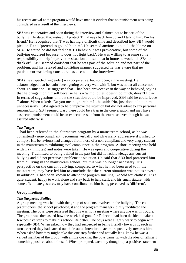his recent arrival at the program would have made it evident that no punishment was being considered as a result of the interviews.

**SB3** was cooperative and open during the interview and claimed not to be part of the bullying. He stated that instead: 'I protect T, I always back him up and I talk to him. I'm his friend.' He recognised that T was having a difficult time and described how SB4 would pick on T and 'pretend to go and hit him'. He seemed anxious to put all the blame on SB4. He stated he did not feel that T's behaviour was provocative, but some of the bullying occurred because 'T does not fight back'. He was willing to assume some responsibility to help improve the situation and said that in future he would tell SB4 to 'back off'. SB3 seemed confident that he was part of the solution and not part of the problem, and his relaxed and confiding manner suggested he was aware that no punishment was being considered as a result of the interviews.

**SB4** (the suspected ringleader) was cooperative, but not open, at the meeting. He acknowledged that he hadn't been getting on very well with T, but was not at all concerned about T's situation. He suggested that T had been provocative in the way he behaved, saying that he brings it on himself because he is a 'wimp, quiet, doesn't do much, doesn't fit in'. In terms of suggestions on how the situation could be improved, SB4 said he could leave T alone. When asked: 'Do you mean ignore him?', he said: 'No, just don't talk to him unnecessarily.' SB4 agreed to help improve the situation but did not admit to any personal responsibility. SB4 seemed wary there could be a trap in the conversation and may have suspected punishment could be an expected result from the exercise, even though he was assured otherwise.

## *The Target*

T had been referred to the alternative program by a mainstream school, as he was consistently non-compliant, becoming verbally and physically aggressive if pushed to comply. His behaviours had changed from those of a non-compliant and very angry student in the mainstream to exhibiting total compliance in the program. A short meeting was held with T (7 minutes) and notes were taken. He was open and cooperative during the meeting. T admitted to being bullied in the past but did not acknowledge any current bullying and did not perceive a problematic situation. He said that SB3 had protected him from bullying in the mainstream school, but this was no longer necessary. His perspective on the current bullying, compared to what he had been used to in the mainstream, may have led him to conclude that the current situation was not as severe. In addition, T had been known to attend the program smelling like 'old wet clothes'. T is a quiet student, happy to work alone and stay back to help staff, and his small stature, with some effeminate gestures, may have contributed to him being perceived as 'different'.

### **Group meetings**

### *The Suspected Bullies*

A group meeting was held with the group of students involved in the bullying. The copractitioners (the school psychologist and the program manager) jointly facilitated the meeting. The boys were reassured that this was not a meeting where anyone was in trouble. The group was then asked how the week had gone for T since it had been decided to take a few positive steps to make his school life better. The boys were slightly wary to begin with, especially SB4. When asked how they had succeeded in being friendly towards T, each in turn asserted they had carried out their stated intention to act more positively towards him. When asked how they might take this one step further and actually let T know he was a valued member of the group, with a little coaxing, the boys came up with the idea of telling T something positive about himself. When prompted, each boy thought up a positive statement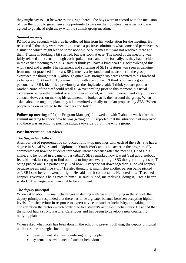they might say to T if he were 'sitting right here'. The boys were in accord with the inclusion of T in the group to give them an opportunity to pass on their positive messages, so it was agreed to go ahead right away with the summit group meeting.

### *Summit meeting*

P2 had a few seconds with T as he collected him from his workstation for the meeting. He reassured T that they were meeting to reach a positive solution to what some had perceived as a situation which might lead to some not-so-nice outcomes if it was not resolved there and then. T came in looking a bit startled, but was soon at ease. The mood of the meeting was fairly relaxed and casual, though each spoke in turn and quite formally, as they had decided in the earlier meeting to do. SB1 said: 'I think you have a kind heart.' T acknowledged this with a nod and a smile. The statement and softening of SB1's features was seen as genuine from one not practised in the art. SB2, mostly a bystander and newcomer to the group, expressed the thought that T, although quiet, was stronger 'up here' (pointed to his forehead as he spoke). SB3 said to T, convincingly, with eye contact: 'I think you have a good personality.' SB4, identified previously as the ringleader, said: 'I think you are good at Maths.' None of the staff could recall SB4 ever smiling prior to this moment, his usual expression being either neutral or a pronounced scowl, with head lowered, and very little eye contact. However, on making his statement, he looked at T, then around the group. When asked about an ongoing plan, they all committed verbally to a plan proposed by SB3: 'When people pick on us we go to the teachers and talk.'

**Follow-up meetings:** P2 (the Program Manager) followed up with T about a week after the summit meeting to check how he was getting on. P2 reported that the situation had improved and there was an ongoing positive attitude towards T from the whole group.

### **Post-intervention interviews**

### *The Suspected Bullies*

A school-based representative conducted follow-up meetings with each of the SBs. She has a degree in Social Work and a Diploma in Youth Work and is a teacher in the program. SB1 commented on how the students 'probably listened because after the meeting T had a big smile, and he joined in a game of basketball'. SB2 remarked how it went 'real good, nobody feels blamed, just trying to find out how to improve everything'. SB3 thought it 'might stop T being picked on'. He particularly liked how: 'Everyone sat down together. T looked happier because we all said nice stuff.' He also thought 'it might stop another person being picked on'. SB4 said he felt it went all right. He said he felt comfortable. He noted how 'T seemed happier. Everyone's being nice to him.' He said: 'Good, me realising, doing it, T feels better, so do I.' The Target was unavailable for comment.

# *The deputy principal*

When asked about the main challenges in dealing with cases of bullying in the school, the deputy principal responded that there has to be a greater balance between accepting higher levels of misbehaviour in response to expert advice on student inclusivity, and taking into consideration the factors which contribute to a student's acting-out behaviours. He added that the school had a strong Pastoral Care focus and has begun to develop a new countering bullying plan.

When asked what work has been done in the school to prevent bullying, the deputy principal outlined some strategies including:

- development of a new countering bullying plan
- systematic surveillance of student behaviour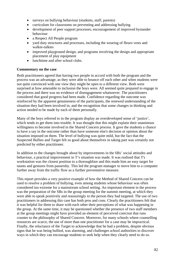- surveys on bullying behaviour (students, staff, parents)
- curriculum for classrooms on preventing and addressing bullying
- development of peer support processes; encouragement of improved bystander behaviour
- a Respect All People program
- vard duty structures and processes, including the wearing of fleuro vests and walkie-talkies
- improved playground design, and programs involving the design and appropriate placement of play equipment
- lunchtime and after school clubs.

#### **Commentary on the case**

Both practitioners agreed that having two people in accord with both the program and the process was an advantage, as they were able to bounce off each other and when students were not quite convinced with one view they might be open to a different view. Both were surprised at how amenable to inclusion the boys were. All seemed quite prepared to engage in the process and there was no evidence of disengagement whatsoever. The practitioners considered that good progress had been made. Confidence regarding the outcome was reinforced by the apparent genuineness of the participants, the renewed understanding of the situation they had been involved in, and the recognition that some changes in thinking and action needed to be made by each of them personally.

Many of the boys referred to in the program display an overdeveloped sense of 'justice', which tends to get them into trouble. It was thought that this might explain their unanimous willingness to become involved in the Shared Concern process. It gave the students a chance to have a say in the outcome rather than have someone else's decision or opinion about the situation imposed on them. The level of bullying was quite mild, but the fact that the Suspected Bullies and Target felt so good about themselves in taking part was certainly not predicted by either practitioner.

In addition to the changes brought about by improvements in the SBs' social attitudes and behaviour, a practical improvement in T's situation was made. It was realised that T's workstation was the closest position to a thoroughfare and this made him an easy target for taunts and gestures from passersby. This led the program manager to move him to a computer further away from the traffic flow as a further preventative measure.

This report provides a very positive example of how the Method of Shared Concern can be used to resolve a problem of bullying, even among students whose behaviour was often considered too extreme for a mainstream school setting. An important element in the process was the preparation of the SBs in the group meeting for the summit meeting, at which they were able to speak positively and reassuringly to the person they had targeted. The use of two practitioners in addressing this case has both pros and cons. Clearly the practitioners felt that it was helpful for them to share with each other their perceptions of what was happening in the group. At the same time, it may be questioned whether the presence of two staff members at the group meetings might have provided an element of perceived coercion that runs counter to the philosophy of Shared Concern. Moreover, for many schools where counselling resources are scarce, the use of more than one practitioner for a case may be impractical. Finally, the reluctance of the Target to acknowledge that he had a problem, despite obvious signs that he was being bullied, was alarming, and challenges school authorities to discover ways in which they can encourage students to seek help when they clearly need to do so.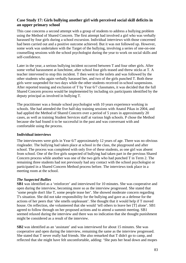# **Case Study 17: Girls bullying another girl with perceived social skill deficits in an upper primary school**

This case concerns a second attempt with a group of students to address a bullying problem using the Method of Shared Concern. The first attempt had involved a girl who was verbally harassed by four girls during a school excursion. Individual interviews with those concerned had been carried out and a positive outcome achieved. But it was not followed up. However, some work was undertaken with the Target of the bullying, involving a series of one-on-one counselling sessions with the school psychologist during the year to work on social skills and self-confidence.

Later in the year, a serious bullying incident occurred between T and four other girls. After some verbal harassment at lunchtime, after school four girls teased and threw sticks at T. A teacher intervened to stop this incident. T then went to the toilets and was followed by the other students who again verbally harassed her, and two of the girls punched T. Both these girls were suspended for two days while the other students received in-school suspensions. After reported teasing and exclusion of T by Year 6/7 classmates, it was decided that the full Shared Concern process would be implemented by including six participants identified by the deputy principal as involved in bullying T.

The practitioner was a female school psychologist with 10 years experience working in schools. She had attended the five half-day training sessions with Anatol Pikas in 2004, and had applied the Method of Shared Concern over a period of 5 years in approximately 20 cases, as well as training Student Services staff at various high schools. P chose the Method because she had found it to be successful in the past and was conversant with and comfortable using the process.

### **Individual interviews**

The interviewees were girls in Year 6/7 approximately 12 years of age. There was no obvious ringleader. The bullying had taken place at school in the class, the playground and after school. The process was completed with only five of these students, as one girl was absent from school. One of the five girls suspected of bullying had taken part in the previous Shared Concern process while another was one of the two girls who had punched T in Term 2. The remaining three students had not previously had any contact with the school psychologist or participated in a Shared Concern Method process before. The interviews took place in a meeting room at the school.

# *The Suspected Bullies*

**SB1** was identified as a 'reinforcer' and interviewed for 10 minutes. She was cooperative and open during the interview, becoming more so as the interview progressed. She stated that 'some people don't like T, some people tease her'. She showed moderate concern regarding T's situation. She did not take responsibility for the bullying and gave as a defense for the actions of her peers that 'she smells unpleasant'. She thought that it would help if T moved house. On reflection, she volunteered that she would 'tell others to leave her [T] alone'. SB1 agreed to follow through on her proposed actions and to attend a summit meeting. SB1 seemed relaxed during the interview and there was no indication that she thought punishment might be considered as a result of the interview.

**SB2** was identified as an 'assistant' and was interviewed for about 15 minutes. She was cooperative and open during the interview, remaining the same as the interview progressed. She stated that T never really had friends. She also remarked that T didn't go to camp, and reflected that she might have felt uncomfortable, adding: 'She puts her head down and mopes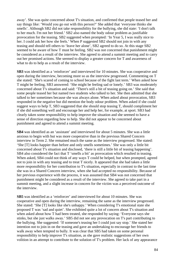away'. She was quite concerned about T's situation, and confirmed that people teased her and say things like: 'Would you go out with this person?' She added that 'everyone thinks she smells'. Although SB2 did not take responsibility for the bullying, she did state: 'I don't talk to her much. I'm not her friend.' SB2 also named the body odour problem as justifiable provocation for the teasing. SB2 suggested when prompted: 'In Year 5, I was really nice to her. I could ask her how she feels.' When P suggested SB2 should not join in with any teasing and should tell others to 'leave her alone', SB2 agreed to do so. At this stage SB2 seemed to be aware of how T must be feeling. SB2 was not concerned that punishment might be considered as a result of the interview. She agreed to attend a summit meeting and to carry out her promised actions. She seemed to display a greater concern for T and awareness of what to do to help as a result of the interview.

**SB3** was identified as a 'reinforcer' and interviewed for 10 minutes. She was cooperative and open during the interview, becoming more so as the interview progressed. Commenting on T she stated: 'She's scared of coming to school because of the fight last term.' When asked how T might be feeling, SB3 answered: 'She might be feeling sad or lonely.' SB3 was moderately concerned about T's situation and said: 'There's still a bit of teasing going on.' She said that some people teased her but named two students who talked to her. She then admitted that she talked to her sometimes because she was always alone. When asked about provocation, SB3 responded in the negative but did mention the body odour problem. When asked if she could suggest ways to help T, SB3 suggested that she should stop teasing T, should compliment her if she did something well and encourage her and help her, for example, at sport. SB3 had clearly taken some responsibility to help improve the situation and she seemed to have a sense of direction regarding how to help. She did not appear to be concerned about punishment and agreed to attend a summit meeting.

**SB4** was identified as an 'assistant' and interviewed for about 5 minutes. She was a little anxious to begin with but was more cooperative than in the previous Shared Concern interview in Term 2. She remained much the same as the interview progressed. She stated: 'She [T] looks happier than before and only smells sometimes.' She was only a little bit concerned about T's situation and disclosed, 'there is still a little bit of teasing happening'. SB4 also considered the fact that T 'smells a bit' as provocation which resulted in teasing. When asked, SB4 could not think of any ways T could be helped, but when prompted, agreed not to join in with any teasing and to treat T nicely. It appeared that she had taken a little more responsibility for her contribution to T's situation, especially in contrast to the last time she was in a Shared Concern interview, when she had accepted no responsibility. Because of her previous experience with the process, it was assumed that SB4 was not concerned that punishment might be considered as a result of the interview. She agreed to take part in a summit meeting, and a slight increase in concern for the victim was a perceived outcome of the interview.

**SB5** was identified as a 'reinforcer' and interviewed for about 10 minutes. She was cooperative and open during the interview, remaining the same as the interview progressed. She stated: 'She [T] looks like she's unhappy.' When considering T's emotional state she proposed T was 'sad and quiet'. She exhibited quite a lot of concern about T's situation and when asked about how T had been treated, she responded by saying: 'Everyone says she stinks, but she just walks away.' SB5 did not see any provocation on T's part contributing to the bullying. She suggested: 'If someone's teasing her I could just say stop.' She stated her intention not to join in on the teasing and gave an undertaking to encourage her friends to walk away when tempted to bully. It was clear that SB5 had taken on some personal responsibility to help improve T's situation, as she gave realistic suggestions of her own volition in an attempt to contribute to the solution of T's problem. Her lack of any appearance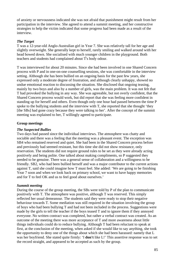of anxiety or nervousness indicated she was not afraid that punishment might result from her participation in the interview. She agreed to attend a summit meeting, and her constructive strategies to help the victim indicated that some progress had been made as a result of the interview.

#### *The Target*

T was a 12-year-old Anglo-Australian girl in Year 7. She was relatively tall for her age and slightly overweight. She generally kept to herself, rarely smiling and walked around with her head bowed down. She socialised with much younger children in the playground. Both teachers and students had complained about T's body odour.

T was interviewed for about 20 minutes. Since she had been involved in one Shared Concern process with P and in one-on-one counselling sessions, she was comfortable in the interview setting. Although she has been bullied on an ongoing basis for the past few years, she expressed only a moderate degree of frustration, and although clearly unhappy, showed no undue emotional reaction to discussing the situation. She disclosed that ongoing teasing, mainly by two boys and also by a number of girls, was the main problem. It was not felt that T had provoked the bullying in any way. She was agreeable, but not overly confident, that the Shared Concern process would work, but did report that she was feeling more confident in standing up for herself and others. Even though only one hour had passed between the time P spoke to the bullying students and the interview with T, she reported that she thought 'they [the SBs] had gone crazy because they were talking to her'. After the concept of the summit meeting was explained to her, T willingly agreed to participate.

#### **Group meetings**

#### *The Suspected Bullies*

Two days had passed since the individual interviews. The atmosphere was chatty and sociable and there was a feeling that the meeting was a pleasant event. The exception was SB4 who remained reserved and quiet. She had been in the Shared Concern process before and previously had seemed resistant, but this time she did not show resistance, only reservation. The students did not require ground rules to be set as they were already acting positively and being polite. One talked about making compliments, so P suggested they needed to be genuine. There was a general sense of collaboration and a willingness to be friendly. SB2, who had been bullied herself and was a major contributor to the current actions against T, said she could imagine how T must feel. She added: 'We are going to be finishing Year 7 soon and when we look back on primary school, we want to have happy memories and for T to feel OK and us to feel good about ourselves.'

#### *Summit meeting*

During the course of the group meeting, the SBs were told by P of the plan to communicate positively with T. The atmosphere was positive, although T was reserved. This simply reflected her usual demeanour. The students said they were ready to stop their negative behaviour towards T. Some mediation was still required in the situation involving the group of boys who had been bullying T and had not been included in the process. Suggestions were made by the girls to tell the teacher if the boys teased T and to ignore them if they annoyed everyone. No written contract was completed, but rather a verbal contract was created. As an outcome of the meeting there was more acceptance of T and more awareness about little things individuals could do to reduce bullying. Although T had been reluctant to speak at first, at the conclusion of the meeting, when asked if she would like to say anything, she took the opportunity to deny one of the things about which she had been harassed: namely that L was her boyfriend. She stated quite firmly: 'I **don't** like L!' This assertive response was to set the record straight, and appeared to be accepted as such by the group.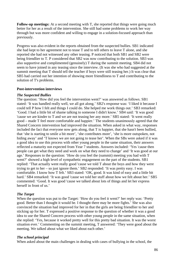**Follow-up meetings:** At a second meeting with T, she reported that things were going much better for her as a result of the intervention. She still had some problems to work her way through but was more confident and willing to engage in a solution-focused approach than previously.

Progress was also evident in the reports obtained from the suspected bullies. SB1 indicated she had kept to her agreement not to tease T and to tell others to leave T alone, and she reported she had not witnessed any other teasing. P noticed that both SB1 and SB2 were being friendlier to T. P considered that SB2 was now contributing to the solution. SB3 was also supportive and complimented (genuinely) T during the summit meeting. SB4 did not seem to have joined in any teasing since the interview. (It was she who had suggested at the summit meeting that T should tell the teacher if boys were still teasing her.) It was clear that SB5 had carried out her intention of showing more friendliness to T and contributing to the solution of T's problems.

#### **Post-intervention interviews**

#### *The Suspected Bullies*

The question: 'How did you feel the intervention went?' was answered as follows. SB1 stated: 'It was handled really well, we all got along.' SB2's response was: 'I liked it because I could tell P how I felt and things I could do. She helped me work things out.' SB3 remarked: 'Good. I had a little bit of shame talking to someone I didn't know.' SB4 said: 'It was good 'cause we are kinder to T and we are not teasing her any more.' SB5 stated: 'It went really good – made T feel more comfortable and happier.' The students unanimously agreed that the Shared Concern intervention had improved the situation. When asked in what way, responses included the fact that everyone now gets along, that T is happier, that she hasn't been bullied, that 'she is starting to smile a bit more', 'she contributes more', 'she is more outspoken, not hiding away' and 'T knows we are not going to tease her'. When the SBs were asked if it was a good idea to use this process with other young people in the same situation, their answers reflected a maturity not expected from Year 7 students. Answers included: 'Yes 'cause then people can get what they need and work on what they need to change' and 'It was good at our age.' Responses to the question: 'How do you feel the (summit) meeting you had with T went?' showed a high level of sympathetic engagement on the part of the students. SB1 replied: 'That actually went really good 'cause we told T about the boys and how they were trying to get to her – so just ignore them.' SB2 responded: 'It was pretty easy. I was comfortable. I know how T felt.' SB3 stated: 'OK, good. It was kind of easy and a little bit hard.' SB4 remarked: 'It was good 'cause we told her stuff about how we felt about her.' SB5 commented: 'Good. It was good 'cause we talked about lots of things and let her express herself in front of us.'

### *The Target*

When the question was put to the Target: 'How do you feel it went?' her reply was: 'Pretty good. Better than I thought it would be. I thought there may be more fights.' She was also convinced the situation had improved for her in that the girls are being friendlier to her and sticking up for her. T expressed a positive response to the question of whether it was a good idea to use the Shared Concern process with other young people in the same situation, when she replied: 'Yes, because it worked pretty well for this pretty bad situation. It was the worst situation ever.' Commenting on the summit meeting, T answered: 'They were good about the meeting. We talked about what we liked about each other.'

### *The school principal*

When asked about the main challenges in dealing with cases of bullying in the school, the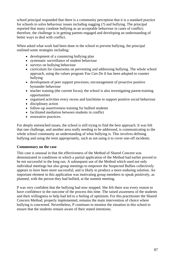school principal responded that there is a community perception that it is a standard practice for schools to solve behaviour issues including nagging (?) and bullying. The principal reported that many condone bullying as an acceptable behaviour in cases of conflict; therefore, the challenge is in getting parents engaged and developing an understanding of better ways to deal with conflict.

When asked what work had been done in the school to prevent bullying, the principal outlined some strategies including:

- development of a countering bullying plan
- systematic surveillance of student behaviour
- surveys on bullying behaviour
- curriculum for classrooms on preventing and addressing bullying. The whole school approach, using the values program *You Can Do It* has been adopted to counter bullying
- development of peer support processes; encouragement of proactive positive bystander behaviour
- teacher training (the current focus); the school is also investigating parent-training opportunities
- organised activities every recess and lunchtime to support positive social behaviour
- disciplinary action
- follow-up assertiveness training for bullied students
- facilitated mediation between students in conflict
- restorative practices.

For deeply entrenched issues, the school is still trying to find the best approach. It was felt that one challenge, and another area really needing to be addressed, is communicating to the whole school community an understanding of what bullying is. This involves defining bullying and using the term appropriately, such as not using it to cover one-off incidents.

#### **Commentary on the case**

This case is unusual in that the effectiveness of the Method of Shared Concern was demonstrated in conditions in which a partial application of the Method had earlier proved to be not successful in the long run. A subsequent use of the Method which used not only individual meetings but also group meetings to empower the Suspected Bullies collectively appears to have been more successful, and is likely to produce a more enduring solution. An important element in this application was motivating group members to speak positively, as planned, with the person they had bullied, at the summit meeting.

P was very confident that the bullying had now stopped. She felt there was every reason to have confidence in the outcome of the process this time. The raised awareness of the students and their willingness to help had led to a feeling of optimism. For this practitioner the Shared Concern Method, properly implemented, remains the main intervention of choice where bullying is concerned. Nevertheless, P continues to monitor the situation in this school to ensure that the students remain aware of their stated intentions.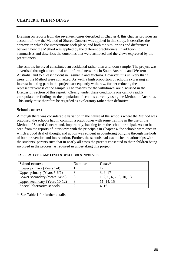## **CHAPTER 5: THE FINDINGS**

Drawing on reports from the seventeen cases described in Chapter 4, this chapter provides an account of how the Method of Shared Concern was applied in this study. It describes the contexts in which the interventions took place, and both the similarities and differences between how the Method was applied by the different practitioners. In addition, it summarises and describes the outcomes that were achieved and the views expressed by the practitioners.

The schools involved constituted an accidental rather than a random sample. The project was advertised through educational and informal networks in South Australia and Western Australia, and to a lesser extent in Tasmania and Victoria. However, it is unlikely that all users of the Method were contacted. As well, a high proportion of schools expressing an interest in taking part in the project subsequently withdrew, further reducing the representativeness of the sample. (The reasons for the withdrawal are discussed in the Discussion section of this report.) Clearly, under these conditions one cannot readily extrapolate the findings to the population of schools currently using the Method in Australia. This study must therefore be regarded as exploratory rather than definitive.

#### **School context**

Although there was considerable variation in the nature of the schools where the Method was practised, the schools had in common a practitioner with some training in the use of the Method of Shared Concern and, importantly, backing from the school principal. As can be seen from the reports of interviews with the principals in Chapter 4, the schools were ones in which a good deal of thought and action was evident in countering bullying through methods of both prevention and intervention. Further, the schools had established relationships with the students' parents such that in nearly all cases the parents consented to their children being involved in the process, as required in undertaking this project.

| <b>School context</b>          | <b>Number</b> | $\text{Case}^*$          |
|--------------------------------|---------------|--------------------------|
| Lower primary (Years 1-4)      |               | 12                       |
| Upper primary (Years $5-6/7$ ) |               | 3, 9, 17                 |
| Lower secondary (Years 7/8-9)  | 8             | 1, 2, 5, 6, 7, 8, 10, 13 |
| Upper secondary (Years 10-12)  | 3             | 11, 14, 15               |
| Special/alternative schools    | ◠             | 4.16                     |

\* See Table 1 for further details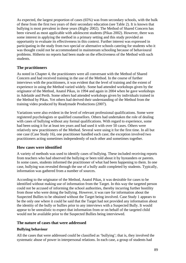As expected, the largest proportion of cases (65%) was from secondary schools, with the bulk of these from the first two years of their secondary education (see Table 2). It is known that bullying is most prevalent in these years (Rigby 2002). The Method of Shared Concern has been viewed as most applicable with adolescent students (Pikas 2002). However, there was some interest in applying the method in a primary setting and this study provided an opportunity to evaluate its effectiveness in this context. Further interest was expressed in participating in the study from two special or alternative schools catering for students who it was thought could not be accommodated in mainstream schooling because of behavioural problems. Hitherto no reports had been made on the effectiveness of the Method with such students.

# **The practitioners**

As noted in Chapter 4, the practitioners were all conversant with the Method of Shared Concern and had received training in the use of the Method. In the course of further interviews with the practitioners, it was evident that the level of training and the extent of experience in using the Method varied widely. Some had attended workshops given by the originator of the Method, Anatol Pikas, in 1994 and again in 2004 when he gave workshops in Adelaide and Perth. Some others had attended workshops given by individuals trained in the Method by Pikas. Yet others had derived their understanding of the Method from the training video produced by Readymade Productions (2007).

Variations were also evident in the level of relevant professional qualifications. Some were registered psychologists or qualified counsellors. Others had undertaken the role of dealing with cases of bullying without any formal qualifications. With regard to experience, some had been using it for at least ten years and had used it with over 50 cases. Others were relatively new practitioners of the Method. Several were using it for the first time. In all but one case (Case Study 16), one practitioner handled each case; the exception involved two practitioners acting sometimes independently of each other and sometimes together.

# **How cases were identified**

A variety of methods was used to identify cases of bullying. These included receiving reports from teachers who had observed the bullying or been told about it by bystanders or parents. In some cases, students informed the practitioner of what had been happening to them. In one case, bullying was revealed through the use of a bully audit completed by students. Typically, information was gathered from a number of sources.

According to the originator of the Method, Anatol Pikas, it was desirable for cases to be identified without making use of information from the Target. In this way the targeted person could not be accused of informing the school authorities, thereby incurring further hostility from those who were doing the bullying. However, it was rare for information about the Suspected Bullies to be obtained without the Target being involved. Case Study 1 appears to be the only one where it could be said that the Target had not provided any information about the identity of the bully or bullies prior to any interviews with a Suspected Bully. It would appear to be unrealistic to expect that information from or on behalf of the targeted child would not be available prior to the Suspected Bullies being interviewed.

# **The nature of cases that were addressed**

### **Bullying behaviour**

All the cases that were addressed could be classified as 'bullying'; that is, they involved the systematic abuse of power in interpersonal relations. In each case, a group of students had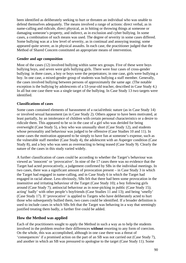been identified as deliberately seeking to hurt or threaten an individual who was unable to defend themselves adequately. The means involved a range of actions: direct verbal, as in name-calling and ridicule, direct physical, as in hitting or throwing things at someone or damaging someone's property, and indirect, as in exclusion and cyber bullying. In some cases, a combination of such means was used. The degree of severity in some cases differed. Some bullying was at a low level of severity, as in continual and annoying teasing; some appeared quite severe, as in physical assaults. In each case, the practitioner judged that the Method of Shared Concern constituted an appropriate means of intervention.

#### **Gender and age composition**

Most of the cases (12) involved bullying within same sex groups. Five of these were boys bullying boys, and seven were girls bullying girls. There were four cases of cross-gender bullying: in three cases, a boy or boys were the perpetrators; in one case, girls were bullying a boy. In one case, a mixed-gender group of students was bullying a staff member. Generally, the cases involved bullying between persons of approximately the same age. (The notable exception is the bullying by adolescents of a 53-year-old teacher, described in Case Study 4.) In all but one case there was a single target of the bullying. In Case Study 13 two targets were identified.

#### **Classifications of cases**

Some cases contained elements of harassment of a racial/ethnic nature (as in Case Study 14) or involved sexual harassment (as in Case Study 2). Others appear to have been motivated, at least partially, by an intolerance of children with certain personal characteristics or a desire to ridicule them. This appeared to be so in the case of a girl who was derided for being overweight (Case Study 5), a boy who was unusually short (Case Study 12), and students whose personality and behaviour was judged to be offensive (Case Studies 10 and 11). In some cases the motivation appeared to be simply to have fun at someone's expense, such as the vulnerable staff member (Case Study 4), the adolescent with an Asperger condition (Case Study 8), and a boy who was seen as overreacting to being teased (Case Study 9). Clearly the nature of the cases in this study varied widely.

A further classification of cases could be according to whether the Target's behaviour was viewed as 'innocent' or 'provocative'. In nine of the 17 cases there was no evidence that the Target had acted provocatively, a judgement confirmed by SBs in the individual meetings. In two cases, there was a significant amount of provocation present – in Case Study 3 in which the Target had engaged in name-calling, and in Case Study 6 in which the Target had engaged in racial abuse. Less obviously, SBs felt that there had been some provocation in the insensitive and irritating behaviour of the Target (Case Study 10); a boy following girls around (Case Study 7); antisocial behaviour as in nose-picking in public (Case Study 15); acting' badly' with other people's boyfriends (Case Studies 11 and 13); and being 'smelly' (Case Study 17). If 'provocative' is applied to Targets who have deliberately acted to hurt those who subsequently bullied them, two cases could be identified. If a broader definition is used to include cases in which SBs felt that the Target was behaving in a way that seemingly justified treating them badly, a further five could be added.

# **How the Method was applied**

Each of the practitioners sought to apply the Method in such a way as to help the students involved in the problem resolve their differences **without** resorting to any form of coercion. On the whole, this was accomplished, although in one case there was a threat of 'consequences' if a promised action on the part of an SB was not carried out (Case Study 7), and another in which an SB was pressured to apologise to the target (Case Study 11). Some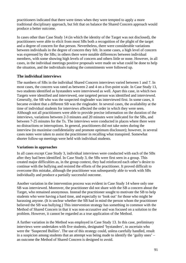practitioners indicated that there were times when they were tempted to apply a more traditional disciplinary approach, but felt that on balance the Shared Concern approach would produce a better outcome.

In cases other than Case Study 14 (in which the identity of the Target was not disclosed), the practitioners were able to elicit from most SBs both a recognition of the plight of the target and a degree of concern for that person. Nevertheless, there were considerable variations between individuals in the degree of concern they felt. In some cases, a high level of concern was expressed by the SBs; in others there were notable differences between individual members, with some showing high levels of concern and others little or none. However, in all cases, in the individual meetings positive proposals were made on what could be done to help the situation, and the individuals making the commitments were followed up.

# **The individual interviews**

The numbers of SBs in the individual Shared Concern interviews varied between 1 and 7. In most cases, the concern was rated as between 2 and 4 on a five-point scale. In Case Study 13, two students identified as bystanders were interviewed as well. Apart this case, in which two Targets were identified and interviewed, one targeted person was identified and interviewed. Generally, the SB who was the suspected ringleader was interviewed first. In some cases, it became evident that a different SB was the ringleader. In several cases, the availability at the time of individual students for interviews affected the order in which they were seen. Although not all practitioners were able to provide precise information on the duration of the interviews, variations between 2-3 minutes and 20 minutes were indicated for the SBs, and between 7-25 minutes for the Ts. The interviews were conducted in places where there were no distractions or interruptions. In general, practitioners did not take notes during the interview (to maximise confidentiality and promote optimum disclosure); however, in several cases notes were taken to assist the practitioner in recalling what transpired. Somewhat shorter follow-up meetings were held with individual students.

# **Variations in approaches**

In all cases except Case Study 3, individual interviews were conducted with each of the SBs after they had been identified. In Case Study 3, the SBs were first seen in a group. This created major difficulties as, in the group context, they had reinforced each other's desire to continue with the bullying and resisted the efforts of the practitioner. It proved difficult to overcome this mistake, although the practitioner was subsequently able to work with SBs individually and produce a partially successful outcome.

Another variation in the intervention process was evident in Case Study 14 where only one SB was interviewed. Moreover, the practitioner did not share with the SB a concern about the Target, who remained anonymous. Instead the practitioner sought to motivate the SB to help students who were having a hard time, and especially to 'look out' for those who might be harassing anyone. (It is unclear whether the SB had in mind the person whom the practitioner believed the SB was bullying.) This intervention strategy has something in common with the Method of Shared Concern in that it was non-accusative and was focused on a solution to the problem. However, it cannot be regarded as a true application of the Method.

A further variation in the Method was employed in Case Study 13. In this case, preliminary interviews were undertaken with five students, designated 'bystanders', to ascertain who were the 'Suspected Bullies'. The use of this strategy could, unless carefully handled, result in a suspicion among students that an attempt was being made to identify the 'guilty ones' – an outcome the Method of Shared Concern is designed to avoid.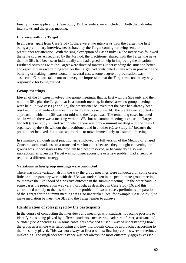Finally, in one application (Case Study 15) bystanders were included in both the individual interviews and the group meeting.

## **Interview with the Target**

In all cases, apart from Case Study 1, there were two interviews with the Target, the first being a preliminary interview necessitated by the Target coming, or being sent, to the practitioner for attention. With the single exception of Case Study 14, the interviews followed the same course. As required by the Method, the practitioner shared with the Target the news that the SBs had been seen individually and had agreed to help in improving the situation. Further discussions with the Target were directed towards understanding the situation better, and especially in ascertaining whether the Target had contributed in any way in provoking the bullying or making matters worse. In several cases, some degree of provocation was suspected. Care was taken not to convey the impression that the Target was not in any way responsible for being bullied.

# **Group meetings**

Eleven of the 17 cases involved two group meetings, that is, first with the SBs only and then with the SBs plus the Target, that is, a summit meeting. In three cases, no group meetings were held. In two cases (2 and 12), the practitioner believed that the case had already been resolved through individual meetings. In the third case (case 14), the practitioner adopted an approach in which the SB was not told who the Target was. The remaining cases included one in which there was a meeting with the SBs but no summit meeting because the Target had left (Case Study 7); and two in which there was only a summit meeting – in one case (13) organised by the SBs without the practitioner, and in another (Case Study 11) because the practitioner believed that it was appropriate to move immediately to a summit meeting.

In summary, although most practitioners employed the full version of the Method of Shared Concern, some made use of a truncated version either because they thought convening the groups was unnecessary as the problem had been resolved, or because doing so was impractical, as when the Target was no longer accessible or a new problem had arisen that required a different strategy.

# **Variations in how group meetings were conducted**

There was some variation also in the way the group meetings were conducted. In some cases, little or no preparatory work with the SBs was undertaken in the penultimate group meeting to improve the likelihood of a positive outcome in the summit meeting. On the other hand, in some cases the preparation was very thorough, as described in Case Study 16, and this contributed notably to the resolution of the problem. In some cases, preliminary preparation of the Target for the summit meeting was also undertaken (see, for example, Case Study 7) to make mediation between the SBs and the Target easier to achieve.

# **Identification of roles played by the participants**

In the course of conducting the interviews and meetings with students, it became possible to identify roles being played by different students, such as ringleader, reinforcer, assistant and outsider (see Appendix 1). In some cases, this provided a useful way of understanding how the group as a whole was functioning and how individuals could be approached according to the roles they played. This was not always at first obvious; first impressions were sometimes misleading. The ringleader for instance was not always the most outwardly aggressive (see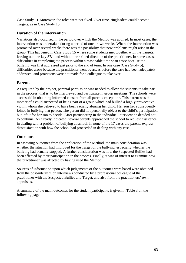Case Study 1). Moreover, the roles were not fixed. Over time, ringleaders could become Targets, as in Case Study 15.

# **Duration of the intervention**

Variations also occurred in the period over which the Method was applied. In most cases, the intervention was undertaken during a period of one or two weeks. Where the intervention was protracted over several weeks there was the possibility that new problems might arise in the group. This happened in Case Study 15 where some students met together with the Targets, leaving out one key SB1 and without the skilled direction of the practitioner. In some cases, difficulties in completing the process within a reasonable time span arose because the bullying was first addressed just prior to the end of term. In one case (Case Study 5), difficulties arose because the practitioner went overseas before the case had been adequately addressed, and provisions were not made for a colleague to take over.

# **Parents**

As required by the project, parental permission was needed to allow the students to take part in the process, that is, to be interviewed and participate in group meetings. The schools were successful in obtaining informed consent from all parents except one. This parent was the mother of a child suspected of being part of a group which had bullied a highly provocative victim whom she believed to have been racially abusing her child. Her son had subsequently joined in bullying that person. The parent did not personally object to the child's participation but left it for her son to decide. After participating in the individual interview he decided not to continue. As already indicated, several parents approached the school to request assistance in dealing with a problem of bullying at school. In none of the 17 cases did parents express dissatisfaction with how the school had proceeded in dealing with any case.

# **Outcomes**

In assessing outcomes from the application of the Method, the main consideration was whether the situation had improved for the Target of the bullying, especially whether the bullying had actually stopped. A further consideration was how the Suspected Bullies had been affected by their participation in the process. Finally, it was of interest to examine how the practitioner was affected by having used the Method.

Sources of information upon which judgements of the outcomes were based were obtained from the post-intervention interviews conducted by a professional colleague of the practitioner with the Suspected Bullies and Target, and also from the practitioners' own appraisals.

A summary of the main outcomes for the student participants is given in Table 3 on the following page.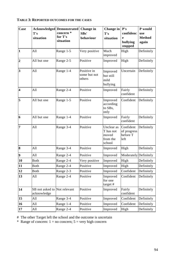# **TABLE 3: REPORTED OUTCOMES FOR THE CASES**

| <b>Case</b>             | T's<br>situation                            | <b>Acknowledged Demonstrated</b><br>concern <sup>*</sup><br>for T's<br>situation | Change in<br>SB <sub>s</sub> '<br>behaviour | Change in<br>T's<br>situation                          | P's<br>confidenc<br>e<br>bullying            | P would<br>use<br><b>Method</b><br>again |
|-------------------------|---------------------------------------------|----------------------------------------------------------------------------------|---------------------------------------------|--------------------------------------------------------|----------------------------------------------|------------------------------------------|
|                         |                                             |                                                                                  |                                             |                                                        | stopped                                      |                                          |
| $\vert$ 1               | All                                         | Range 1-5                                                                        | Very positive                               | Much<br>improved                                       | High                                         | Definitely                               |
| $\overline{2}$          | All but one                                 | Range 2-5                                                                        | Positive                                    | Improved                                               | High                                         | Definitely                               |
| $\overline{\mathbf{3}}$ | All                                         | Range 1-4                                                                        | Positive in<br>some but not<br>others       | Improved<br>but still<br>mild<br>bullying              | Uncertain                                    | Definitely                               |
| $\overline{\mathbf{4}}$ | All                                         | Range 2-4                                                                        | Positive                                    | Improved                                               | Fairly<br>confident                          | Definitely                               |
| 5                       | All but one                                 | Range 1-5                                                                        | Positive                                    | Improved<br>according<br>to SBs,<br>only               | Confident                                    | Definitely                               |
| 6                       | All but one                                 | Range 1-4                                                                        | Positive                                    | Improved                                               | Fairly<br>confident                          | Definitely                               |
| $\overline{7}$          | All                                         | Range 3-4                                                                        | Positive                                    | Unclear as<br>T has not<br>moved<br>from the<br>school | Confident<br>of progress<br>before T<br>left | Definitely                               |
| 8                       | All                                         | Range 3-4                                                                        | Positive                                    | Improved                                               | High                                         | Definitely                               |
| $\boldsymbol{9}$        | All                                         | Range 2-4                                                                        | Positive                                    | Improved                                               | Moderately Definitely                        |                                          |
| 10                      | <b>Both</b>                                 | Range 2-4                                                                        | Very positive                               | Improved                                               | High                                         | Definitely                               |
| 11                      | <b>Both</b>                                 | Range 2-4                                                                        | Positive                                    | Improved                                               | High                                         | Definitely                               |
| 12                      | <b>Both</b>                                 | Range 2-3                                                                        | Positive                                    | Improved                                               | Confident                                    | Definitely                               |
| 13                      | All                                         | Range 2-4                                                                        | Positive                                    | Improved<br>for one<br>target #                        | Confident                                    | Definitely                               |
| 14                      | SB not asked to Not relevant<br>acknowledge |                                                                                  | Positive                                    | Improved                                               | Fairly<br>confident                          | Definitely                               |
| 15                      | All                                         | Range 3-4                                                                        | Positive                                    | Improved                                               | Confident                                    | Definitely                               |
| 16                      | All                                         | Range 1-4                                                                        | Positive                                    | Improved                                               | Confident                                    | Definitely                               |
| 17                      | All                                         | Range 2-4                                                                        | Positive                                    | Improved                                               | High                                         | Definitely                               |

# The other Target left the school and the outcome is uncertain

\* Range of concern:  $1 = no$  concern;  $5 = very$  high concern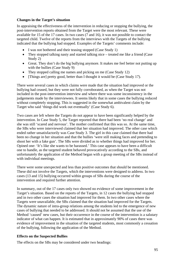### **Changes in the Target's situation**

In appraising the effectiveness of the intervention in reducing or stopping the bullying, the post-intervention reports obtained from the Target were the most relevant. These were available for 15 of the 17 cases. In two cases (7 and 16), it was not possible to contact the targeted child. Twelve of the reports from the interviews with the Targets of the bullying indicated that the bullying had stopped. Examples of the Targets' comments include:

- I was not bothered and their teasing stopped (Case Study 1)
- They stopped talking nasty and started talking nice treated me like a friend (Case Study 2)
- Great. They don't do the big bullying anymore. It makes me feel better not putting up with the bullies (Case Study 9)
- They stopped calling me names and picking on me (Case Study 12)
- [Things are] pretty good, better than I thought it would be (Case Study 17).

There were several cases in which claims were made that the situation had improved or the bullying had ceased, but they were not fully corroborated, as when the Target was not included in the post-intervention interview and where there was some inconsistency in the judgements made by the interviewees. It seems likely that in some cases the bullying reduced without completely stopping. This is suggested in the somewhat ambivalent claim by the Target who said 'things did work out eventually' (Case Study 6).

Two cases are left where the Targets do not appear to have been significantly helped by the intervention. In Case Study 5, the Target reported that there had been 'no real change' and she was still 'scared and nervous'. The mother confirmed that this was so. At the same time, the SBs who were interviewed claimed that her situation had improved. The other case which ended rather unsatisfactorily was Case Study 3. The girl in this case claimed that there had been no change in her situation and that the bullies 'were still making faces and pretending to shoot her with a fake gun'. The SBs were divided as to whether things had improved for her. Opined one: 'It's like she wants to be harassed.' This case appears to have been a difficult one to handle, as the targeted student behaved provocatively according to the SBs, and unfortunately the application of the Method began with a group meeting of the SBs instead of with individual meetings.

There were some unexpected and less than positive outcomes that should be mentioned. These did not involve the Targets, which the interventions were designed to address. In two cases (13 and 15) bullying occurred within groups of SBs during the course of the intervention and required further attention.

In summary, out of the 17 cases only two showed no evidence of some improvement in the Target's situation. Based on the reports of the Targets, in 12 cases the bullying had stopped and in two other cases the situation had improved for them. In two other cases where the Targets were unavailable, the SBs claimed that the situation had improved for the Targets. The dynamic nature of intra-group relations among the students led to the emergence of new cases of bullying that needed to be addressed. It should not be assumed that the use of the Method 'caused' new cases, but their occurrence in the course of the intervention is a salutary indicator of what can happen. It is estimated that in approximately 90% of cases there was evidence of improvement in the situation of the targeted students, most commonly a cessation of the bullying, following the application of the Method.

#### **Effects on the Suspected Bullies**

The effects on the SBs may be considered under two headings: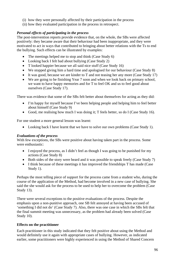- (i) how they were personally affected by their participation in the process
- (ii) how they evaluated participation in the process in retrospect.

## *Personal effects of participating in the process*

The post-intervention reports provide evidence that, on the whole, the SBs were affected positively: they became aware that their behaviour had been inappropriate, and they were motivated to act in ways that contributed to bringing about better relations with the Ts to end the bullying. Such effects can be illustrated by examples:

- The meetings helped me to stop and think (Case Study 6)
- Looking back I felt bad about bullying (Case Study 2)
- T looked happier because we all said nice stuff (Case Study 16)
- We stopped giving him a hard time and apologised for our behaviour (Case Study 8)
- It was good, because we are kinder to T and not teasing her any more (Case Study 17)
- We are going to be finishing Year 7 soon and when we look back on primary school, we want to have happy memories and for T to feel OK and us to feel good about ourselves (Case Study 17).

There was evidence that some of the SBs felt better about themselves for acting as they did:

- I'm happy for myself because I've been helping people and helping him to feel better about himself (Case Study 9)
- Good, me realising how much I was doing it; T feels better, so do I (Case Study 16).

For one student a more general lesson was learnt:

• Looking back I have learnt that we have to solve our own problems (Case Study 1).

### *Evaluations of the process*

With few exceptions, the SBs were positive about having taken part in the process. Some were enthusiastic:

- I enjoyed the process, as I didn't feel as though I was going to be punished for my actions (Case Study 8)
- Both sides of the story were heard and it was possible to speak freely (Case Study 7)
- I think because of these meetings it has improved the friendships T has made (Case Study 1).

Perhaps the most telling piece of support for the process came from a student who, during the course of the application of the Method, had become involved in a new case of bullying. She said the she would ask for the process to be used to help her to overcome the problem (Case Study 13).

There were several exceptions to the positive evaluations of the process. Despite the emphasis upon a non-punitive approach, one SB felt annoyed at having been accused of 'something I did not do' (Case Study 7). Also, there was one case in which the SBs felt that the final summit meeting was unnecessary, as the problem had already been solved (Case Study 10).

### **Effects on the practitioner**

Each practitioner in this study indicated that they felt positive about using the Method and would definitely use it again with appropriate cases of bullying. However, as indicated earlier, some practitioners were highly experienced in using the Method of Shared Concern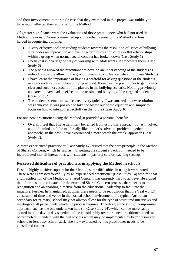and their involvement in the single case that they examined in this project was unlikely to have much affected their appraisal of the Method.

Of greater significance were the evaluations of those practitioners who had not used the Method previously. Some commented upon the effectiveness of the Method and how it helped in countering bullying:

- A very effective tool for guiding students towards the resolution of issues of bullying. It provides an approach to achieve long-term restoration of respectful relationships within a group when normal social conduct has broken down (Case Study 1)
- I believe it is a very good way of working with adolescents. It empowers them (Case Study 6)
- The process allowed the practitioner to develop an understanding of the students as individuals before allowing the group dynamics to influence behaviour (Case Study 8)
- I have learnt the importance of having a scaffold for asking questions of the students in cases such as these [when bullying occurs]. It enables the practitioner to gain a very clear and succinct account of the players in the bullying scenario. Nothing previously appeared to have had an effect on the teasing and bullying of the targeted student (Case Study 9).
- The students seemed to 'self-correct' very quickly. I was amazed at how resolution was achieved. It was possible to take the blame out of the equation and simply to focus on how to interact respectfully in the future (Case Study 10).

For one new practitioner using the Method, it provided a personal benefit:

• Overall I feel that I have definitely benefited from using this approach. It has involved a bit of a mind shift for me. I really like the 'let's solve the problem together approach'. In the past I have experienced a more 'catch the crook' approach (Case Study 7).

A more experienced practitioner (Case Study 14) argued that the core principle in the Method of Shared Concern, which he saw as 'not getting the student's back up', needed to be incorporated into all interactions with students in pastoral care or teaching settings.

# **Perceived difficulties of practitioners in applying the Method in schools**

Despite highly positive support for the Method, some difficulties in using it were noted. These were expressed forcefully by an experienced practitioner (Case Study 14) who felt that a full application of the Method of Shared Concern was currently hard to achieve. He argued that if time is to be allocated for the extended Shared Concern process, there needs to be recognition and an enabling directive from the educational leadership to facilitate the initiative. Further, he maintained, at times there needs to be recognition that the 'real world' constraints of time and venue in the normal school environment of a typical Australian secondary (or primary) school may not always allow for the type of structured interviews and meetings of all participants which the process requires. Therefore, some kind of compromise approach, such as the one undertaken here (in Case Study 14), which can be more easily slotted into the day-to-day schedule of the considerably overburdened practitioner, needs to be promoted in tandem with the full process which may be implemented by better resourced schools or less busy school staff. The view expressed by this practitioner needs to be considered further.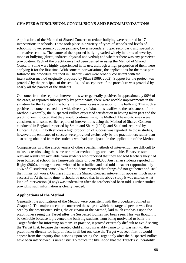Applications of the Method of Shared Concern to reduce bullying were reported in 17 interventions in schools. These took place in a variety of types of schools and levels of schooling: lower primary, upper primary, lower secondary, upper secondary, and special or alternative schools. The nature of the reported bullying varied widely in terms of severity, mode of bullying (direct, indirect, physical and verbal) and whether there was any perceived provocation. Each of the practitioners had been trained in using the Method of Shared Concern. Some were highly experienced in its use, although a high proportion of them were applying it for the first time. With some minor variations, the applications for the most part followed the procedure outlined in Chapter 2 and were broadly consistent with the intervention method originally proposed by Pikas (1989, 2002). Support for the project was provided by the principals of the schools, and acceptance of the procedure was provided by nearly all the parents of the students.

Outcomes from the reported interventions were generally positive. In approximately 90% of the cases, as reported subsequently by participants, there were notable improvements in the situation for the Target of the bullying, in most cases a cessation of the bullying. That such a positive outcome occurred in a wide diversity of situations testifies to the robustness of the Method. Generally, the Suspected Bullies expressed satisfaction in having taken part and the practitioners indicated that they would continue using the Method. These outcomes were consistent with some earlier reports of interventions using the Method of Shared Concern conducted in England, reported by Smith and Sharp (1994), and Scotland, reported by Duncan (1996); in both studies a high proportion of success was reported. In those studies, however, the estimates of success were provided exclusively by the practitioners rather than also being obtained from the students who had participated in the application of the Method.

Comparisons with the effectiveness of other specific methods of intervention are difficult to make, as results using the same or similar methodology are unavailable. However, some relevant results are available from students who reported that they had told teachers they had been bullied at school. In a large-scale study of over 38,000 Australian students reported in Rigby (2002), among students who had been bullied and had told a teacher (approximately 15% of all students) some 50% of the students reported that things did not get better and 10% that things got worse. On these figures, the Shared Concern intervention appears much more successful. At the same time, it should be noted that in the above study it was unclear what kind of intervention (if any) was undertaken after the teachers had been told. Further studies providing such information is clearly needed.

# **Applications of the Method**

Generally, the applications of the Method were consistent with the procedure outlined in Chapter 2. The major exception concerned the stage at which the targeted person was first seen by the practitioner. Pikas, the originator of the Method, laid much emphasis upon the practitioner seeing the Target **after** the Suspected Bullies had been seen. This was thought to be desirable because it prevented the bullying students from being motivated to bully the Target further for informing on them. In practice, it proved extremely difficult to avoid seeing the Target first, because the targeted child almost invariably came to, or was sent to, the practitioner directly for help. In fact, in all but one case the Target was seen first. It would appear from this inquiry that insisting upon seeing the Target only after the Suspected Bullies have been interviewed is unrealistic. To reduce the likelihood that the Target's vulnerability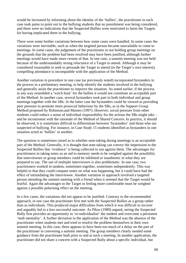would be increased by informing about the identity of the 'bullies', the practitioner in each case took pains to point out to the bullying students that no punishment was being considered, and there were no indications that the Suspected Bullies were motivated to harm the Targets for having implicated them in the bullying.

There were some further variations between how some cases were handled. In some cases the variations were inevitable, such as when the targeted person became unavailable to come to meetings. In some cases, the judgement of the practitioner in not holding group meetings on the grounds that the problem had been resolved may have been justified, although further meetings would have made more certain of that. In one case, a summit meeting was not held because of the understandably strong reluctance of a Target to attend. Although it may be considered reasonable to seek to persuade the Target to attend (in the Target's own interest), compelling attendance is incompatible with the application of the Method.

Another variation in procedure in one case (as previously noted) incorporated bystanders in the process in a preliminary meeting, to help identify the students involved in the bullying and generally assist the practitioner to improve the situation. As noted earlier, if the process in any way resembled a 'witch hunt' for the bullies it would not constitute an acceptable part of the Method. In another case, several bystanders took part in both individual and group meetings together with the SBs. In the latter case the bystanders could be viewed as providing peer pressure to promote more prosocial behaviour by the SBs, as in the Support Group Method proposed by Robinson.and Maines (1997). However, social pressure from other students could reduce a sense of individual responsibility for the actions the SBs might take – and be inconsistent with the rationale of the Method of Shared Concern. In practice, it should be observed, it is sometimes difficult to differentiate between 'bystanders' and those who are suspected of bullying. For instance, in Case Study 15 students identified as bystanders in one situation acted as 'bullies' in another.

The question is sometimes raised as to whether note-taking during meetings is an acceptable part of the Method. Generally, it is thought that note-taking can convey the impression to the Suspected Bullies that 'evidence' is being collected to use against them. The advantages for practitioners in taking notes as an aid to memory needs to be weighed against the possibility that interviewees or group members could be inhibited or inauthentic in what they are prepared to say. The use of multiple interviewers is also problematic. In one case, two practitioners worked in tandem, sometimes together, sometimes independently. This was helpful in that they could compare notes on what was happening, but it could have had the effect of intimidating the interviewee. Another variation in approach involved a targeted person attending the summit meeting with a friend when it seemed that the Target would be fearful. Again the advantages to the Target in feeling more comfortable must be weighed against a possible polarising effect on the meeting.

In a few cases, the variations did not appear to be justified. Contrary to the recommended approach, in one case the practitioner first met with the Suspected Bullies as a group rather than as individuals. This produced major difficulties from which it was difficult to recover and arguably led to a less successful outcome. As Pikas (1989) argued, seeing the Suspected Bully first provides an opportunity to 're-individualise' the student and overcome a persistent 'mob mentality'. A further deviation in the application of the Method was the absence of the practitioner when students met and tried to resolve the problem themselves in their own summit meeting. In this case, there appears to have been too much of a delay on the part of the practitioner in convening a summit meeting. The group members clearly needed some guidance from the practitioner both prior to and at such a meeting. In another application, the practitioner did not share a concern with a Suspected Bully about a specific individual, but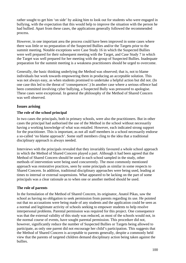rather sought to get him 'on side' by asking him to look out for students who were engaged in bullying, with the expectation that this would help to improve the situation with the person he had bullied. Apart from these cases, the applications generally followed the recommended process.

However, in one important area the process could have been improved in some cases where there was little or no preparation of the Suspected Bullies and/or the Targets prior to the summit meeting. Notable exceptions were Case Study 16 in which the Suspected Bullies were well prepared for their subsequent meeting with the Target, and Case Study 7 in which the Target was well prepared for her meeting with the group of Suspected Bullies. Inadequate preparation for the summit meeting is a weakness practitioners should be urged to overcome.

Generally, the basic thinking underlying the Method was observed; that is, not to blame individuals but work towards empowering them in producing an acceptable solution. This was not always easy, as when students promised to undertake a helpful action but did not. (In one case this led to the threat of 'consequences'.) In another case where a serious offence had been committed involving cyber bullying, a Suspected Bully was pressured to apologise. These cases were exceptional. In general the philosophy of the Method of Shared Concern was well observed.

# **Issues arising**

### **The role of the school principal**

In two cases the principals, both in primary schools, were also the practitioners. But in other cases the principal had authorised the use of the Method in the school without necessarily having a working knowledge of what was entailed. However, each indicated strong support for the practitioner. This is important, as not all staff members in a school necessarily endorse a so-called 'no blame approach'. Some staff members cling to the idea that a traditional disciplinary approach is always needed.

Interviews with the principals revealed that they invariably favoured a whole school approach in which the Method of Shared Concern played a part. Although it had been agreed that the Method of Shared Concern should be used in each school sampled in the study, other methods of intervention were being used concurrently. The most commonly mentioned approach was restorative practices, seen by some principals as similar in some respects to Shared Concern. In addition, traditional disciplinary approaches were being used, leading at times to internal or external suspensions. What appeared to be lacking on the part of some principals was a clear rationale as to when one or another method should be used.

#### **The role of parents**

In the formulation of the Method of Shared Concern, its originator, Anatol Pikas, saw the school as having no obligation to seek permission from parents regarding its use. He pointed out that no accusations were being made of any students and the application could be seen as a normal and legitimate activity of schools seeking to empower students to help resolve interpersonal problems. Parental permission was required for this project. One consequence was that the external validity of this study was reduced, as most of the schools would not, in the normal course of events, have sought parental permission. This procedure did not, however, significantly reduce the number of Suspected Bullies or Targets being allowed to participate, as only one parent did not encourage her child's participation. This suggests that the Method of Shared Concern is acceptable to parents generally, despite a commonly held view that the parents of targeted children demand disciplinary action being taken against the bullies.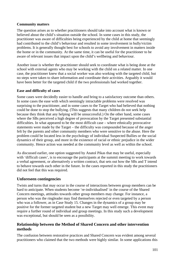## **Community matters**

The question arises as to whether practitioners should take into account what is known or believed about the child's situation outside the school. In some cases in this study, the practitioner was aware of difficulties being experienced by the child at home that seemingly had contributed to the child's behaviour and resulted in some involvement in bully/victim problems. It is generally thought best for schools to avoid any involvement in matters inside the home or in the community. At the same time, it can be useful for the practitioner to be aware of relevant issues that impact upon the child's wellbeing and behaviour.

Another issue is whether the practitioner should seek to coordinate what is being done at the school with external agents who may be working with the child on a related matter. In one case, the practitioner knew that a social worker was also working with the targeted child, but no steps were taken to share information and coordinate their activities. Arguably it would have been better for the targeted child if the two professionals had worked together.

### **Ease and difficulty of cases**

Some cases were decidedly easier to handle and bring to a satisfactory outcome than others. In some cases the ease with which seemingly intractable problems were resolved was surprising to the practitioner, and in some cases to the Target who had believed that nothing could be done to stop the bullying. (This suggests that many children do not seek help because they think that any helping will be unsuccessful.) On the other hand, some cases where the SBs perceived a high degree of provocation by the Target presented substantial difficulties. In what appeared to be the most difficult case – where ethnically provocative statements were made by the Target – the difficulty was compounded because of the anger felt by the parents and other community members who were sensitive to the abuse. Here the problem could be located less in the psychology of individual Suspected Bullies or the social dynamics of their group, and more in the existence of racial or ethnic prejudice in the wider community. Hence action was needed at the community level as well as within the school.

As discussed earlier, one option suggested by Anatol Pikas that may be useful, especially with 'difficult cases', is to encourage the participants at the summit meeting to work towards a verbal agreement, or alternatively a written contract, that sets out how the SBs and T intend to behave towards each other in the future. In the cases reported in this study the practitioners did not feel that this was required.

# **Unforeseen contingencies**

Twists and turns that may occur in the course of interactions between group members can be hard to anticipate. When students become 're-individualised' in the course of the Shared Concern meetings, attitudes towards other group members may change. For instance, a person who was the ringleader may find themselves rejected or even targeted by a person who was a follower, as in Case Study 15. Changes in the dynamics of a group may be positive for the former targeted student but a new Target may well emerge. This event may require a further round of individual and group meetings. In this study such a development was exceptional, but should be seen as a possibility.

# **Relationship between the Method of Shared Concern and other intervention methods**

The confusion between restorative practices and Shared Concern was evident among several practitioners who claimed that the two methods were highly similar. In some applications this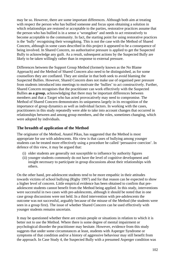may be so. However, there are some important differences. Although both aim at treating with respect the person who has bullied someone and focus upon obtaining a solution in which relationships are restored or acceptable to the parties, restorative practices assume that the person who has bullied is in a sense a 'wrongdoer' and needs to act restoratively to become acceptable to the community. In fact, the starting point for using restorative practices is the 'bully' recognising their wrongdoing. This is not the case with the Method of Shared Concern, although in some cases described in this project it appeared to be a consequence of being involved. In Shared Concern, no authoritative pressure is applied to get the Suspected Bully to acknowledge any guilt. As a result, subsequent actions by the Suspected Bully are likely to be taken willingly rather than in response to external pressure.

Differences between the Support Group Method (formerly known as the No Blame Approach) and the Method of Shared Concern also need to be distinguished, as for some counsellors they are conflated. They are similar in that both seek to avoid blaming the Suspected Bullies. However, Shared Concern does not make use of organised peer pressure from students introduced into meetings to motivate the 'bullies' to act constructively. Further, Shared Concern recognises that the practitioner can work effectively with the Suspected Bullies **as a group**, acknowledging that there may be important differences between members and that a Target who has acted provocatively may need to compromise. The Method of Shared Concern demonstrates its uniqueness largely in its recognition of the importance of group dynamics as well as individual factors. In working with the cases, practitioners in this study repeatedly were able to take into account changes that occurred in relationships between and among group members, and the roles, sometimes changing, which were adopted by individuals.

# **The breadth of application of the Method**

The originator of the Method, Anatol Pikas, has suggested that the Method is most appropriate for use with adolescents. His view is that cases of bullying among younger students can be treated more effectively using a procedure he called 'persuasive coercion'. In defence of this view, it may be argued that:

- (i) older students are generally not susceptible to influence by authority figures
- (ii) younger students commonly do not have the level of cognitive development and insight necessary to participate in group discussions about their relationships with others.

On the other hand, pre-adolescent students tend to be more empathic in their attitudes towards victims of school bullying (Rigby 1997) and for that reason can be expected to show a higher level of concern. Little empirical evidence has been obtained to confirm that preadolescent students cannot benefit from the Method being applied. In this study, interventions were successful in two cases with pre-adolescents, although it should be noted that in one case group discussions were not held. In a third intervention with pre-adolescents the outcome was not successful, arguably because of the misuse of the Method (the students were seen in a group first). The issue of whether Shared Concern can be used effectively with younger students remains uncertain.

It may be questioned whether there are certain people or situations in relation to which it is better not to use the Method. Where there is some degree of mental impairment or psychological disorder the practitioner may hesitate. However, evidence from this study suggests that under some circumstances at least, students with Asperger Syndrome or symptoms of that condition and/or a history of aggressive behaviour may still benefit from the approach. In Case Study 4, the Suspected Bully with a presumed Asperger condition was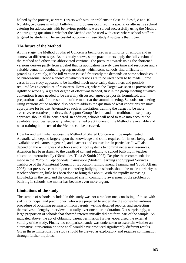helped by the process, as were Targets with similar problems in Case Studies 6, 8 and 10. Notably, two cases in which bully/victim problems occurred in a special or alternative school catering for adolescents with behaviour problems were solved successfully using the Method. An intriguing question is whether the Method can be used with cases where school staff are targeted by students. The successful outcome in Case Study 4 suggests that it can.

# **The future of the Method**

At this stage, the Method of Shared Concern is being used in a minority of schools and in somewhat different ways. As this study shows, some practitioners apply the full version of the Method and others use abbreviated versions. The pressure towards using the shortened versions derives partly from a belief that its application heavily uses time and resources and a suitable venue for conducting group meetings, which some schools find difficulty in providing. Certainly, if the full version is used frequently the demands on some schools could be burdensome. Hence a choice of which versions are to be used needs to be made. Some cases in this study appeared to be handled much more easily than others and possibly required less expenditure of resources. However, where the Target was seen as provocative, rightly or wrongly, a greater degree of effort was needed, first in the group meeting at which contentious issues needed to be carefully discussed, agreed proposals formulated, and preparations made for a resolution of the matter at the summit meeting. Schools considering using versions of the Method also need to address the question of what conditions are most appropriate for its use. Alternatives such as mediation, training the Target to be more assertive, restorative practices, the Support Group Method and the traditional disciplinary approach should all be considered. In addition, schools will need to take into account the available resources; especially whether trained practitioners of the Method are available and what training in the use of the Method can be accessed.

How far and with what success the Method of Shared Concern will be implemented in Australia will depend largely upon the knowledge and skills required for its use being made available to educators in general, and teachers and counsellors in particular. It will also depend on the willingness of schools and school systems to commit necessary resources. Attention has been drawn to the dearth of content relating to school bullying in teacher education internationally (Nicolaides, Toda & Smith 2002). Despite the recommendation made in the *National Safe Schools Framework* (Student Learning and Support Services Taskforce of the Ministerial Council on Education, Employment, Training and Youth Affairs 2003) that pre-service training on countering bullying in schools should be made a priority in teacher education, little has been done to bring this about. With the rapidly increasing knowledge in the field and the continued rise in community awareness of the problem of bullying in schools, the matter has become even more urgent.

# **Limitations of the study**

The sample of schools included in this study was not a random one, consisting of those with staff (a principal and practitioner) who were prepared to undertake the somewhat arduous procedure of obtaining permission from parents, writing detailed reports, and subjecting themselves to lengthy interviews – usually over one hour in duration. Not surprisingly, a large proportion of schools that showed interest initially did not form part of the sample. As indicated above, the act of obtaining parent permission further jeopardised the external validity of the study. Finally, no comparison study was undertaken to ascertain whether an alternative intervention or none at all would have produced significantly different results. Given these limitations, the study should be viewed as exploratory and requires confirmation through further inquiries.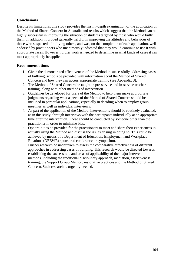# **Conclusions**

Despite its limitations, this study provides the first in-depth examination of the application of the Method of Shared Concern in Australia and results which suggest that the Method can be highly successful in improving the situation of students targeted by those who would bully them. In addition, it proved generally helpful in improving the attitudes and behaviour of those who suspected of bullying others, and was, on the completion of each application, well endorsed by practitioners who unanimously indicated that they would continue to use it with appropriate cases. However, further work is needed to determine in what kinds of cases it can most appropriately be applied.

# **Recommendations**

- 1. Given the demonstrated effectiveness of the Method in successfully addressing cases of bullying, schools be provided with information about the Method of Shared Concern and how they can access appropriate training (see Appendix 3).
- 2. The Method of Shared Concern be taught in pre-service and in-service teacher training, along with other methods of intervention.
- 3. Guidelines be developed for users of the Method to help them make appropriate judgments regarding what aspects of the Method of Shared Concern should be included in particular applications, especially in deciding when to employ group meetings as well as individual interviews.
- 4. As part of the application of the Method, interventions should be routinely evaluated, as in this study, through interviews with the participants individually at an appropriate time after the intervention. These should be conducted by someone other than the practitioner in order to minimise bias.
- 5. Opportunities be provided for the practitioners to meet and share their experiences in actually using the Method and discuss the issues arising in doing so. This could be achieved by means of a Department of Education, Employment and Workplace Relations (DEEWR) sponsored conference or symposium.
- 6. Further research be undertaken to assess the comparative effectiveness of different approaches in addressing cases of bullying. This research would be directed towards establishing the success rate and areas of applicability of the major intervention methods, including the traditional disciplinary approach, mediation, assertiveness training, the Support Group Method, restorative practices and the Method of Shared Concern. Such research is urgently needed.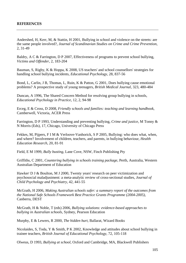Andershed, H, Kerr, M, & Stattin, H 2001, Bullying in school and violence on the streets: are the same people involved?, *Journal of Scandinavian Studies on Crime and Crime Prevention*, 2, 31-49

Baldry, A C & Farrington, D P 2007, Effectiveness of programs to prevent school bullying, *Victims and Offender*, 2, 183-204

Bauman, S, Rigby, K & Hoppa, K 2008, US teachers' and school counsellors' strategies for handling school bullying incidents, *Educational Psychology*, 28, 837-56

Bond, L, Carlin, J B, Thomas, L, Ruin, K & Patton, G 2001, Does bullying cause emotional problems? A prospective study of young teenagers, *British Medical Journal*, 323, 480-484

Duncan, A 1996, The Shared Concern Method for resolving group bullying in schools, *Educational Psychology in Practice*, 12, 2, 94-98

Erceg, E & Cross, D 2008, *Friendly schools and families: teaching and learning handbook*, Camberwell, Victoria, ACER Press

Farrington, D P 1993, Understanding and preventing bullying, *Crime and justice*, M Tonny & N Morris (Eds), 17, Chicago, University of Chicago Press

Fekkes, M, Pijpers, F I M & Verloove-Vanhorick, S P 2005, Bullying: who does what, when, and where? Involvement of children, teachers, and parents, in bullying behaviour, *Health Education Research*, 20, 81-91

Field, E M 1999, *Bully busting*, Lane Cove, NSW, Finch Publishing Pty

Griffiths, C 2001, *Countering bullying in schools training package*, Perth, Australia, Western Australian Department of Education

Hawker<sup>,</sup> D J & Boulton, M J 2000, Twenty years' research on peer victimization and psychosocial maladjustment: a meta-analytic review of cross-sectional studies, *Journal of Child Psychology and Psychiatry*, 42, 441-55

McGrath, H 2006, *Making Australian schools safer: a summary report of the outcomes from the National Safe Schools Framework Best Practice Grants Programme (2004-2005)*, Canberra, DEST

McGrath, H & Noble, T (eds) 2006, *Bullying solutions: evidence-based approaches to bullying in Australian schools*, Sydney, Pearson Education

Murphy, E & Lewers, R 2000, *The hidden hurt*, Ballarat, Wizard Books

Nicolaides, S, Toda, Y & Smith, P K 2002, Knowledge and attitudes about school bullying in trainee teachers, *British Journal of Educational Psychology*, 72, 105-118

Olweus, D 1993, *Bullying at school*, Oxford and Cambridge, MA, Blackwell Publishers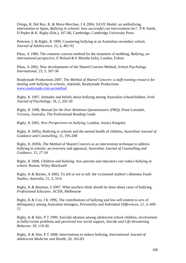Ortega, R, Del Rey, R, & Mora-Merchan, J A 2004, SAVE Model: an antibullying intervention in Spain, *Bullying in schools: how successful can interventions be?*, P K Smith, D Pepler & K. Rigby (Eds.), 167-86, Cambridge, Cambridge University Press

Petersen, L & Rigby, K 1999, Countering bullying at an Australian secondary school, *Journal of Adolescence*, 22, 4, 481-92

Pikas, A 1989, The common concern method for the treatment of mobbing, *Bullying, an international perspective*, E Roland & E Munthe (eds), London, Fulton

Pikas, A 2002, New developments of the Shared Concern Method, *School Psychology International*, 23, 3, 307-36

Readymade Productions 2007, *The Method of Shared Concern: a staff training resource for dealing with bullying in schools*, Adelaide, Readymade Productions www.readymade.com.au/method

Rigby, K 1997, Attitudes and beliefs about bullying among Australian schoolchildren, *Irish Journal of Psychology*, 18, 2, 202-20

Rigby, K 1998, *Manual for the Peer Relations Questionnaire (PRQ)*, Point Lonsdale, Victoria, Australia, The Professional Reading Guide

Rigby, K 2002, *New Perspectives on bullying*, London, Jessica Kingsley

Rigby, K 2005a, Bullying in schools and the mental health of children, *Australian Journal of Guidance and Counselling*, 15, 195-208

Rigby, K 2005b, The Method of Shared Concern as an intervention technique to address bullying in schools: an overview and appraisal, *Australian Journal of Counselling and Guidance*, 15, 27-34

Rigby, K 2008, *Children and bullying: how parents and educators can reduce bullying at school*, Boston, Wiley-Blackwell

Rigby, K & Barnes, A 2002, To tell or not to tell: the victimised student's dilemma *Youth Studies, Australia*, 21, 3, 33-6

Rigby, K & Bauman, S 2007, What teachers think should be done about cases of bullying, *Professional Educator*, ACER, Melbourne

Rigby, K & Cox, I K 1996, The contributions of bullying and low self-esteem to acts of delinquency among Australian teenagers, *Personality and Individual Differences*, 21, 4, 609- 12

Rigby, K & Slee, P T 1999, Suicidal ideation among adolescent school children, involvement in bully/victim problems and perceived low social support, *Suicide and Life-threatening Behavior*, 29, 119-30

Rigby, K & Slee, P T 2008, Interventions to reduce bullying, *International Journal of Adolescent Medicine and Health*, 20, 165-83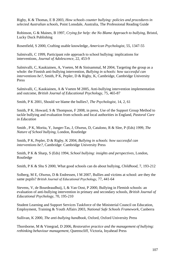Rigby, K & Thomas, E B 2003, *How schools counter bullying: policies and procedures in selected Australian schools*, Point Lonsdale, Australia, The Professional Reading Guide

Robinson, G & Maines, B 1997, *Crying for help: the No Blame Approach to bullying*, Bristol, Lucky Duck Publishing

Rosenfield, S 2000, Crafting usable knowledge, *American Psychologist*, 55, 1347-55

Salmivalli, C 1999, Participant role approach to school bullying: implications for interventions, *Journal of Adolescence*, 22, 453-9

Salmivalli, C, Kaukiainen, A, Voeten, M & Sinisammal, M 2004, Targeting the group as a whole: the Finnish anti-bullying intervention, *Bullying in schools: how successful can interventions be?*, Smith, P K, Pepler, D & Rigby, K, Cambridge, Cambridge University Press

Salmivalli, C, Kaukiainen, A & Voeten M 2005, Anti-bullying intervention implementation and outcome, *British Journal of Educational Psychology*, 75, 465-87

Smith, P K 2001, Should we blame the bullies?, *The Psychologist*, 14, 2, 61

Smith, P K, Howard, S & Thompson, F 2008, in press, Use of the Support Group Method to tackle bullying and evaluation from schools and local authorities in England, *Pastoral Care in Education*

Smith , P K, Morita, Y, Junger-Tas, J, Olweus, D, Catalono, R & Slee, P (Eds) 1999, *The Nature of School bullying*, London, Routledge

Smith, P K, Pepler, D & Rigby, K 2004, *Bullying in schools: how successful can interventions be?*, Cambridge: Cambridge University Press

Smith, P K & Sharp, S (Eds) 1994, *School bullying: insights and perspectives*, London, Routledge

Smith, P K & Shu S 2000, What good schools can do about bullying, *Childhood*, 7, 193-212

Solberg, M E, Olweus, D & Endressen, I M 2007, Bullies and victims at school: are they the same pupils? *British Journal of Educational Psychology*, 77, 441-64

Stevens, V, de Bourdeaudhuij, I, & Van Oost, P 2000, Bullying in Flemish schools: an evaluation of anti-bullying intervention in primary and secondary schools, *British Journal of Educational Psychology*, 70, 195-210

Student Learning and Support Services Taskforce of the Ministerial Council on Education, Employment, Training & Youth Affairs 2003, *National Safe Schools Framework*, Canberra

Sullivan, K 2000, *The anti-bullying handbook*, Oxford, Oxford University Press

Thorsborne, M & Vinegrad, D 2006, *Restorative practice and the management of bullying: rethinking behaviour management*, Queenscliff, Victoria, Inyahead Press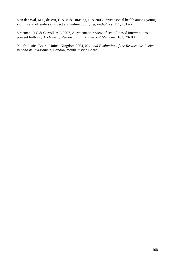Van der Wal, M F, de Wit, C A M & Hirasing, R A 2003, Psychosocial health among young victims and offenders of direct and indirect bullying, *Pediatrics*, 111, 1312-7

Vreeman, R C & Carroll, A E 2007, A systematic review of school-based interventions to prevent bullying, *Archives of Pediatrics and Adolescent Medicine*, 161, 78- 88

Youth Justice Board, United Kingdom 2004, *National Evaluation of the Restorative Justice in Schools Programme*, London, Youth Justice Board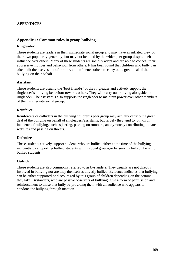## **Appendix 1: Common roles in group bullying**

### **Ringleader**

These students are leaders in their immediate social group and may have an inflated view of their own popularity generally, but may not be liked by the wider peer group despite their influence over others. Many of these students are socially adept and are able to conceal their aggressive motives and behaviour from others. It has been found that children who bully can often talk themselves out of trouble, and influence others to carry out a great deal of the bullying on their behalf.

#### **Assistant**

These students are usually the 'best friend/s' of the ringleader and actively support the ringleader's bullying behaviour towards others. They will carry out bullying alongside the ringleader. The assistant/s also supports the ringleader to maintain power over other members of their immediate social group.

### **Reinforcer**

Reinforcers or colluders in the bullying children's peer group may actually carry out a great deal of the bullying on behalf of ringleaders/assistants, but largely they tend to join-in on incidents of bullying, such as jeering, passing on rumours, anonymously contributing to hate websites and passing on threats.

### **Defender**

These students actively support students who are bullied either at the time of the bullying incident/s by supporting bullied students within social groups,or by seeking help on behalf of bullied students.

#### **Outsider**

These students are also commonly referred to as bystanders. They usually are not directly involved in bullying nor are they themselves directly bullied. Evidence indicates that bullying can be either supported or discouraged by this group of children depending on the actions they take. Bystanders, who are passive observers of bullying, give a form of permission and reinforcement to those that bully by providing them with an audience who appears to condone the bullying through inaction.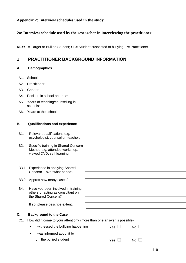# **Appendix 2: Interview schedules used in the study**

# **2a: Interview schedule used by the researcher in interviewing the practitioner**

**KEY:** T= Target or Bullied Student; SB= Student suspected of bullying; P= Practitioner

# **I PRACTITIONER BACKGROUND INFORMATION**

# **A. Demographics**

| A1.              | School:                                                                                            |            |           |
|------------------|----------------------------------------------------------------------------------------------------|------------|-----------|
| A2.              | Practitioner:                                                                                      |            |           |
| A3.              | Gender:                                                                                            |            |           |
| A4.              | Position in school and role:                                                                       |            |           |
| A5.              | Years of teaching/counselling in<br>schools:                                                       |            |           |
| A6.              | Years at the school:                                                                               |            |           |
| В.               | <b>Qualifications and experience</b>                                                               |            |           |
| B1.              | Relevant qualifications e.g.<br>psychologist, counsellor, teacher.                                 |            |           |
| B <sub>2</sub> . | Specific training in Shared Concern<br>Method e.g. attended workshop,<br>viewed DVD, self-learning |            |           |
|                  |                                                                                                    |            |           |
| B <sub>3.1</sub> | Experience in applying Shared<br>Concern - over what period?                                       |            |           |
| B <sub>3.2</sub> | Approx how many cases?                                                                             |            |           |
| B4.              | Have you been involved in training<br>others or acting as consultant on<br>the Shared Concern?     |            |           |
|                  | If so, please describe extent.                                                                     |            |           |
| С.               | <b>Background to the Case</b>                                                                      |            |           |
| C1.              | How did it come to your attention? (more than one answer is possible)                              |            |           |
|                  | I witnessed the bullying happening                                                                 | Yes $\Box$ | No $\Box$ |
|                  |                                                                                                    |            |           |
|                  | I was informed about it by:                                                                        |            |           |
|                  | the bullied student<br>O                                                                           | Yes $\Box$ | No $\Box$ |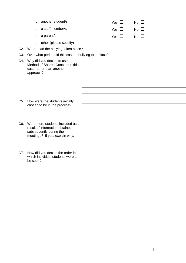|                  | $\circ$   | another student/s                                                                             | Yes $\Box$ | No $\square$ |  |
|------------------|-----------|-----------------------------------------------------------------------------------------------|------------|--------------|--|
|                  | $\circ$   | a staff member/s                                                                              | Yes $\Box$ | No $\Box$    |  |
|                  | O         | a parent/s                                                                                    | Yes $\Box$ | No $\square$ |  |
|                  | $\circ$   | other (please specify)                                                                        |            |              |  |
| $C2$ .           |           | Where had the bullying taken place?                                                           |            |              |  |
| C <sub>3</sub> . |           | Over what period did this case of bullying take place?                                        |            |              |  |
| C4.              | approach? | Why did you decide to use the<br>Method of Shared Concern in this<br>case rather than another |            |              |  |
|                  |           |                                                                                               |            |              |  |
|                  |           |                                                                                               |            |              |  |
| C <sub>5</sub> . |           | How were the students initially<br>chosen to be in the process?                               |            |              |  |
|                  |           |                                                                                               |            |              |  |
|                  |           |                                                                                               |            |              |  |
| C <sub>6</sub> . |           | Were more students included as a<br>result of information obtained<br>subsequently during the |            |              |  |
|                  |           | meetings? If yes, explain why.                                                                |            |              |  |
|                  |           |                                                                                               |            |              |  |
| C7.              |           | How did you decide the order in                                                               |            |              |  |
|                  | be seen?  | which individual students were to                                                             |            |              |  |
|                  |           |                                                                                               |            |              |  |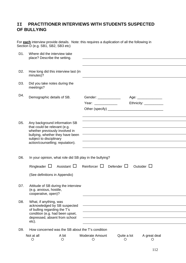# **II PRACTITIONER INTERVIEWS WITH STUDENTS SUSPECTED OF BULLYING**

For **each** interview provide details. Note: this requires a duplication of all the following in Section D (e.g. SB1, SB2, SB3 etc)

| D <sub>1</sub> . | Where did the interview take<br>place? Describe the setting.                                                                                                                                       |                  |                                                                                                    |                        |                                                 |  |
|------------------|----------------------------------------------------------------------------------------------------------------------------------------------------------------------------------------------------|------------------|----------------------------------------------------------------------------------------------------|------------------------|-------------------------------------------------|--|
| D <sub>2</sub> . | How long did this interview last (in<br>minutes)?                                                                                                                                                  |                  |                                                                                                    |                        |                                                 |  |
| D <sub>3</sub> . | Did you take notes during the<br>meetings?                                                                                                                                                         |                  |                                                                                                    |                        |                                                 |  |
| D4.              | Demographic details of SB.                                                                                                                                                                         |                  | Gender: ______________<br>Year: ______________                                                     |                        | Age: _______________<br>Ethnicity: ____________ |  |
| D <sub>5</sub> . | Any background information SB<br>that could be relevant (e.g.<br>whether previously involved in<br>bullying, whether they have been<br>subject to disciplinary<br>action/counselling; reputation). |                  |                                                                                                    |                        |                                                 |  |
| D6.              | Ringleader $\Box$<br>(See definitions in Appendix)                                                                                                                                                 | Assistant $\Box$ | In your opinion, what role did SB play in the bullying?<br>Reinforcer $\square$ Defender $\square$ |                        | Outsider $\Box$                                 |  |
| D7.              | Attitude of SB during the interview<br>(e.g. anxious, hostile,<br>cooperative, open)?                                                                                                              |                  |                                                                                                    |                        |                                                 |  |
| D8.              | What, if anything, was<br>acknowledged by SB suspected<br>of bulling regarding the T's<br>condition (e.g. had been upset,<br>depressed, absent from school<br>etc).                                |                  |                                                                                                    |                        |                                                 |  |
| D9.              |                                                                                                                                                                                                    |                  | How concerned was the SB about the T's condition                                                   |                        |                                                 |  |
|                  | Not at all<br>O                                                                                                                                                                                    | A bit<br>$\circ$ | <b>Moderate Amount</b><br>O                                                                        | Quite a lot<br>$\circ$ | A great deal<br>$\circ$                         |  |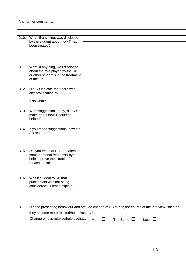| D10.              | What, if anything, was disclosed<br>by the student about how T had     |                                                                                                    |
|-------------------|------------------------------------------------------------------------|----------------------------------------------------------------------------------------------------|
|                   | been treated?                                                          |                                                                                                    |
|                   |                                                                        |                                                                                                    |
|                   |                                                                        |                                                                                                    |
| D11.              | What, if anything, was disclosed                                       |                                                                                                    |
|                   | about the role played by the SB<br>or other student's in the treatment |                                                                                                    |
|                   | of the T?                                                              |                                                                                                    |
| D <sub>12</sub> . | Did SB indicate that there was<br>any provocation by T?                |                                                                                                    |
|                   | If so what?                                                            |                                                                                                    |
|                   |                                                                        |                                                                                                    |
| D <sub>13</sub> . | What suggestion, if any, did SB<br>make about how T could be           |                                                                                                    |
|                   | helped?                                                                |                                                                                                    |
| D14.              | If you made suggestions, how did                                       |                                                                                                    |
|                   | SB respond?                                                            |                                                                                                    |
|                   |                                                                        |                                                                                                    |
| D <sub>15</sub> . |                                                                        |                                                                                                    |
|                   | Did you feel that SB had taken on<br>some personal responsibility to   |                                                                                                    |
|                   | help improve the situation?<br>Please explain:                         |                                                                                                    |
|                   |                                                                        |                                                                                                    |
| D <sub>16</sub> . | Was it evident to SB that                                              |                                                                                                    |
|                   | punishment was not being                                               |                                                                                                    |
|                   | considered? Please explain:                                            |                                                                                                    |
|                   |                                                                        |                                                                                                    |
|                   |                                                                        |                                                                                                    |
| D17.              | they become more relaxed/helpful/chatty?                               | Did the presenting behaviour and attitude change of SB during the course of the interview; such as |
|                   | Change or less relaxed/helpful/chatty                                  | The Same $\Box$<br>More $\Box$<br>Less $\Box$                                                      |
|                   |                                                                        |                                                                                                    |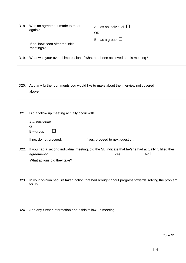| D <sub>18</sub> . | Was an agreement made to meet<br>again?<br>If so, how soon after the initial<br>meetings?                                             | A – as an individual $\Box$<br><b>OR</b><br>$B - as a group$ $\Box$                                                                   |
|-------------------|---------------------------------------------------------------------------------------------------------------------------------------|---------------------------------------------------------------------------------------------------------------------------------------|
| D <sub>19</sub> . | What was your overall impression of what had been achieved at this meeting?                                                           |                                                                                                                                       |
|                   |                                                                                                                                       |                                                                                                                                       |
|                   |                                                                                                                                       |                                                                                                                                       |
| D <sub>20</sub> . | Add any further comments you would like to make about the interview not covered<br>above.                                             |                                                                                                                                       |
|                   |                                                                                                                                       |                                                                                                                                       |
|                   |                                                                                                                                       |                                                                                                                                       |
| D21.              | Did a follow up meeting actually occur with<br>A – individuals $\Box$<br><b>or</b><br>$\Box$<br>$B - group$<br>If no, do not proceed. | If yes, proceed to next question.                                                                                                     |
| D22.              | agreement?<br>What actions did they take?                                                                                             | If you had a second individual meeting, did the SB indicate that he/she had actually fulfilled their<br>Yes $\square$<br>No $\square$ |
|                   |                                                                                                                                       |                                                                                                                                       |
| D <sub>23</sub> . | for T?                                                                                                                                | In your opinion had SB taken action that had brought about progress towards solving the problem                                       |
|                   |                                                                                                                                       |                                                                                                                                       |
|                   |                                                                                                                                       |                                                                                                                                       |
| D24.              | Add any further information about this follow-up meeting.                                                                             |                                                                                                                                       |

Code N<sup>o</sup>: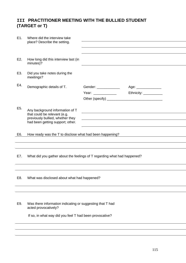# **III PRACTITIONER MEETING WITH THE BULLIED STUDENT (TARGET or T)**

| E1.              | Where did the interview take<br>place? Describe the setting.                                                                                 |                                               |                                                |
|------------------|----------------------------------------------------------------------------------------------------------------------------------------------|-----------------------------------------------|------------------------------------------------|
| E2.              | How long did this interview last (in<br>minutes)?                                                                                            |                                               |                                                |
| E3.              | Did you take notes during the<br>meetings?                                                                                                   |                                               |                                                |
| E4.              | Demographic details of T.                                                                                                                    | Gender: ______________<br>Year: _____________ | Age: _______________<br>Ethnicity: ___________ |
| E <sub>5</sub> . | Any background information of T<br>that could be relevant (e.g.<br>previously bullied, whether they<br>had been getting support; other.      |                                               |                                                |
|                  |                                                                                                                                              |                                               |                                                |
| E6.              | How ready was the T to disclose what had been happening?                                                                                     |                                               |                                                |
|                  |                                                                                                                                              |                                               |                                                |
| E7.              | What did you gather about the feelings of T regarding what had happened?                                                                     |                                               |                                                |
|                  |                                                                                                                                              |                                               |                                                |
| E8.              | What was disclosed about what had happened?                                                                                                  |                                               |                                                |
|                  |                                                                                                                                              |                                               |                                                |
| E9.              | Was there information indicating or suggesting that T had<br>acted provocatively?<br>If so, in what way did you feel T had been provocative? |                                               |                                                |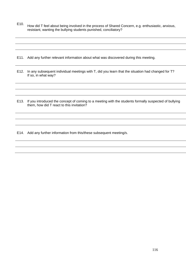E10. How did T feel about being involved in the process of Shared Concern, e.g. enthusiastic, anxious, resistant, wanting the bullying students punished, conciliatory?

E11. Add any further relevant information about what was discovered during this meeting.

- E12. In any subsequent individual meetings with T, did you learn that the situation had changed for T? If so, in what way?
- E13. If you introduced the concept of coming to a meeting with the students formally suspected of bullying them, how did T react to this invitation?

E14. Add any further information from this/these subsequent meeting/s.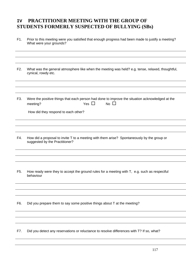# **IV PRACTITIONER MEETING WITH THE GROUP OF STUDENTS FORMERLY SUSPECTED OF BULLYING (SBs)**

F1. Prior to this meeting were you satisfied that enough progress had been made to justify a meeting? What were your grounds?

F2. What was the general atmosphere like when the meeting was held? e.g. tense, relaxed, thoughtful, cynical, rowdy etc.

F3. Were the positive things that each person had done to improve the situation acknowledged at the meeting?  $Yes \Box \qquad No \Box$ 

How did they respond to each other?

- F4. How did a proposal to invite T to a meeting with them arise? Spontaneously by the group or suggested by the Practitioner?
- F5. How ready were they to accept the ground rules for a meeting with T, e.g. such as respectful behaviour

F6. Did you prepare them to say some positive things about T at the meeting?

F7. Did you detect any reservations or reluctance to resolve differences with T? If so, what?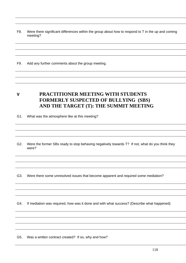F8. Were there significant differences within the group about how to respond to T in the up and coming meeting?

F9. Add any further comments about the group meeting.

**V PRACTITIONER MEETING WITH STUDENTS FORMERLY SUSPECTED OF BULLYING (SBS) AND THE TARGET (T): THE SUMMIT MEETING** 

G1. What was the atmosphere like at this meeting?

G2. Were the former SBs ready to stop behaving negatively towards T? If not, what do you think they were?

G3. Were there some unresolved issues that become apparent and required some mediation?

G4. If mediation was required, how was it done and with what success? (Describe what happened)

G5. Was a written contract created? If so, why and how?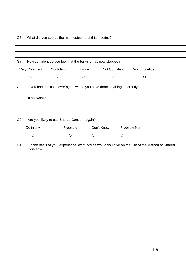G6. What did you see as the main outcome of this meeting?

| G7.  |                | How confident do you feel that the bullying has now stopped?              |         |               |         |                                                                                                |  |
|------|----------------|---------------------------------------------------------------------------|---------|---------------|---------|------------------------------------------------------------------------------------------------|--|
|      | Very Confident | Confident                                                                 | Unsure  | Not Confident |         | Very unconfident                                                                               |  |
|      | $\circ$        | O                                                                         | $\circ$ | $\circ$       |         | $\circ$                                                                                        |  |
| G8.  |                | If you had this case over again would you have done anything differently? |         |               |         |                                                                                                |  |
|      | If so, what?   |                                                                           |         |               |         |                                                                                                |  |
|      |                |                                                                           |         |               |         |                                                                                                |  |
| G9.  |                | Are you likely to use Shared Concern again?                               |         |               |         |                                                                                                |  |
|      | Definitely     | Probably                                                                  |         | Don't Know    |         | Probably Not                                                                                   |  |
|      | $\circ$        | O                                                                         | $\circ$ |               | $\circ$ |                                                                                                |  |
| G10. | Concern?       |                                                                           |         |               |         | On the basis of your experience, what advice would you give on the use of the Method of Shared |  |
|      |                |                                                                           |         |               |         |                                                                                                |  |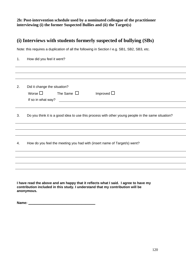**2b: Post-intervention schedule used by a nominated colleague of the practitioner interviewing (i) the former Suspected Bullies and (ii) the Target(s)** 

# **(i) Interviews with students formerly suspected of bullying (SBs)**

Note: this requires a duplication of all the following in Section I e.g. SB1, SB2, SB3, etc.

| 1 <sub>1</sub> | How did you feel it went?                                                                                                                                                           |
|----------------|-------------------------------------------------------------------------------------------------------------------------------------------------------------------------------------|
|                |                                                                                                                                                                                     |
|                |                                                                                                                                                                                     |
| 2.             | Did it change the situation?<br>Worse $\Box$<br>The Same $\Box$<br>Improved $\Box$<br>If so in what way?<br><u> 1980 - John Stein, Amerikaansk politiker (</u> † 1920)              |
|                |                                                                                                                                                                                     |
| 3.             | Do you think it is a good idea to use this process with other young people in the same situation?                                                                                   |
|                |                                                                                                                                                                                     |
|                |                                                                                                                                                                                     |
| 4.             | How do you feel the meeting you had with (insert name of Target/s) went?                                                                                                            |
|                |                                                                                                                                                                                     |
|                |                                                                                                                                                                                     |
|                |                                                                                                                                                                                     |
|                | I have read the above and am happy that it reflects what I said. I agree to have my<br>contribution included in this study. I understand that my contribution will be<br>anonymous. |

**Name: \_\_\_\_\_\_\_\_\_\_\_\_\_\_\_\_\_\_\_\_\_\_\_\_\_\_\_\_\_\_\_\_\_\_\_**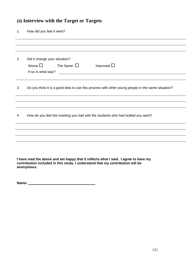# **(ii) Interview with the Target or Targets**

| How did you feel it went?                                                                                                                  |
|--------------------------------------------------------------------------------------------------------------------------------------------|
|                                                                                                                                            |
|                                                                                                                                            |
| Did it change your situation?                                                                                                              |
| Worse $\square$<br>The Same $\Box$<br>Improved $\Box$                                                                                      |
| If so in what way?<br><u> 1980 - Jan Samuel Barbara, martin di sebagai personal di sebagai personal di sebagai personal di sebagai per</u> |
|                                                                                                                                            |
| Do you think it is a good idea to use this process with other young people in the same situation?                                          |
|                                                                                                                                            |
|                                                                                                                                            |
| How do you feel the meeting you had with the students who had bullied you went?                                                            |
|                                                                                                                                            |
|                                                                                                                                            |
|                                                                                                                                            |
|                                                                                                                                            |
|                                                                                                                                            |
|                                                                                                                                            |

**I have read the above and am happy that it reflects what I said. I agree to have my contribution included in this study. I understand that my contribution will be anonymous.** 

**Name: \_\_\_\_\_\_\_\_\_\_\_\_\_\_\_\_\_\_\_\_\_\_\_\_\_\_\_\_\_\_\_\_\_\_\_**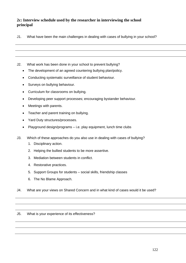# **2c: Interview schedule used by the researcher in interviewing the school principal**

J1. What have been the main challenges in dealing with cases of bullying in your school?

J2. What work has been done in your school to prevent bullying?

- The development of an agreed countering bullying plan/policy.
- Conducting systematic surveillance of student behaviour.
- Surveys on bullying behaviour.
- Curriculum for classrooms on bullying.
- Developing peer support processes; encouraging bystander behaviour.
- Meetings with parents.
- Teacher and parent training on bullying.
- Yard Duty structures/processes.
- Playground design/programs i.e. play equipment, lunch time clubs
- J3. Which of these approaches do you also use in dealing with cases of bullying?
	- 1. Disciplinary action.
	- 2. Helping the bullied students to be more assertive.
	- 3. Mediation between students in conflict.
	- 4. Restorative practices.
	- 5. Support Groups for students social skills, friendship classes
	- 6. The No Blame Approach.
- J4. What are your views on Shared Concern and in what kind of cases would it be used?

### J5. What is your experience of its effectiveness?